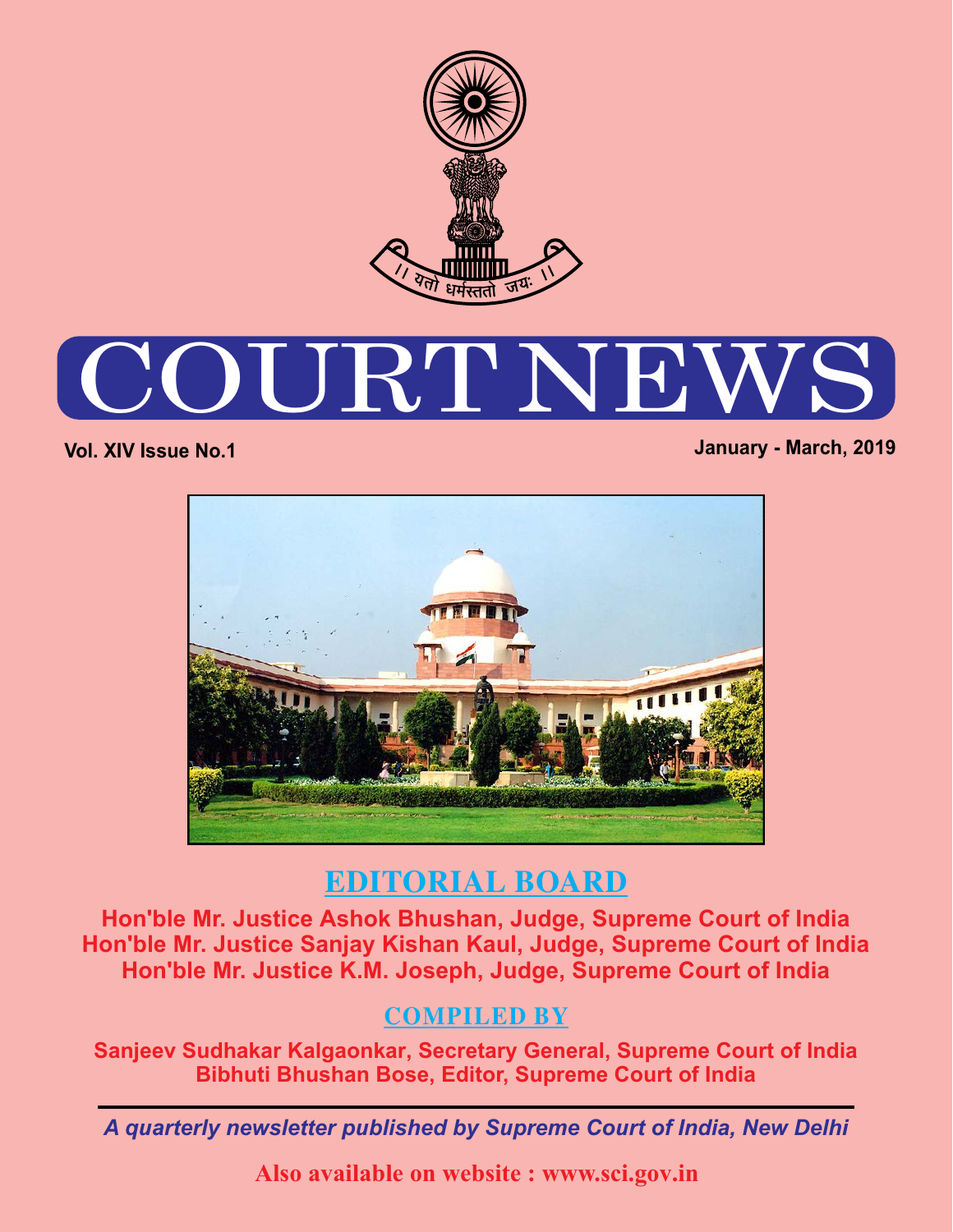

# URT N

**Vol. XIV Issue No.1 January - March, 2019**



## **EDITORIAL BOARD**

**Hon'ble Mr. Justice Ashok Bhushan, Judge, Supreme Court of India Hon'ble Mr. Justice Sanjay Kishan Kaul, Judge, Supreme Court of India Hon'ble Mr. Justice K.M. Joseph, Judge, Supreme Court of India**

#### **COMPILED BY**

**Sanjeev Sudhakar Kalgaonkar, Secretary General, Supreme Court of India Bibhuti Bhushan Bose, Editor, Supreme Court of India**

*A quarterly newsletter published by Supreme Court of India, New Delhi*

**Also available on website : www.sci.gov.in**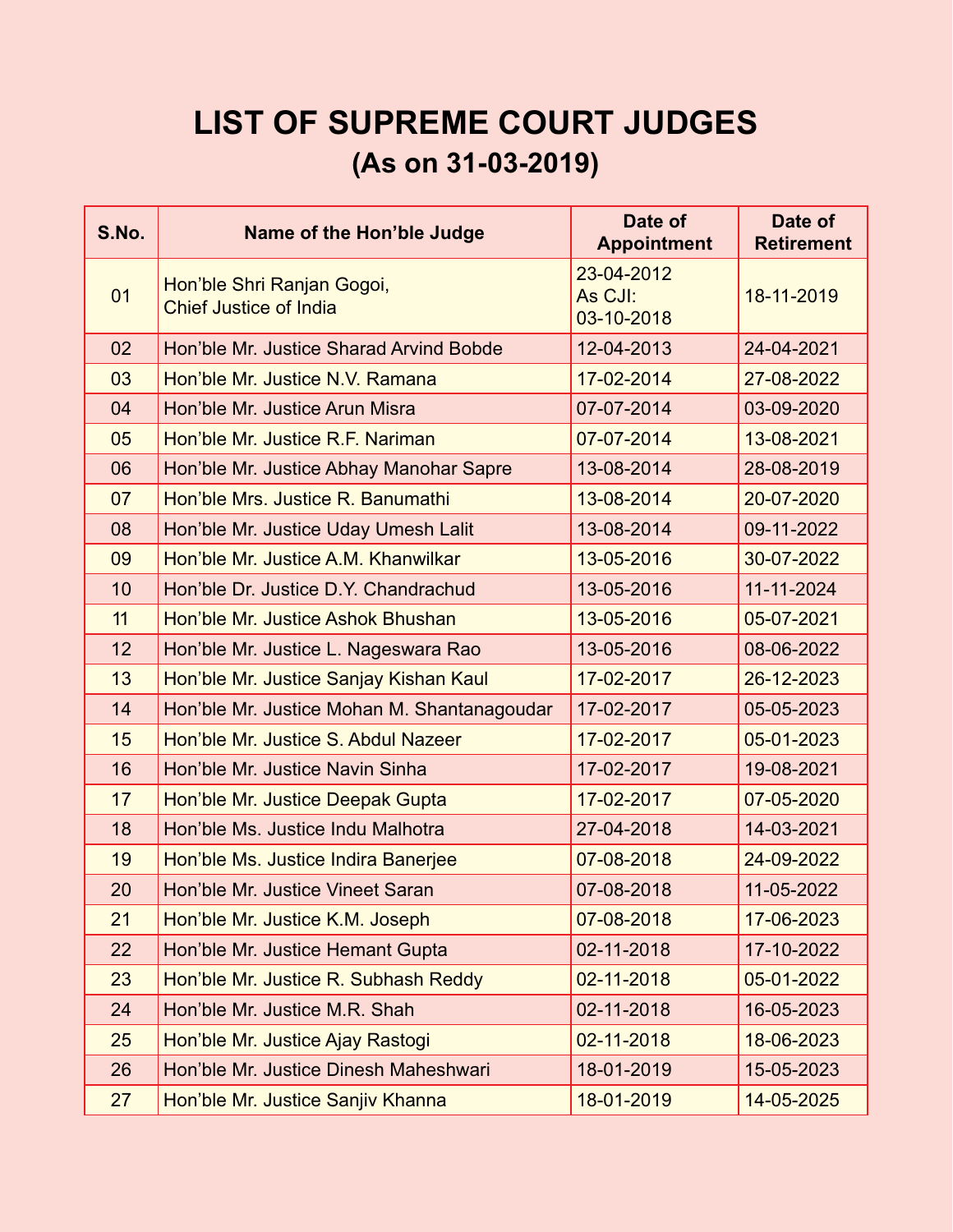# **LIST OF SUPREME COURT JUDGES (As on 31-03-2019)**

| S.No. | <b>Name of the Hon'ble Judge</b>                            | Date of<br><b>Appointment</b>       | Date of<br><b>Retirement</b> |
|-------|-------------------------------------------------------------|-------------------------------------|------------------------------|
| 01    | Hon'ble Shri Ranjan Gogoi,<br><b>Chief Justice of India</b> | 23-04-2012<br>As CJI:<br>03-10-2018 | 18-11-2019                   |
| 02    | Hon'ble Mr. Justice Sharad Arvind Bobde                     | 12-04-2013                          | 24-04-2021                   |
| 03    | Hon'ble Mr. Justice N.V. Ramana                             | 17-02-2014                          | 27-08-2022                   |
| 04    | Hon'ble Mr. Justice Arun Misra                              | 07-07-2014                          | 03-09-2020                   |
| 05    | Hon'ble Mr. Justice R.F. Nariman                            | 07-07-2014                          | 13-08-2021                   |
| 06    | Hon'ble Mr. Justice Abhay Manohar Sapre                     | 13-08-2014                          | 28-08-2019                   |
| 07    | Hon'ble Mrs. Justice R. Banumathi                           | 13-08-2014                          | 20-07-2020                   |
| 08    | Hon'ble Mr. Justice Uday Umesh Lalit                        | 13-08-2014                          | 09-11-2022                   |
| 09    | Hon'ble Mr. Justice A.M. Khanwilkar                         | 13-05-2016                          | 30-07-2022                   |
| 10    | Hon'ble Dr. Justice D.Y. Chandrachud                        | 13-05-2016                          | 11-11-2024                   |
| 11    | Hon'ble Mr. Justice Ashok Bhushan                           | 13-05-2016                          | 05-07-2021                   |
| 12    | Hon'ble Mr. Justice L. Nageswara Rao                        | 13-05-2016                          | 08-06-2022                   |
| 13    | Hon'ble Mr. Justice Sanjay Kishan Kaul                      | 17-02-2017                          | 26-12-2023                   |
| 14    | Hon'ble Mr. Justice Mohan M. Shantanagoudar                 | 17-02-2017                          | 05-05-2023                   |
| 15    | Hon'ble Mr. Justice S. Abdul Nazeer                         | 17-02-2017                          | 05-01-2023                   |
| 16    | Hon'ble Mr. Justice Navin Sinha                             | 17-02-2017                          | 19-08-2021                   |
| 17    | Hon'ble Mr. Justice Deepak Gupta                            | 17-02-2017                          | 07-05-2020                   |
| 18    | Hon'ble Ms. Justice Indu Malhotra                           | 27-04-2018                          | 14-03-2021                   |
| 19    | Hon'ble Ms. Justice Indira Banerjee                         | 07-08-2018                          | 24-09-2022                   |
| 20    | Hon'ble Mr. Justice Vineet Saran                            | 07-08-2018                          | 11-05-2022                   |
| 21    | Hon'ble Mr. Justice K.M. Joseph                             | 07-08-2018                          | 17-06-2023                   |
| 22    | Hon'ble Mr. Justice Hemant Gupta                            | 02-11-2018                          | 17-10-2022                   |
| 23    | Hon'ble Mr. Justice R. Subhash Reddy                        | 02-11-2018                          | 05-01-2022                   |
| 24    | Hon'ble Mr. Justice M.R. Shah                               | 02-11-2018                          | 16-05-2023                   |
| 25    | Hon'ble Mr. Justice Ajay Rastogi                            | 02-11-2018                          | 18-06-2023                   |
| 26    | Hon'ble Mr. Justice Dinesh Maheshwari                       | 18-01-2019                          | 15-05-2023                   |
| 27    | Hon'ble Mr. Justice Sanjiv Khanna                           | 18-01-2019                          | 14-05-2025                   |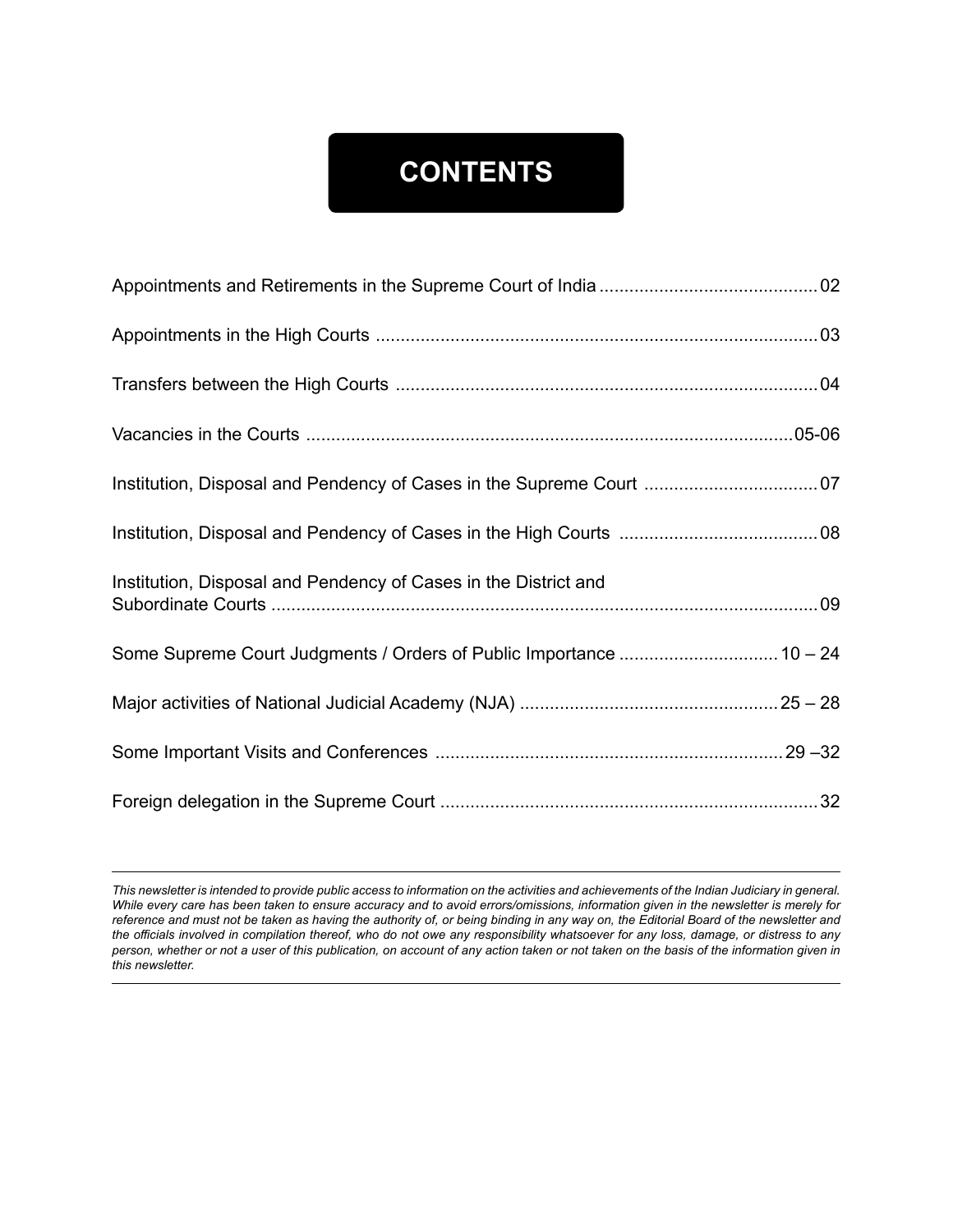# **CONTENTS**

| Institution, Disposal and Pendency of Cases in the Supreme Court  07 |  |
|----------------------------------------------------------------------|--|
|                                                                      |  |
| Institution, Disposal and Pendency of Cases in the District and      |  |
| Some Supreme Court Judgments / Orders of Public Importance  10 - 24  |  |
|                                                                      |  |
|                                                                      |  |
|                                                                      |  |

*This newsletter is intended to provide public access to information on the activities and achievements of the Indian Judiciary in general. While every care has been taken to ensure accuracy and to avoid errors/omissions, information given in the newsletter is merely for reference and must not be taken as having the authority of, or being binding in any way on, the Editorial Board of the newsletter and the officials involved in compilation thereof, who do not owe any responsibility whatsoever for any loss, damage, or distress to any person, whether or not a user of this publication, on account of any action taken or not taken on the basis of the information given in this newsletter.*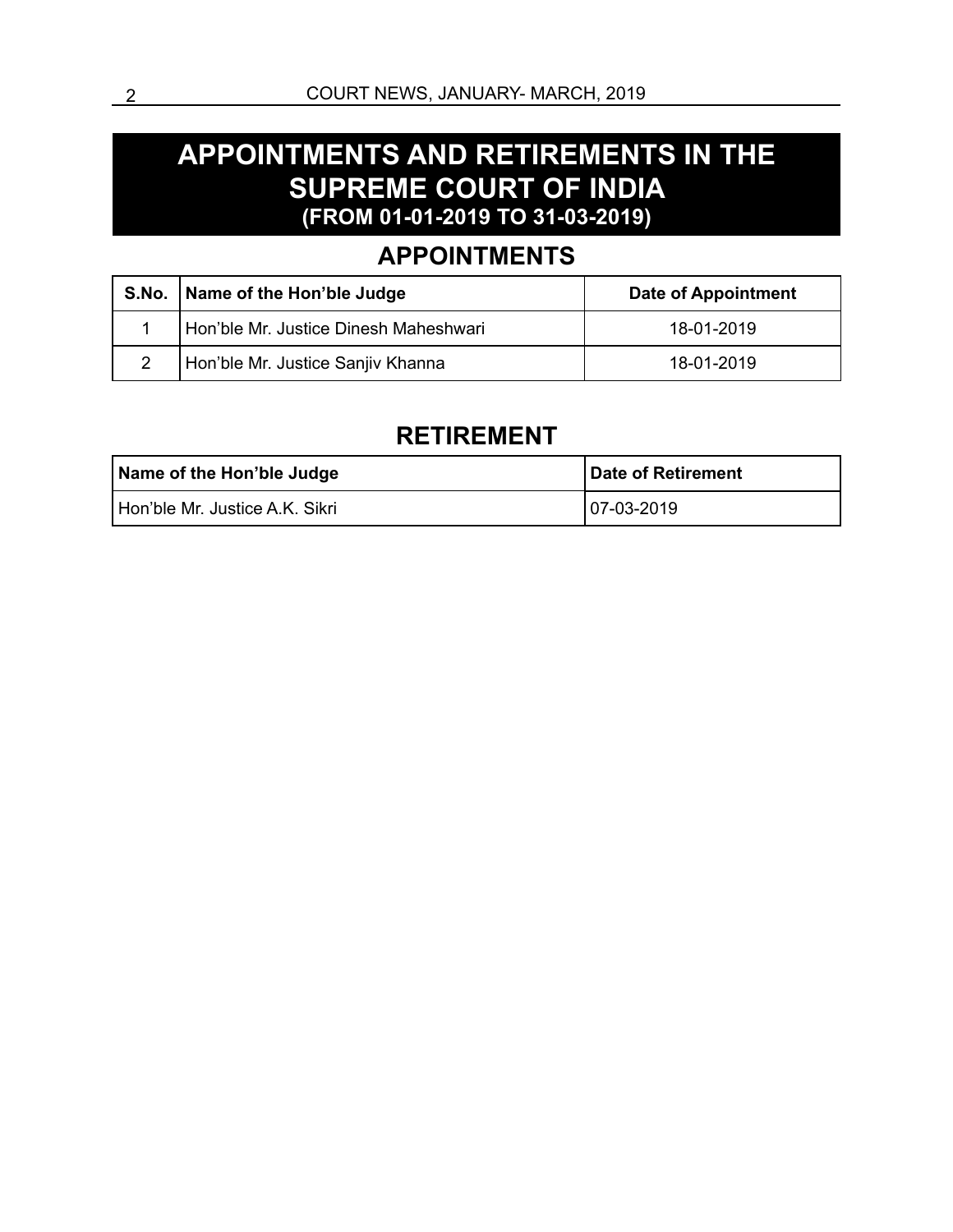#### **APPOINTMENTS AND RETIREMENTS IN THE SUPREME COURT OF INDIA (FROM 01-01-2019 TO 31-03-2019)**

#### **APPOINTMENTS**

|   | S.No.   Name of the Hon'ble Judge     | <b>Date of Appointment</b> |
|---|---------------------------------------|----------------------------|
|   | Hon'ble Mr. Justice Dinesh Maheshwari | 18-01-2019                 |
| 2 | Hon'ble Mr. Justice Sanjiv Khanna     | 18-01-2019                 |

#### **RETIREMENT**

| Name of the Hon'ble Judge      | Date of Retirement |
|--------------------------------|--------------------|
| Hon'ble Mr. Justice A.K. Sikri | $ 07-03-2019$      |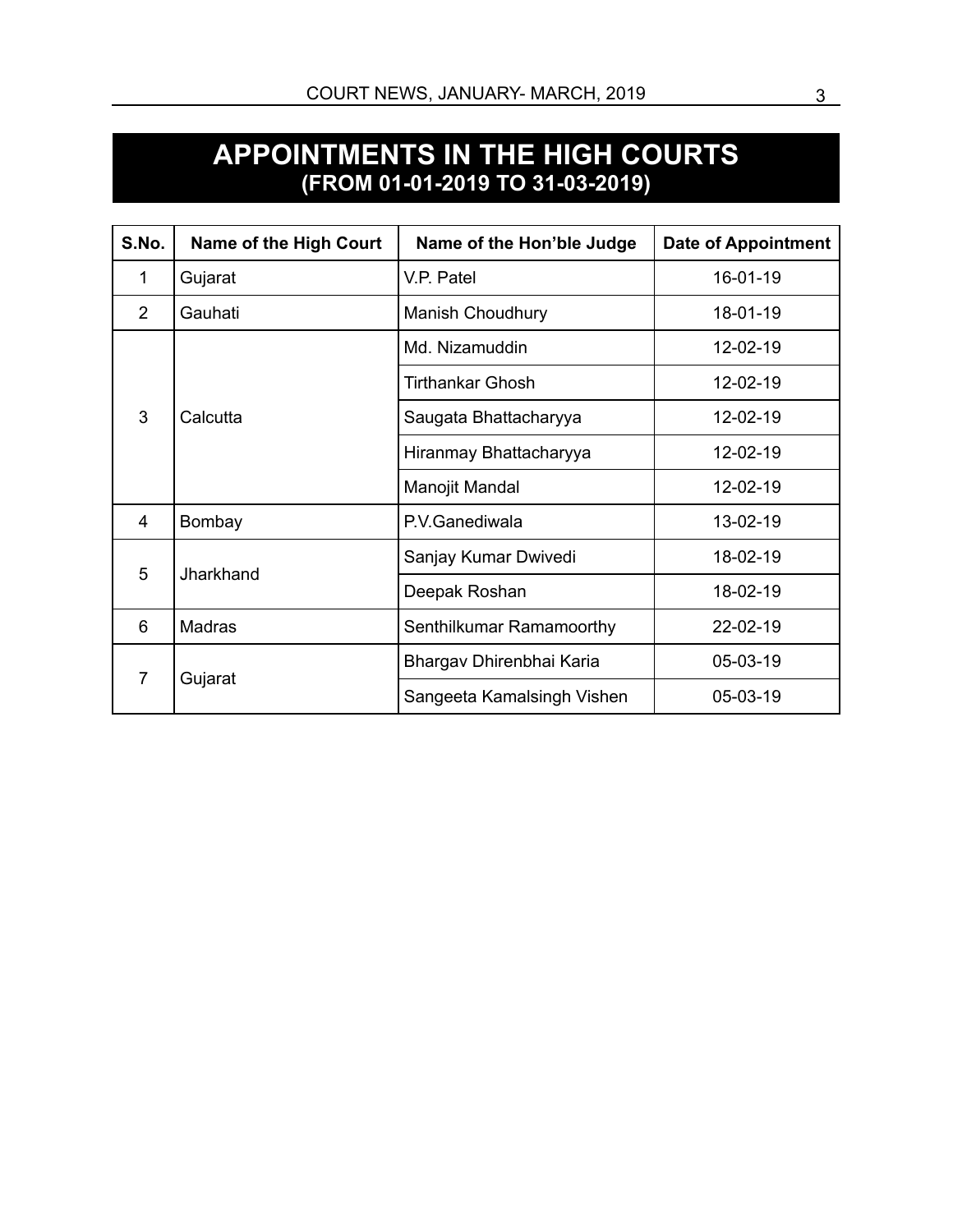#### **APPOINTMENTS IN THE HIGH COURTS (FROM 01-01-2019 TO 31-03-2019)**

| S.No.          | <b>Name of the High Court</b> | Name of the Hon'ble Judge  | <b>Date of Appointment</b> |
|----------------|-------------------------------|----------------------------|----------------------------|
| 1              | Gujarat                       | V.P. Patel                 | 16-01-19                   |
| $\mathcal{P}$  | Gauhati                       | <b>Manish Choudhury</b>    | 18-01-19                   |
|                |                               | Md. Nizamuddin             | 12-02-19                   |
| 3              |                               | <b>Tirthankar Ghosh</b>    | 12-02-19                   |
|                | Calcutta                      | Saugata Bhattacharyya      | 12-02-19                   |
|                |                               | Hiranmay Bhattacharyya     | 12-02-19                   |
|                |                               | Manojit Mandal             | 12-02-19                   |
| 4              | Bombay                        | P.V.Ganediwala             | 13-02-19                   |
| 5              | Jharkhand                     | Sanjay Kumar Dwivedi       | 18-02-19                   |
|                |                               | Deepak Roshan              | 18-02-19                   |
| 6              | <b>Madras</b>                 | Senthilkumar Ramamoorthy   | 22-02-19                   |
| $\overline{7}$ |                               | Bhargav Dhirenbhai Karia   | 05-03-19                   |
|                | Gujarat                       | Sangeeta Kamalsingh Vishen | 05-03-19                   |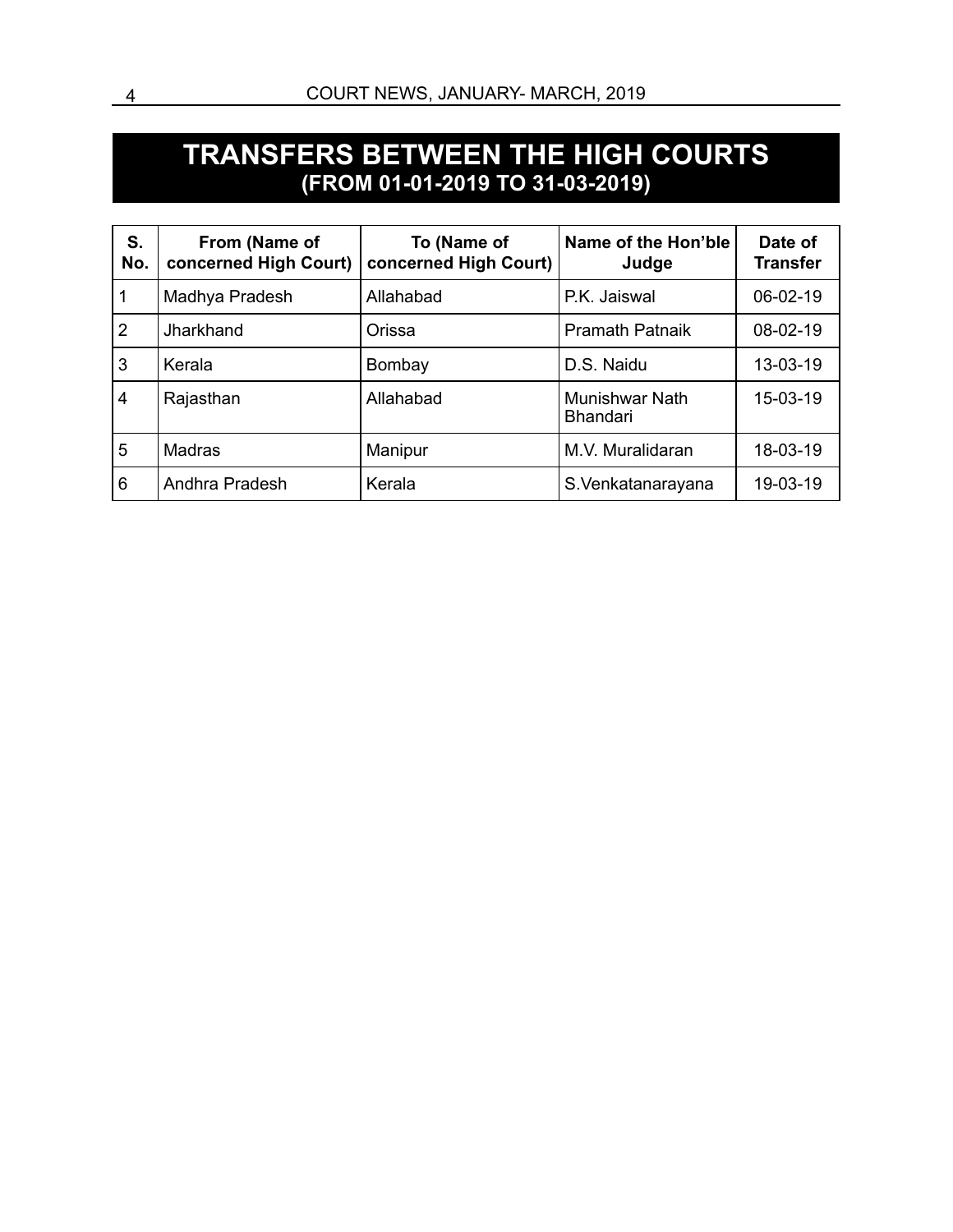#### **TRANSFERS BETWEEN THE HIGH COURTS (FROM 01-01-2019 TO 31-03-2019)**

| S.<br>No.      | From (Name of<br>concerned High Court) | To (Name of<br>concerned High Court) | Name of the Hon'ble<br>Judge      | Date of<br><b>Transfer</b> |
|----------------|----------------------------------------|--------------------------------------|-----------------------------------|----------------------------|
| 1              | Madhya Pradesh                         | Allahabad                            | P.K. Jaiswal                      | 06-02-19                   |
| $\overline{2}$ | Jharkhand                              | Orissa                               | <b>Pramath Patnaik</b>            | 08-02-19                   |
| 3              | Kerala                                 | Bombay                               | D.S. Naidu                        | 13-03-19                   |
| $\overline{4}$ | Rajasthan                              | Allahabad                            | Munishwar Nath<br><b>Bhandari</b> | 15-03-19                   |
| 5              | <b>Madras</b>                          | Manipur                              | M.V. Muralidaran                  | 18-03-19                   |
| 6              | Andhra Pradesh                         | Kerala                               | S.Venkatanarayana                 | 19-03-19                   |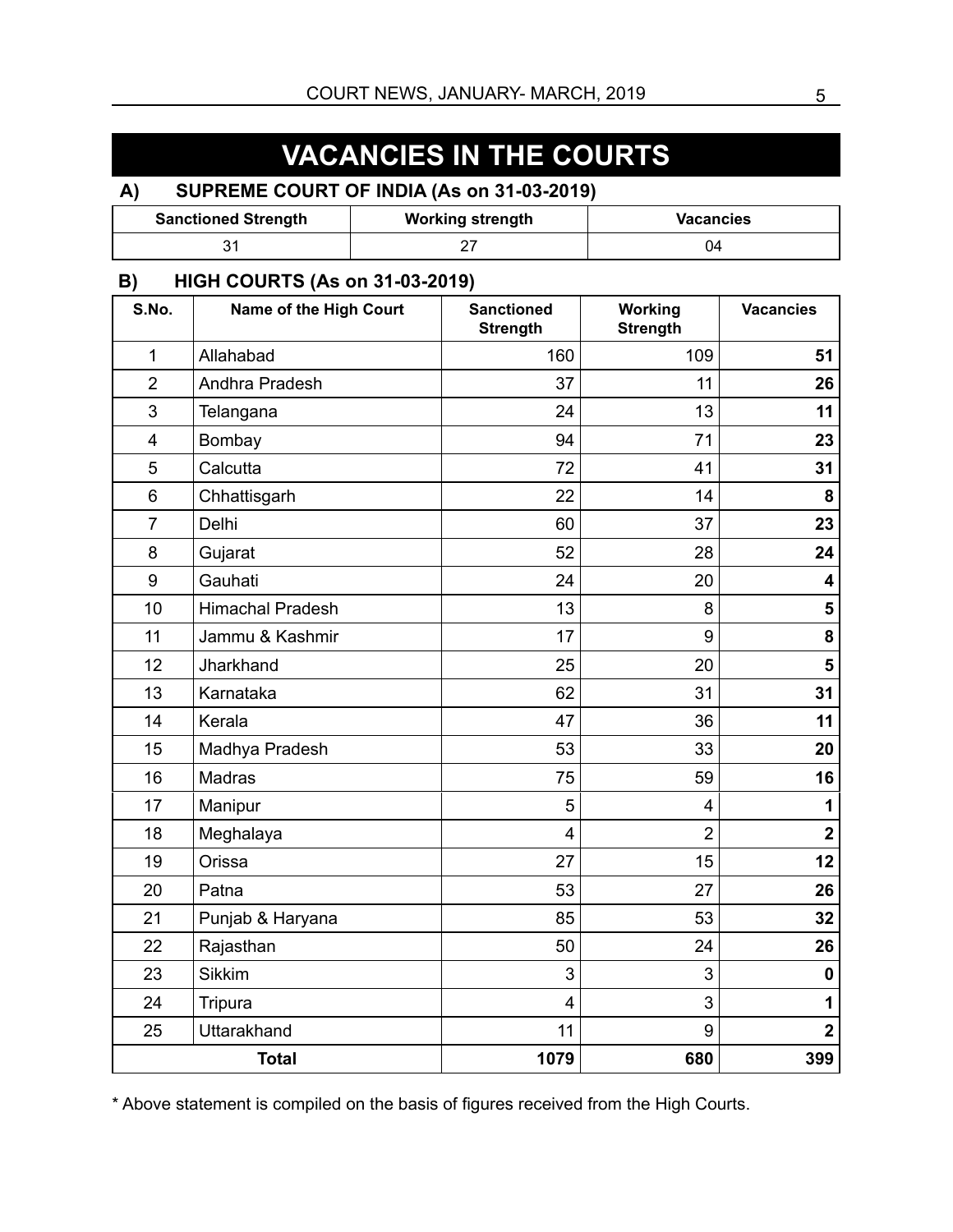# **VACANCIES IN THE COURTS**

#### **A) SUPREME COURT OF INDIA (As on 31-03-2019)**

| <b>Sanctioned Strength</b> | <b>Working strength</b> | <b>Vacancies</b> |  |  |  |
|----------------------------|-------------------------|------------------|--|--|--|
|                            |                         |                  |  |  |  |

#### **B) HIGH COURTS (As on 31-03-2019)**

| S.No.          | Name of the High Court  | <b>Sanctioned</b><br><b>Strength</b> | Working<br><b>Strength</b> | <b>Vacancies</b>        |  |  |  |  |
|----------------|-------------------------|--------------------------------------|----------------------------|-------------------------|--|--|--|--|
| $\mathbf{1}$   | Allahabad               | 160                                  | 109                        | 51                      |  |  |  |  |
| $\overline{2}$ | Andhra Pradesh          | 37<br>11                             |                            |                         |  |  |  |  |
| 3              | Telangana               | 24                                   | 13                         | 11                      |  |  |  |  |
| 4              | Bombay                  | 94                                   | 71                         | 23                      |  |  |  |  |
| 5              | Calcutta                | 72                                   | 41                         | 31                      |  |  |  |  |
| 6              | Chhattisgarh            | 22                                   | 14                         | 8                       |  |  |  |  |
| $\overline{7}$ | Delhi                   | 60                                   | 37                         | 23                      |  |  |  |  |
| 8              | Gujarat                 | 52                                   | 28                         | 24                      |  |  |  |  |
| 9              | Gauhati                 | 24                                   | 20                         | 4                       |  |  |  |  |
| 10             | <b>Himachal Pradesh</b> | 13                                   | 8                          | 5                       |  |  |  |  |
| 11             | Jammu & Kashmir         | 17                                   | 9                          | 8                       |  |  |  |  |
| 12             | Jharkhand               | 25                                   | 20                         | 5                       |  |  |  |  |
| 13             | Karnataka               | 62                                   | 31                         | 31                      |  |  |  |  |
| 14             | Kerala                  | 47                                   | 36                         | 11                      |  |  |  |  |
| 15             | Madhya Pradesh          | 53                                   | 33                         |                         |  |  |  |  |
| 16             | Madras                  | 75                                   | 59                         |                         |  |  |  |  |
| 17             | Manipur                 | 5                                    | 1<br>4                     |                         |  |  |  |  |
| 18             | Meghalaya               | $\overline{4}$                       | $\overline{2}$             | $\overline{\mathbf{2}}$ |  |  |  |  |
| 19             | Orissa                  | 27                                   | 15                         | 12                      |  |  |  |  |
| 20             | Patna                   | 53                                   | 27                         | 26                      |  |  |  |  |
| 21             | Punjab & Haryana        | 85                                   | 53                         | 32                      |  |  |  |  |
| 22             | Rajasthan               | 50                                   | 24                         | 26                      |  |  |  |  |
| 23             | <b>Sikkim</b>           | 3                                    | 3                          | 0                       |  |  |  |  |
| 24             | Tripura                 | 3<br>$\overline{4}$                  |                            |                         |  |  |  |  |
| 25             | Uttarakhand             | 11                                   | 9                          | $\overline{\mathbf{2}}$ |  |  |  |  |
|                | <b>Total</b>            | 1079                                 | 680                        | 399                     |  |  |  |  |

\* Above statement is compiled on the basis of figures received from the High Courts.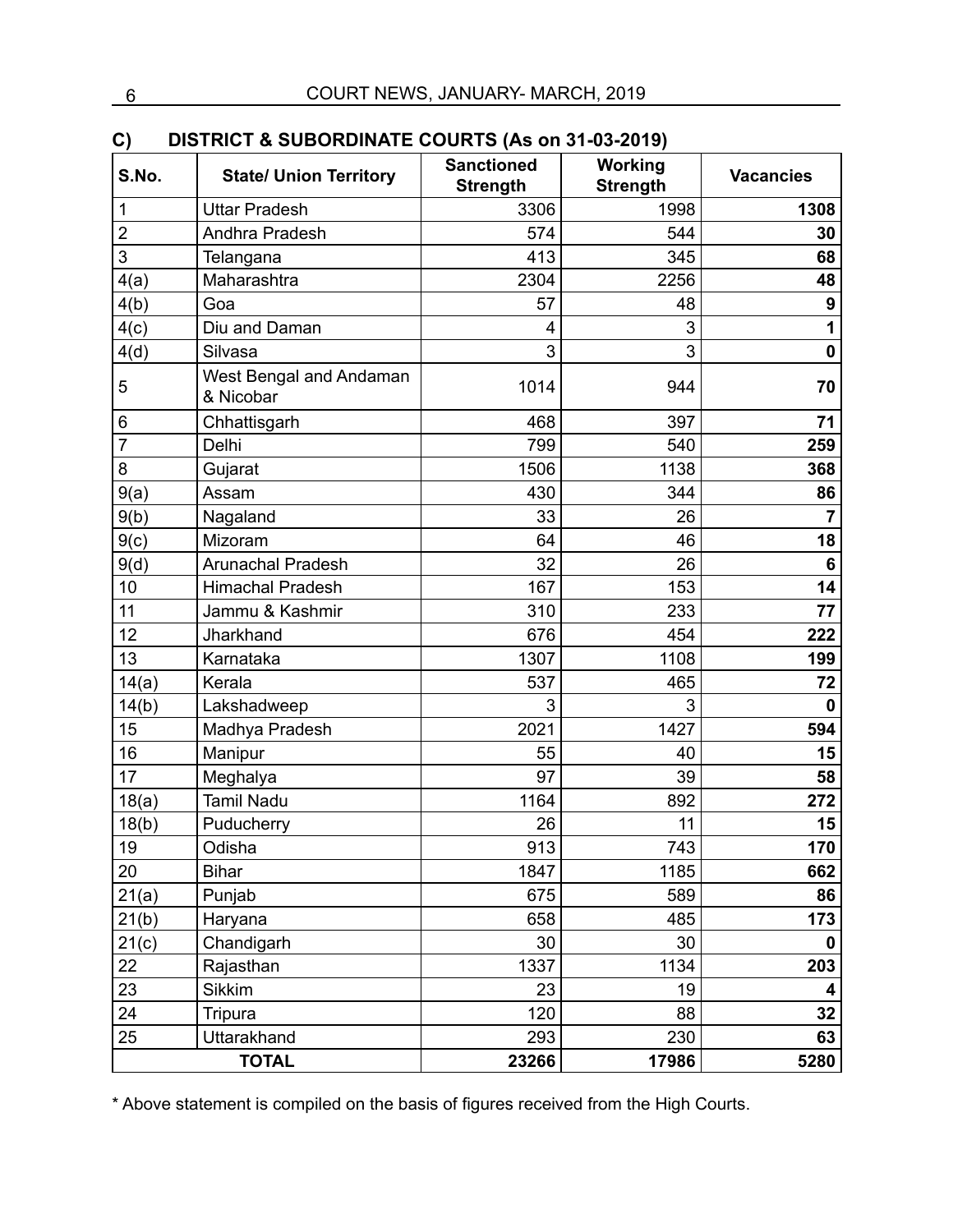| C)<br>S.No.    | DISTRICT & SUBORDINATE COURTS (AS ON 31-03-2019)<br><b>State/ Union Territory</b> | <b>Sanctioned</b><br><b>Strength</b> | Working<br><b>Strength</b> | <b>Vacancies</b> |  |  |  |  |
|----------------|-----------------------------------------------------------------------------------|--------------------------------------|----------------------------|------------------|--|--|--|--|
| 1              | <b>Uttar Pradesh</b>                                                              | 3306                                 | 1998                       | 1308             |  |  |  |  |
| $\overline{2}$ | Andhra Pradesh                                                                    | 574                                  | 544                        | 30               |  |  |  |  |
| 3              | Telangana                                                                         | 413                                  | 345                        | 68               |  |  |  |  |
| 4(a)           | Maharashtra                                                                       | 2304                                 | 2256                       | 48               |  |  |  |  |
| 4(b)           | Goa                                                                               | 57                                   | 48                         | $\boldsymbol{9}$ |  |  |  |  |
| 4(c)           | Diu and Daman                                                                     | 4                                    | 3                          | 1                |  |  |  |  |
| 4(d)           | Silvasa                                                                           | 3                                    | 3                          | $\mathbf 0$      |  |  |  |  |
| 5              | West Bengal and Andaman<br>& Nicobar                                              | 1014                                 | 944                        | 70               |  |  |  |  |
| 6              | Chhattisgarh                                                                      | 468                                  | 397                        | 71               |  |  |  |  |
| $\overline{7}$ | Delhi                                                                             | 799                                  | 540                        | 259              |  |  |  |  |
| 8              | Gujarat                                                                           | 1506                                 | 1138                       | 368              |  |  |  |  |
| 9(a)           | Assam                                                                             | 430                                  | 344                        | 86               |  |  |  |  |
| 9(b)           | Nagaland                                                                          | 33                                   | 26                         | $\overline{7}$   |  |  |  |  |
| 9(c)           | Mizoram                                                                           | 64                                   | 46                         | 18               |  |  |  |  |
| 9(d)           | <b>Arunachal Pradesh</b>                                                          | 32                                   | 26                         | 6                |  |  |  |  |
| 10             | <b>Himachal Pradesh</b>                                                           | 167                                  | 153                        |                  |  |  |  |  |
| 11             | Jammu & Kashmir                                                                   | 310                                  | 233                        | 77               |  |  |  |  |
| 12             | Jharkhand                                                                         | 676                                  | 454                        | 222              |  |  |  |  |
| 13             | Karnataka                                                                         | 1307                                 | 1108                       | 199              |  |  |  |  |
| 14(a)          | Kerala                                                                            | 537                                  | 465                        | 72               |  |  |  |  |
| 14(b)          | Lakshadweep                                                                       | 3                                    | 3                          | $\bf{0}$         |  |  |  |  |
| 15             | Madhya Pradesh                                                                    | 2021                                 | 1427                       | 594              |  |  |  |  |
| 16             | Manipur                                                                           | 55                                   | 40                         | 15               |  |  |  |  |
| 17             | Meghalya                                                                          | 97                                   | 39                         | 58               |  |  |  |  |
| 18(a)          | <b>Tamil Nadu</b>                                                                 | 1164                                 | 892                        | 272              |  |  |  |  |
| 18(b)          | Puducherry                                                                        | 26                                   | 11                         | 15               |  |  |  |  |
| 19             | Odisha                                                                            | 913                                  | 743                        | 170              |  |  |  |  |
| 20             | <b>Bihar</b>                                                                      | 1847                                 | 1185                       | 662              |  |  |  |  |
| 21(a)          | Punjab                                                                            | 675                                  | 589                        | 86               |  |  |  |  |
| 21(b)          | Haryana                                                                           | 658                                  | 485                        | 173              |  |  |  |  |
| 21(c)          | Chandigarh                                                                        | 30                                   | 30                         | 0                |  |  |  |  |
| 22             | Rajasthan                                                                         | 1337                                 | 1134                       | 203              |  |  |  |  |
| 23             | <b>Sikkim</b>                                                                     | 23                                   | 19                         | 4                |  |  |  |  |
| 24             | <b>Tripura</b>                                                                    | 120                                  | 88                         |                  |  |  |  |  |
| 25             | Uttarakhand                                                                       | 293                                  | 230                        | 63               |  |  |  |  |
|                | <b>TOTAL</b>                                                                      | 23266                                | 17986                      | 5280             |  |  |  |  |

#### **C) DISTRICT & SUBORDINATE COURTS (As on 31-03-2019)**

\* Above statement is compiled on the basis of figures received from the High Courts.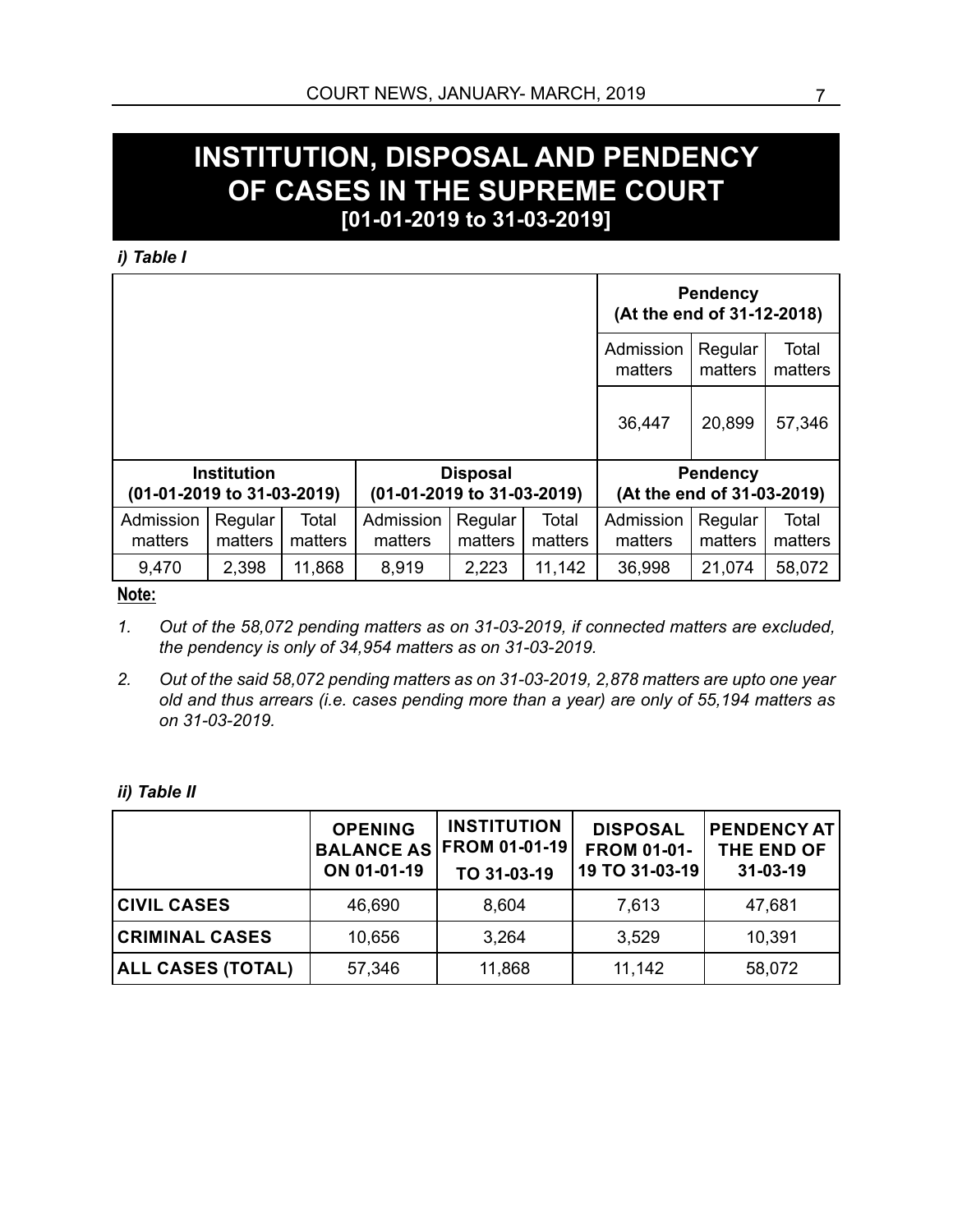#### **INSTITUTION, DISPOSAL AND PENDENCY OF CASES IN THE SUPREME COURT [01-01-2019 to 31-03-2019]**

*i) Table I*

|                            |                    | (At the end of 31-12-2018) | <b>Pendency</b>            |                    |                  |                            |                    |                  |  |
|----------------------------|--------------------|----------------------------|----------------------------|--------------------|------------------|----------------------------|--------------------|------------------|--|
|                            |                    |                            |                            |                    |                  | Admission<br>matters       | Regular<br>matters | Total<br>matters |  |
|                            |                    |                            |                            |                    |                  | 36,447                     | 20,899             | 57,346           |  |
|                            | <b>Institution</b> |                            |                            | <b>Disposal</b>    |                  |                            | <b>Pendency</b>    |                  |  |
| (01-01-2019 to 31-03-2019) |                    |                            | (01-01-2019 to 31-03-2019) |                    |                  | (At the end of 31-03-2019) |                    |                  |  |
| Admission<br>matters       | Regular<br>matters | Total<br>matters           | Admission<br>matters       | Regular<br>matters | Total<br>matters | Admission<br>matters       | Regular<br>matters | Total<br>matters |  |
| 9,470                      | 2,398              | 11,868                     | 8,919                      | 2,223              | 11,142           | 36,998                     | 21,074             | 58,072           |  |

**Note:**

- *1. Out of the 58,072 pending matters as on 31-03-2019, if connected matters are excluded, the pendency is only of 34,954 matters as on 31-03-2019.*
- *2. Out of the said 58,072 pending matters as on 31-03-2019, 2,878 matters are upto one year old and thus arrears (i.e. cases pending more than a year) are only of 55,194 matters as on 31-03-2019.*

*ii) Table II*

|                          | <b>OPENING</b><br>ON 01-01-19 | <b>INSTITUTION</b><br>BALANCE AS FROM 01-01-19<br>TO 31-03-19 | <b>DISPOSAL</b><br><b>FROM 01-01-</b><br>19 TO 31-03-19 | <b>PENDENCY AT</b><br>THE END OF<br>31-03-19 |
|--------------------------|-------------------------------|---------------------------------------------------------------|---------------------------------------------------------|----------------------------------------------|
| <b>CIVIL CASES</b>       | 46,690                        | 8,604                                                         | 7,613                                                   | 47,681                                       |
| <b>CRIMINAL CASES</b>    | 10,656                        | 3,264                                                         | 3,529                                                   | 10,391                                       |
| <b>ALL CASES (TOTAL)</b> | 57,346                        | 11,868                                                        | 11,142                                                  | 58,072                                       |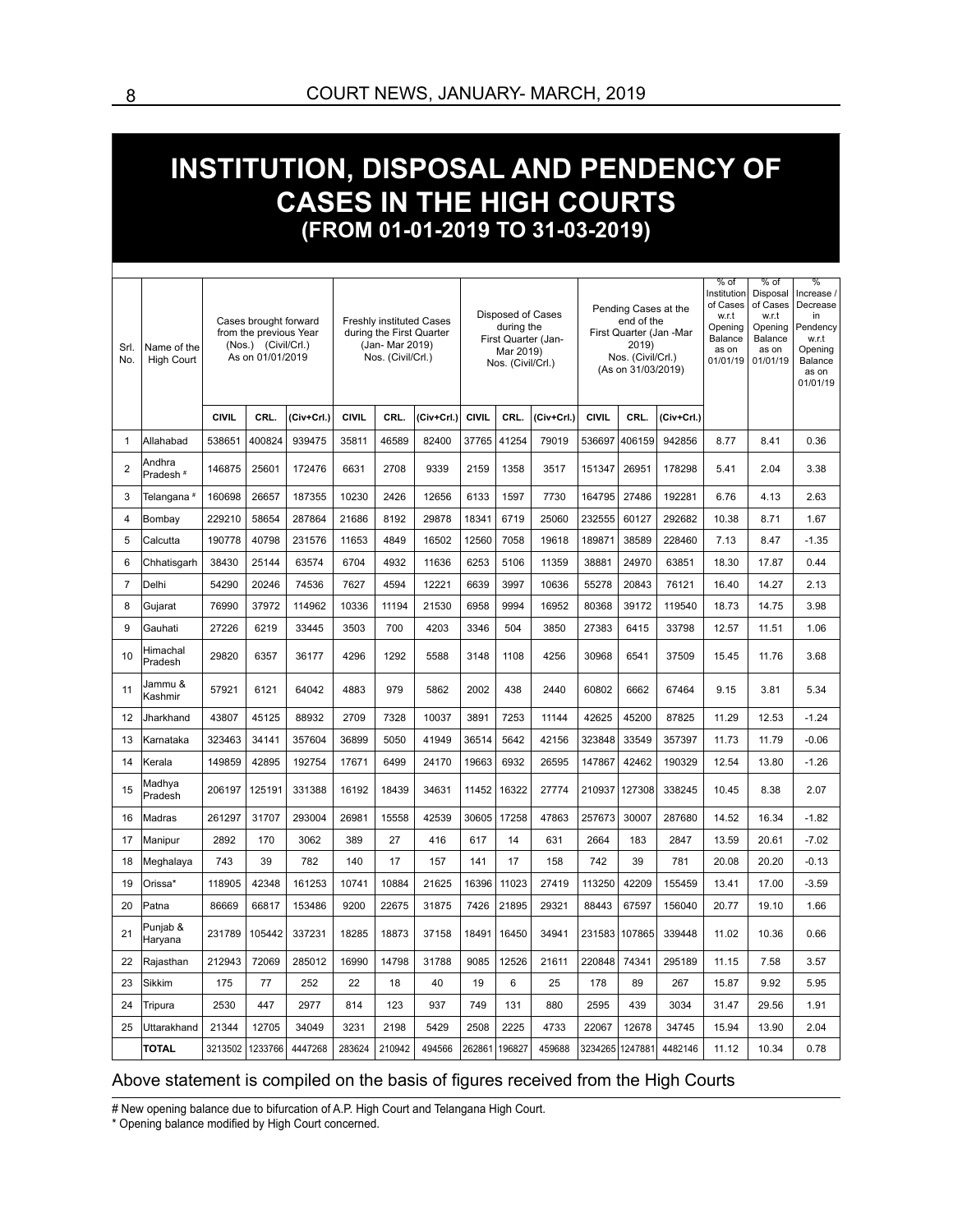### **INSTITUTION, DISPOSAL AND PENDENCY OF CASES IN THE HIGH COURTS (FROM 01-01-2019 TO 31-03-2019)**

| Srl.<br>No.    | Name of the<br><b>High Court</b> |              | Cases brought forward<br>from the previous Year<br>(Nos.) (Civil/Crl.)<br>As on 01/01/2019 |            |              | (Jan- Mar 2019)<br>Nos. (Civil/Crl.) | <b>Freshly instituted Cases</b><br>during the First Quarter | Disposed of Cases<br>during the<br>First Quarter (Jan-<br>Mar 2019)<br>Nos. (Civil/Crl.) |        | Pending Cases at the<br>end of the<br>First Quarter (Jan -Mar<br>2019)<br>Nos. (Civil/Crl.)<br>(As on 31/03/2019) |              |                 | $%$ of<br>Institution<br>of Cases<br>w.r.t<br>Opening<br>Balance<br>as on<br>01/01/19 | $%$ of<br>Disposal<br>of Cases<br>w.r.t<br>Opening<br>Balance<br>as on<br>01/01/19 | $\frac{9}{6}$<br>Increase /<br>Decrease<br>in<br>Pendency<br>w.r.t<br>Opening<br>Balance<br>as on<br>01/01/19 |         |
|----------------|----------------------------------|--------------|--------------------------------------------------------------------------------------------|------------|--------------|--------------------------------------|-------------------------------------------------------------|------------------------------------------------------------------------------------------|--------|-------------------------------------------------------------------------------------------------------------------|--------------|-----------------|---------------------------------------------------------------------------------------|------------------------------------------------------------------------------------|---------------------------------------------------------------------------------------------------------------|---------|
|                |                                  | <b>CIVIL</b> | CRL.                                                                                       | (Civ+Crl.) | <b>CIVIL</b> | CRL.                                 | (Civ+Crl.)                                                  | <b>CIVIL</b>                                                                             | CRL.   | (Civ+Crl.)                                                                                                        | <b>CIVIL</b> | CRL.            | (Civ+Crl.)                                                                            |                                                                                    |                                                                                                               |         |
| 1              | Allahabad                        | 538651       | 400824                                                                                     | 939475     | 35811        | 46589                                | 82400                                                       | 37765                                                                                    | 41254  | 79019                                                                                                             | 536697       | 406159          | 942856                                                                                | 8.77                                                                               | 8.41                                                                                                          | 0.36    |
| $\overline{2}$ | Andhra<br>Pradesh <sup>#</sup>   | 146875       | 25601                                                                                      | 172476     | 6631         | 2708                                 | 9339                                                        | 2159                                                                                     | 1358   | 3517                                                                                                              | 151347       | 26951           | 178298                                                                                | 5.41                                                                               | 2.04                                                                                                          | 3.38    |
| 3              | Telangana #                      | 160698       | 26657                                                                                      | 187355     | 10230        | 2426                                 | 12656                                                       | 6133                                                                                     | 1597   | 7730                                                                                                              | 164795       | 27486           | 192281                                                                                | 6.76                                                                               | 4.13                                                                                                          | 2.63    |
| $\overline{4}$ | Bombay                           | 229210       | 58654                                                                                      | 287864     | 21686        | 8192                                 | 29878                                                       | 18341                                                                                    | 6719   | 25060                                                                                                             | 232555       | 60127           | 292682                                                                                | 10.38                                                                              | 8.71                                                                                                          | 1.67    |
| 5              | Calcutta                         | 190778       | 40798                                                                                      | 231576     | 11653        | 4849                                 | 16502                                                       | 12560                                                                                    | 7058   | 19618                                                                                                             | 189871       | 38589           | 228460                                                                                | 7.13                                                                               | 8.47                                                                                                          | $-1.35$ |
| 6              | Chhatisgarh                      | 38430        | 25144                                                                                      | 63574      | 6704         | 4932                                 | 11636                                                       | 6253                                                                                     | 5106   | 11359                                                                                                             | 38881        | 24970           | 63851                                                                                 | 18.30                                                                              | 17.87                                                                                                         | 0.44    |
| $\overline{7}$ | Delhi                            | 54290        | 20246                                                                                      | 74536      | 7627         | 4594                                 | 12221                                                       | 6639                                                                                     | 3997   | 10636                                                                                                             | 55278        | 20843           | 76121                                                                                 | 16.40                                                                              | 14.27                                                                                                         | 2.13    |
| 8              | Gujarat                          | 76990        | 37972                                                                                      | 114962     | 10336        | 11194                                | 21530                                                       | 6958                                                                                     | 9994   | 16952                                                                                                             | 80368        | 39172           | 119540                                                                                | 18.73                                                                              | 14.75                                                                                                         | 3.98    |
| 9              | Gauhati                          | 27226        | 6219                                                                                       | 33445      | 3503         | 700                                  | 4203                                                        | 3346                                                                                     | 504    | 3850                                                                                                              | 27383        | 6415            | 33798                                                                                 | 12.57                                                                              | 11.51                                                                                                         | 1.06    |
| 10             | Himachal<br>Pradesh              | 29820        | 6357                                                                                       | 36177      | 4296         | 1292                                 | 5588                                                        | 3148                                                                                     | 1108   | 4256                                                                                                              | 30968        | 6541            | 37509                                                                                 | 15.45                                                                              | 11.76                                                                                                         | 3.68    |
| 11             | Jammu &<br>Kashmir               | 57921        | 6121                                                                                       | 64042      | 4883         | 979                                  | 5862                                                        | 2002                                                                                     | 438    | 2440                                                                                                              | 60802        | 6662            | 67464                                                                                 | 9.15                                                                               | 3.81                                                                                                          | 5.34    |
| 12             | Jharkhand                        | 43807        | 45125                                                                                      | 88932      | 2709         | 7328                                 | 10037                                                       | 3891                                                                                     | 7253   | 11144                                                                                                             | 42625        | 45200           | 87825                                                                                 | 11.29                                                                              | 12.53                                                                                                         | $-1.24$ |
| 13             | Karnataka                        | 323463       | 34141                                                                                      | 357604     | 36899        | 5050                                 | 41949                                                       | 36514                                                                                    | 5642   | 42156                                                                                                             | 323848       | 33549           | 357397                                                                                | 11.73                                                                              | 11.79                                                                                                         | $-0.06$ |
| 14             | Kerala                           | 149859       | 42895                                                                                      | 192754     | 17671        | 6499                                 | 24170                                                       | 19663                                                                                    | 6932   | 26595                                                                                                             | 147867       | 42462           | 190329                                                                                | 12.54                                                                              | 13.80                                                                                                         | $-1.26$ |
| 15             | Madhya<br>Pradesh                | 206197       | 125191                                                                                     | 331388     | 16192        | 18439                                | 34631                                                       | 11452                                                                                    | 16322  | 27774                                                                                                             | 210937       | 127308          | 338245                                                                                | 10.45                                                                              | 8.38                                                                                                          | 2.07    |
| 16             | Madras                           | 261297       | 31707                                                                                      | 293004     | 26981        | 15558                                | 42539                                                       | 30605                                                                                    | 17258  | 47863                                                                                                             | 257673       | 30007           | 287680                                                                                | 14.52                                                                              | 16.34                                                                                                         | $-1.82$ |
| 17             | Manipur                          | 2892         | 170                                                                                        | 3062       | 389          | 27                                   | 416                                                         | 617                                                                                      | 14     | 631                                                                                                               | 2664         | 183             | 2847                                                                                  | 13.59                                                                              | 20.61                                                                                                         | $-7.02$ |
| 18             | Meghalaya                        | 743          | 39                                                                                         | 782        | 140          | 17                                   | 157                                                         | 141                                                                                      | 17     | 158                                                                                                               | 742          | 39              | 781                                                                                   | 20.08                                                                              | 20.20                                                                                                         | $-0.13$ |
| 19             | Orissa*                          | 118905       | 42348                                                                                      | 161253     | 10741        | 10884                                | 21625                                                       | 16396                                                                                    | 11023  | 27419                                                                                                             | 113250       | 42209           | 155459                                                                                | 13.41                                                                              | 17.00                                                                                                         | $-3.59$ |
| 20             | Patna                            | 86669        | 66817                                                                                      | 153486     | 9200         | 22675                                | 31875                                                       | 7426                                                                                     | 21895  | 29321                                                                                                             | 88443        | 67597           | 156040                                                                                | 20.77                                                                              | 19.10                                                                                                         | 1.66    |
| 21             | Punjab &<br>Haryana              | 231789       | 105442                                                                                     | 337231     | 18285        | 18873                                | 37158                                                       | 18491                                                                                    | 16450  | 34941                                                                                                             | 231583       | 107865          | 339448                                                                                | 11.02                                                                              | 10.36                                                                                                         | 0.66    |
| 22             | Rajasthan                        | 212943       | 72069                                                                                      | 285012     | 16990        | 14798                                | 31788                                                       | 9085                                                                                     | 12526  | 21611                                                                                                             | 220848       | 74341           | 295189                                                                                | 11.15                                                                              | 7.58                                                                                                          | 3.57    |
| 23             | Sikkim                           | 175          | 77                                                                                         | 252        | 22           | 18                                   | 40                                                          | 19                                                                                       | 6      | 25                                                                                                                | 178          | 89              | 267                                                                                   | 15.87                                                                              | 9.92                                                                                                          | 5.95    |
| 24             | Tripura                          | 2530         | 447                                                                                        | 2977       | 814          | 123                                  | 937                                                         | 749                                                                                      | 131    | 880                                                                                                               | 2595         | 439             | 3034                                                                                  | 31.47                                                                              | 29.56                                                                                                         | 1.91    |
| 25             | Uttarakhand                      | 21344        | 12705                                                                                      | 34049      | 3231         | 2198                                 | 5429                                                        | 2508                                                                                     | 2225   | 4733                                                                                                              | 22067        | 12678           | 34745                                                                                 | 15.94                                                                              | 13.90                                                                                                         | 2.04    |
|                | <b>TOTAL</b>                     | 3213502      | 1233766                                                                                    | 4447268    | 283624       | 210942                               | 494566                                                      | 262861                                                                                   | 196827 | 459688                                                                                                            |              | 3234265 1247881 | 4482146                                                                               | 11.12                                                                              | 10.34                                                                                                         | 0.78    |

#### Above statement is compiled on the basis of figures received from the High Courts

# New opening balance due to bifurcation of A.P. High Court and Telangana High Court.

\* Opening balance modified by High Court concerned.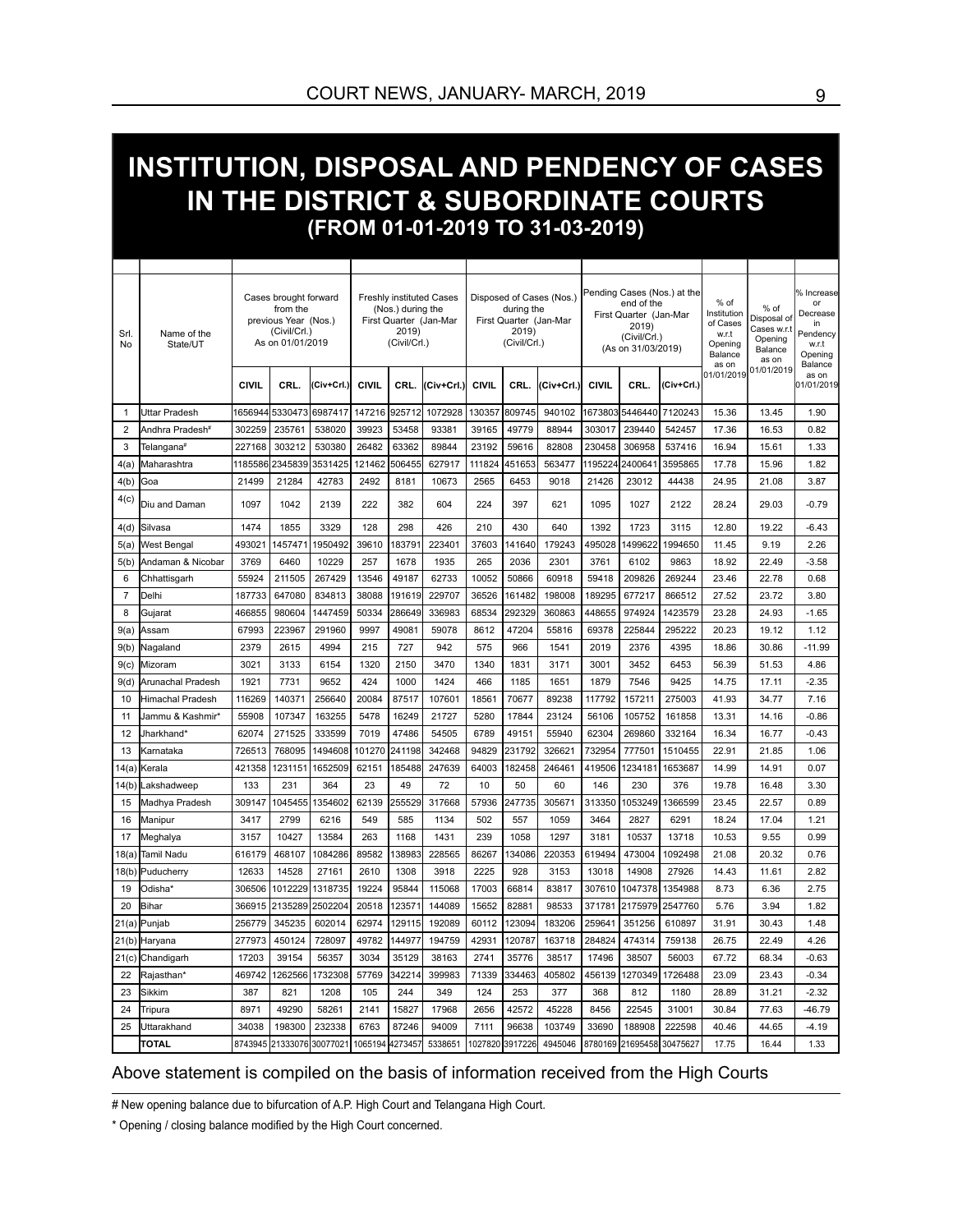#### **INSTITUTION, DISPOSAL AND PENDENCY OF CASES IN THE DISTRICT & SUBORDINATE COURTS (FROM 01-01-2019 TO 31-03-2019)**

| Srl.<br>No     | Name of the<br>State/UT      | Cases brought forward<br>from the<br>previous Year (Nos.)<br>(Civil/Crl.)<br>As on 01/01/2019 |                  |            | <b>Freshly instituted Cases</b><br>(Nos.) during the<br>First Quarter (Jan-Mar<br>2019)<br>(Civil/Crl.) |        |            | Disposed of Cases (Nos.)<br>during the<br>First Quarter (Jan-Mar<br>2019)<br>(Civil/Crl.) |                 |            | Pending Cases (Nos.) at the<br>end of the<br>First Quarter (Jan-Mar<br>2019)<br>(Civil/Crl.)<br>(As on 31/03/2019) |         |                   | % of<br>Institution<br>of Cases<br>w.r.t<br>Opening<br>Balance<br>as on | % of<br>Disposal of<br>Cases w.r.t<br>Opening<br>Balance<br>as on | % Increase<br>or<br>Decrease<br>in<br>Pendency<br>w.r.t<br>Opening<br>Balance |
|----------------|------------------------------|-----------------------------------------------------------------------------------------------|------------------|------------|---------------------------------------------------------------------------------------------------------|--------|------------|-------------------------------------------------------------------------------------------|-----------------|------------|--------------------------------------------------------------------------------------------------------------------|---------|-------------------|-------------------------------------------------------------------------|-------------------------------------------------------------------|-------------------------------------------------------------------------------|
|                |                              | <b>CIVIL</b>                                                                                  | CRL.             | (Civ+Crl.) | <b>CIVIL</b>                                                                                            | CRL.   | (Civ+Crl.) | <b>CIVIL</b>                                                                              | CRL.            | (Civ+Crl.) | <b>CIVIL</b>                                                                                                       | CRL.    | (Civ+Crl.)        | 01/01/2019                                                              | 01/01/2019                                                        | as on<br>01/01/2019                                                           |
| $\mathbf{1}$   | Uttar Pradesh                |                                                                                               | 1656944 5330473  | 6987417    | 147216                                                                                                  | 925712 | 1072928    | 130357                                                                                    | 809745          | 940102     | 1673803                                                                                                            | 5446440 | 7120243           | 15.36                                                                   | 13.45                                                             | 1.90                                                                          |
| $\overline{2}$ | Andhra Pradesh <sup>#</sup>  | 302259                                                                                        | 235761           | 538020     | 39923                                                                                                   | 53458  | 93381      | 39165                                                                                     | 49779           | 88944      | 303017                                                                                                             | 239440  | 542457            | 17.36                                                                   | 16.53                                                             | 0.82                                                                          |
| 3              | Telangana#                   | 227168                                                                                        | 303212           | 530380     | 26482                                                                                                   | 63362  | 89844      | 23192                                                                                     | 59616           | 82808      | 230458                                                                                                             | 306958  | 537416            | 16.94                                                                   | 15.61                                                             | 1.33                                                                          |
| 4(a)           | Maharashtra                  | 1185586                                                                                       | 2345839          | 3531425    | 121462                                                                                                  | 506455 | 627917     | 111824                                                                                    | 451653          | 563477     | 1195224                                                                                                            | 2400641 | 3595865           | 17.78                                                                   | 15.96                                                             | 1.82                                                                          |
| 4(b)           | Goa                          | 21499                                                                                         | 21284            | 42783      | 2492                                                                                                    | 8181   | 10673      | 2565                                                                                      | 6453            | 9018       | 21426                                                                                                              | 23012   | 44438             | 24.95                                                                   | 21.08                                                             | 3.87                                                                          |
| 4(c)           | Diu and Daman                | 1097                                                                                          | 1042             | 2139       | 222                                                                                                     | 382    | 604        | 224                                                                                       | 397             | 621        | 1095                                                                                                               | 1027    | 2122              | 28.24                                                                   | 29.03                                                             | $-0.79$                                                                       |
| 4(d)           | Silvasa                      | 1474                                                                                          | 1855             | 3329       | 128                                                                                                     | 298    | 426        | 210                                                                                       | 430             | 640        | 1392                                                                                                               | 1723    | 3115              | 12.80                                                                   | 19.22                                                             | $-6.43$                                                                       |
| 5(a)           | West Bengal                  | 493021                                                                                        | 1457471          | 1950492    | 39610                                                                                                   | 183791 | 223401     | 37603                                                                                     | 141640          | 179243     | 495028                                                                                                             | 1499622 | 1994650           | 11.45                                                                   | 9.19                                                              | 2.26                                                                          |
| 5(b)           | Andaman & Nicobar            | 3769                                                                                          | 6460             | 10229      | 257                                                                                                     | 1678   | 1935       | 265                                                                                       | 2036            | 2301       | 3761                                                                                                               | 6102    | 9863              | 18.92                                                                   | 22.49                                                             | $-3.58$                                                                       |
| 6              | Chhattisgarh                 | 55924                                                                                         | 211505           | 267429     | 13546                                                                                                   | 49187  | 62733      | 10052                                                                                     | 50866           | 60918      | 59418                                                                                                              | 209826  | 269244            | 23.46                                                                   | 22.78                                                             | 0.68                                                                          |
| $\overline{7}$ | Delhi                        | 187733                                                                                        | 647080           | 834813     | 38088                                                                                                   | 191619 | 229707     | 36526                                                                                     | 161482          | 198008     | 189295                                                                                                             | 677217  | 866512            | 27.52                                                                   | 23.72                                                             | 3.80                                                                          |
| 8              | Gujarat                      | 466855                                                                                        | 980604           | 1447459    | 50334                                                                                                   | 286649 | 336983     | 68534                                                                                     | 292329          | 360863     | 448655                                                                                                             | 974924  | 1423579           | 23.28                                                                   | 24.93                                                             | $-1.65$                                                                       |
| 9(a)           | Assam                        | 67993                                                                                         | 223967           | 291960     | 9997                                                                                                    | 49081  | 59078      | 8612                                                                                      | 47204           | 55816      | 69378                                                                                                              | 225844  | 295222            | 20.23                                                                   | 19.12                                                             | 1.12                                                                          |
| 9(b)           | Nagaland                     | 2379                                                                                          | 2615             | 4994       | 215                                                                                                     | 727    | 942        | 575                                                                                       | 966             | 1541       | 2019                                                                                                               | 2376    | 4395              | 18.86                                                                   | 30.86                                                             | $-11.99$                                                                      |
| 9(c)           | Mizoram                      | 3021                                                                                          | 3133             | 6154       | 1320                                                                                                    | 2150   | 3470       | 1340                                                                                      | 1831            | 3171       | 3001                                                                                                               | 3452    | 6453              | 56.39                                                                   | 51.53                                                             | 4.86                                                                          |
| 9(d)           | Arunachal Pradesh            | 1921                                                                                          | 7731             | 9652       | 424                                                                                                     | 1000   | 1424       | 466                                                                                       | 1185            | 1651       | 1879                                                                                                               | 7546    | 9425              | 14.75                                                                   | 17.11                                                             | $-2.35$                                                                       |
| 10             | Himachal Pradesh             | 116269                                                                                        | 140371           | 256640     | 20084                                                                                                   | 87517  | 107601     | 18561                                                                                     | 70677           | 89238      | 117792                                                                                                             | 157211  | 275003            | 41.93                                                                   | 34.77                                                             | 7.16                                                                          |
| 11             | Jammu & Kashmir <sup>,</sup> | 55908                                                                                         | 107347           | 163255     | 5478                                                                                                    | 16249  | 21727      | 5280                                                                                      | 17844           | 23124      | 56106                                                                                                              | 105752  | 161858            | 13.31                                                                   | 14.16                                                             | $-0.86$                                                                       |
| 12             | Jharkhand*                   | 62074                                                                                         | 271525           | 333599     | 7019                                                                                                    | 47486  | 54505      | 6789                                                                                      | 49151           | 55940      | 62304                                                                                                              | 269860  | 332164            | 16.34                                                                   | 16.77                                                             | $-0.43$                                                                       |
| 13             | Karnataka                    | 726513                                                                                        | 768095           | 1494608    | 101270                                                                                                  | 241198 | 342468     | 94829                                                                                     | 231792          | 326621     | 732954                                                                                                             | 777501  | 1510455           | 22.91                                                                   | 21.85                                                             | 1.06                                                                          |
| 14(a           | Kerala                       | 421358                                                                                        | 1231151          | 1652509    | 62151                                                                                                   | 185488 | 247639     | 64003                                                                                     | 182458          | 246461     | 419506                                                                                                             | 1234181 | 1653687           | 14.99                                                                   | 14.91                                                             | 0.07                                                                          |
| 14(b)          | .akshadweep                  | 133                                                                                           | 231              | 364        | 23                                                                                                      | 49     | 72         | 10                                                                                        | 50              | 60         | 146                                                                                                                | 230     | 376               | 19.78                                                                   | 16.48                                                             | 3.30                                                                          |
| 15             | Madhya Pradesh               | 309147                                                                                        | 1045455          | 1354602    | 62139                                                                                                   | 255529 | 317668     | 57936                                                                                     | 247735          | 305671     | 313350                                                                                                             | 1053249 | 1366599           | 23.45                                                                   | 22.57                                                             | 0.89                                                                          |
| 16             | Manipur                      | 3417                                                                                          | 2799             | 6216       | 549                                                                                                     | 585    | 1134       | 502                                                                                       | 557             | 1059       | 3464                                                                                                               | 2827    | 6291              | 18.24                                                                   | 17.04                                                             | 1.21                                                                          |
| 17             | Meghalya                     | 3157                                                                                          | 10427            | 13584      | 263                                                                                                     | 1168   | 1431       | 239                                                                                       | 1058            | 1297       | 3181                                                                                                               | 10537   | 13718             | 10.53                                                                   | 9.55                                                              | 0.99                                                                          |
| 18(a           | Tamil Nadu                   | 616179                                                                                        | 468107           | 1084286    | 89582                                                                                                   | 138983 | 228565     | 86267                                                                                     | 134086          | 220353     | 619494                                                                                                             | 473004  | 1092498           | 21.08                                                                   | 20.32                                                             | 0.76                                                                          |
| 18(b)          | Puducherry                   | 12633                                                                                         | 14528            | 27161      | 2610                                                                                                    | 1308   | 3918       | 2225                                                                                      | 928             | 3153       | 13018                                                                                                              | 14908   | 27926             | 14.43                                                                   | 11.61                                                             | 2.82                                                                          |
| 19             | Odisha*                      | 306506                                                                                        | 1012229          | 1318735    | 19224                                                                                                   | 95844  | 115068     | 17003                                                                                     | 66814           | 83817      | 307610                                                                                                             | 1047378 | 1354988           | 8.73                                                                    | 6.36                                                              | 2.75                                                                          |
| 20             | Bihar                        | 366915                                                                                        | 2135289          | 2502204    | 20518                                                                                                   | 123571 | 144089     | 15652                                                                                     | 82881           | 98533      | 371781                                                                                                             | 2175979 | 2547760           | 5.76                                                                    | 3.94                                                              | 1.82                                                                          |
| 21(a           | Punjab                       | 256779                                                                                        | 345235           | 602014     | 62974                                                                                                   | 129115 | 192089     | 60112                                                                                     | 123094          | 183206     | 259641                                                                                                             | 351256  | 610897            | 31.91                                                                   | 30.43                                                             | 1.48                                                                          |
| 21(b)          | Haryana                      | 277973                                                                                        | 450124           | 728097     | 49782                                                                                                   | 144977 | 194759     | 42931                                                                                     | 120787          | 163718     | 284824                                                                                                             | 474314  | 759138            | 26.75                                                                   | 22.49                                                             | 4.26                                                                          |
| 21(c)          | Chandigarh                   | 17203                                                                                         | 39154            | 56357      | 3034                                                                                                    | 35129  | 38163      | 2741                                                                                      | 35776           | 38517      | 17496                                                                                                              | 38507   | 56003             | 67.72                                                                   | 68.34                                                             | $-0.63$                                                                       |
| 22             | Rajasthan*                   | 469742                                                                                        | 1262566          | 1732308    | 57769                                                                                                   | 342214 | 399983     | 71339                                                                                     | 334463          | 405802     | 456139                                                                                                             | 1270349 | 1726488           | 23.09                                                                   | 23.43                                                             | $-0.34$                                                                       |
| 23             | Sikkim                       | 387                                                                                           | 821              | 1208       | 105                                                                                                     | 244    | 349        | 124                                                                                       | 253             | 377        | 368                                                                                                                | 812     | 1180              | 28.89                                                                   | 31.21                                                             | $-2.32$                                                                       |
| 24             | Tripura                      | 8971                                                                                          | 49290            | 58261      | 2141                                                                                                    | 15827  | 17968      | 2656                                                                                      | 42572           | 45228      | 8456                                                                                                               | 22545   | 31001             | 30.84                                                                   | 77.63                                                             | $-46.79$                                                                      |
| 25             | Uttarakhand                  | 34038                                                                                         | 198300           | 232338     | 6763                                                                                                    | 87246  | 94009      | 7111                                                                                      | 96638           | 103749     | 33690                                                                                                              | 188908  | 222598            | 40.46                                                                   | 44.65                                                             | $-4.19$                                                                       |
|                | <b>TOTAL</b>                 |                                                                                               | 8743945 21333076 | 30077021   | 1065194 4273457                                                                                         |        | 5338651    |                                                                                           | 1027820 3917226 | 4945046    | 8780169                                                                                                            |         | 21695458 30475627 | 17.75                                                                   | 16.44                                                             | 1.33                                                                          |

#### Above statement is compiled on the basis of information received from the High Courts

# New opening balance due to bifurcation of A.P. High Court and Telangana High Court.

\* Opening / closing balance modified by the High Court concerned.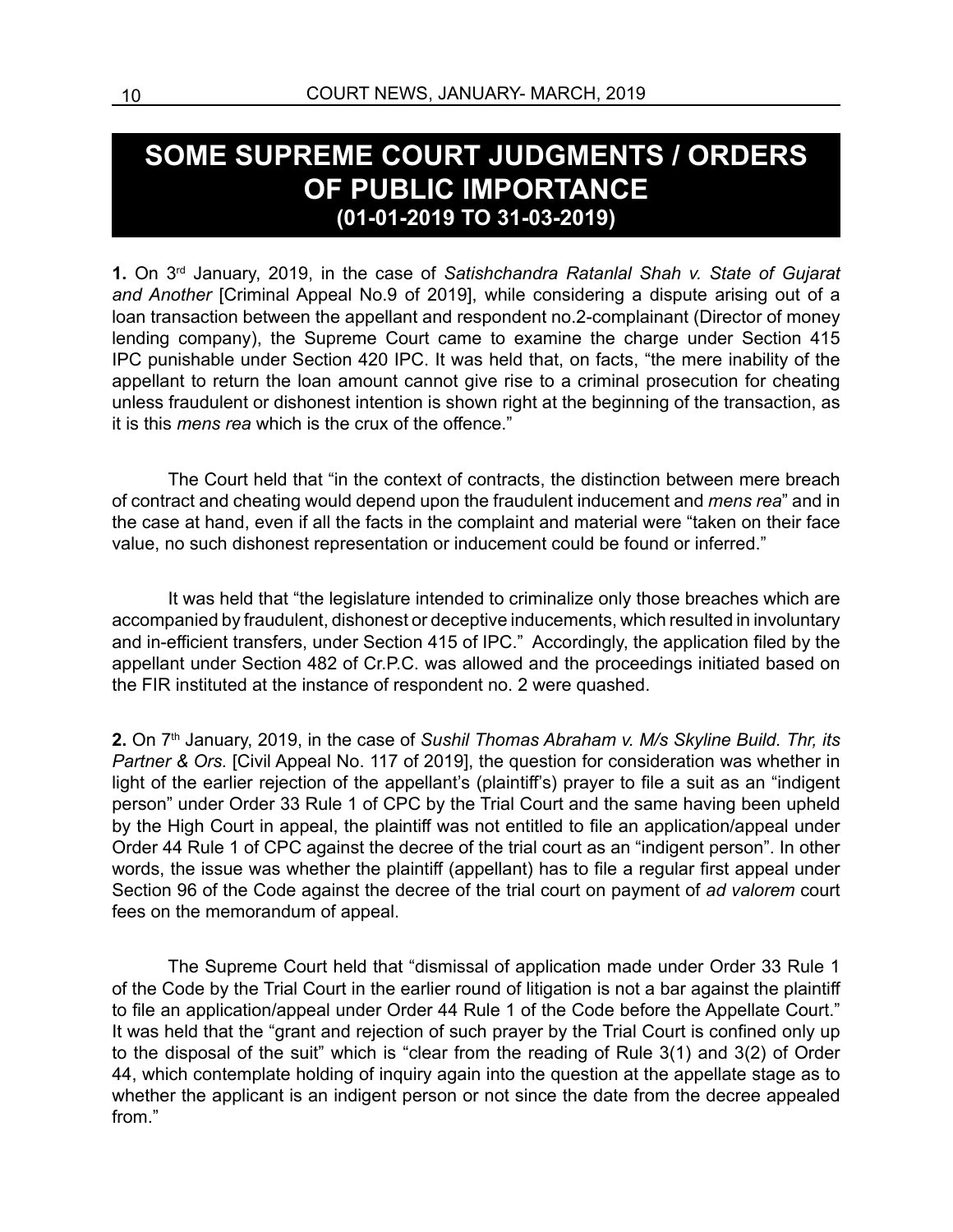#### **SOME SUPREME COURT JUDGMENTS / ORDERS OF PUBLIC IMPORTANCE (01-01-2019 TO 31-03-2019)**

**1.** On 3rd January, 2019, in the case of *Satishchandra Ratanlal Shah v. State of Gujarat and Another* [Criminal Appeal No.9 of 2019], while considering a dispute arising out of a loan transaction between the appellant and respondent no.2-complainant (Director of money lending company), the Supreme Court came to examine the charge under Section 415 IPC punishable under Section 420 IPC. It was held that, on facts, "the mere inability of the appellant to return the loan amount cannot give rise to a criminal prosecution for cheating unless fraudulent or dishonest intention is shown right at the beginning of the transaction, as it is this *mens rea* which is the crux of the offence."

The Court held that "in the context of contracts, the distinction between mere breach of contract and cheating would depend upon the fraudulent inducement and *mens rea*" and in the case at hand, even if all the facts in the complaint and material were "taken on their face value, no such dishonest representation or inducement could be found or inferred."

It was held that "the legislature intended to criminalize only those breaches which are accompanied by fraudulent, dishonest or deceptive inducements, which resulted in involuntary and in-efficient transfers, under Section 415 of IPC." Accordingly, the application filed by the appellant under Section 482 of Cr.P.C. was allowed and the proceedings initiated based on the FIR instituted at the instance of respondent no. 2 were quashed.

2. On 7<sup>th</sup> January, 2019, in the case of Sushil Thomas Abraham v. M/s Skyline Build. Thr, its *Partner & Ors.* [Civil Appeal No. 117 of 2019], the question for consideration was whether in light of the earlier rejection of the appellant's (plaintiff's) prayer to file a suit as an "indigent person" under Order 33 Rule 1 of CPC by the Trial Court and the same having been upheld by the High Court in appeal, the plaintiff was not entitled to file an application/appeal under Order 44 Rule 1 of CPC against the decree of the trial court as an "indigent person". In other words, the issue was whether the plaintiff (appellant) has to file a regular first appeal under Section 96 of the Code against the decree of the trial court on payment of *ad valorem* court fees on the memorandum of appeal.

The Supreme Court held that "dismissal of application made under Order 33 Rule 1 of the Code by the Trial Court in the earlier round of litigation is not a bar against the plaintiff to file an application/appeal under Order 44 Rule 1 of the Code before the Appellate Court." It was held that the "grant and rejection of such prayer by the Trial Court is confined only up to the disposal of the suit" which is "clear from the reading of Rule 3(1) and 3(2) of Order 44, which contemplate holding of inquiry again into the question at the appellate stage as to whether the applicant is an indigent person or not since the date from the decree appealed from."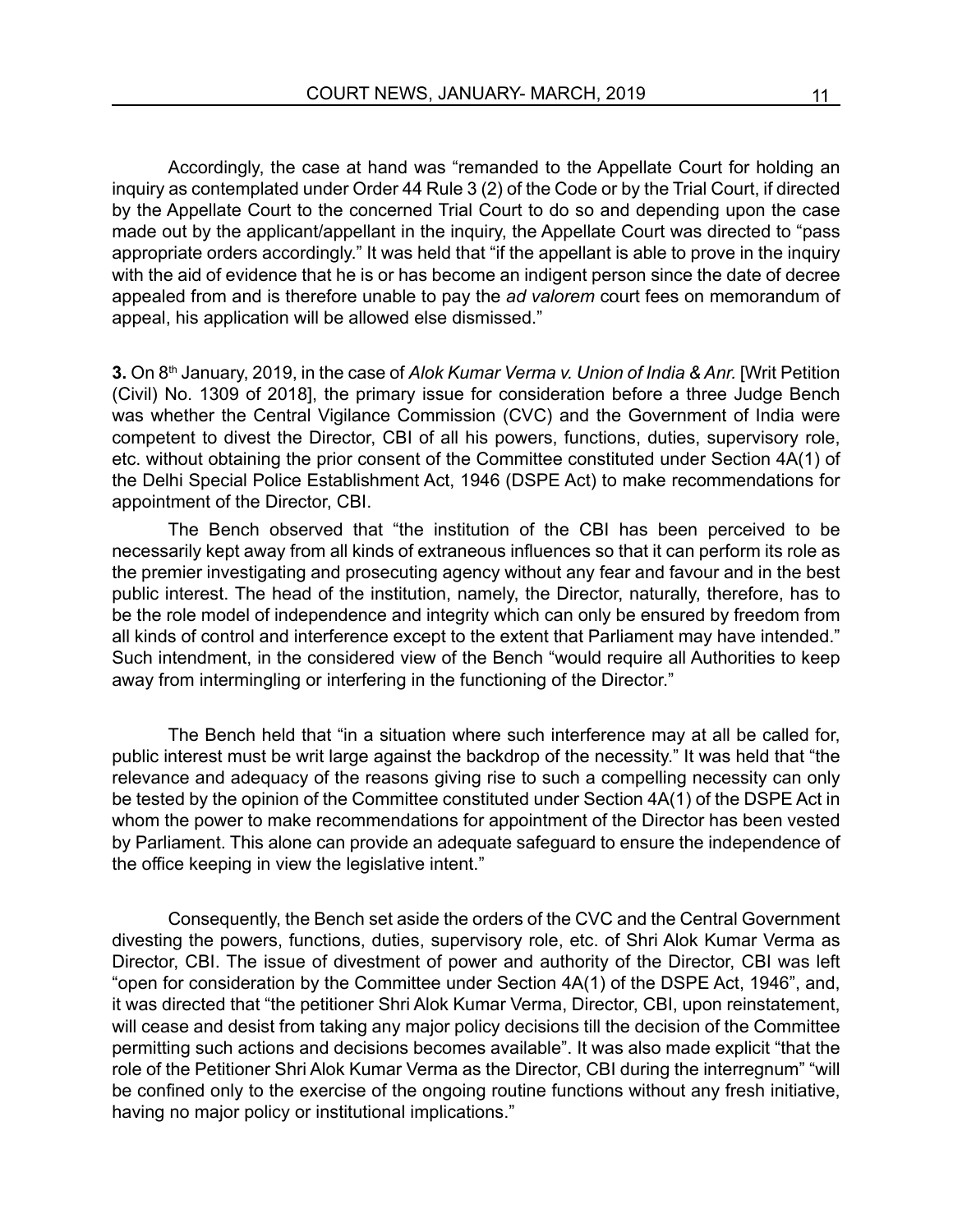Accordingly, the case at hand was "remanded to the Appellate Court for holding an inquiry as contemplated under Order 44 Rule 3 (2) of the Code or by the Trial Court, if directed by the Appellate Court to the concerned Trial Court to do so and depending upon the case made out by the applicant/appellant in the inquiry, the Appellate Court was directed to "pass appropriate orders accordingly." It was held that "if the appellant is able to prove in the inquiry with the aid of evidence that he is or has become an indigent person since the date of decree appealed from and is therefore unable to pay the *ad valorem* court fees on memorandum of appeal, his application will be allowed else dismissed."

**3.** On 8<sup>th</sup> January, 2019, in the case of *Alok Kumar Verma v. Union of India & Anr.* [Writ Petition (Civil) No. 1309 of 2018], the primary issue for consideration before a three Judge Bench was whether the Central Vigilance Commission (CVC) and the Government of India were competent to divest the Director, CBI of all his powers, functions, duties, supervisory role, etc. without obtaining the prior consent of the Committee constituted under Section 4A(1) of the Delhi Special Police Establishment Act, 1946 (DSPE Act) to make recommendations for appointment of the Director, CBI.

The Bench observed that "the institution of the CBI has been perceived to be necessarily kept away from all kinds of extraneous influences so that it can perform its role as the premier investigating and prosecuting agency without any fear and favour and in the best public interest. The head of the institution, namely, the Director, naturally, therefore, has to be the role model of independence and integrity which can only be ensured by freedom from all kinds of control and interference except to the extent that Parliament may have intended." Such intendment, in the considered view of the Bench "would require all Authorities to keep away from intermingling or interfering in the functioning of the Director."

The Bench held that "in a situation where such interference may at all be called for, public interest must be writ large against the backdrop of the necessity." It was held that "the relevance and adequacy of the reasons giving rise to such a compelling necessity can only be tested by the opinion of the Committee constituted under Section 4A(1) of the DSPE Act in whom the power to make recommendations for appointment of the Director has been vested by Parliament. This alone can provide an adequate safeguard to ensure the independence of the office keeping in view the legislative intent."

Consequently, the Bench set aside the orders of the CVC and the Central Government divesting the powers, functions, duties, supervisory role, etc. of Shri Alok Kumar Verma as Director, CBI. The issue of divestment of power and authority of the Director, CBI was left "open for consideration by the Committee under Section 4A(1) of the DSPE Act, 1946", and, it was directed that "the petitioner Shri Alok Kumar Verma, Director, CBI, upon reinstatement, will cease and desist from taking any major policy decisions till the decision of the Committee permitting such actions and decisions becomes available". It was also made explicit "that the role of the Petitioner Shri Alok Kumar Verma as the Director, CBI during the interregnum" "will be confined only to the exercise of the ongoing routine functions without any fresh initiative, having no major policy or institutional implications."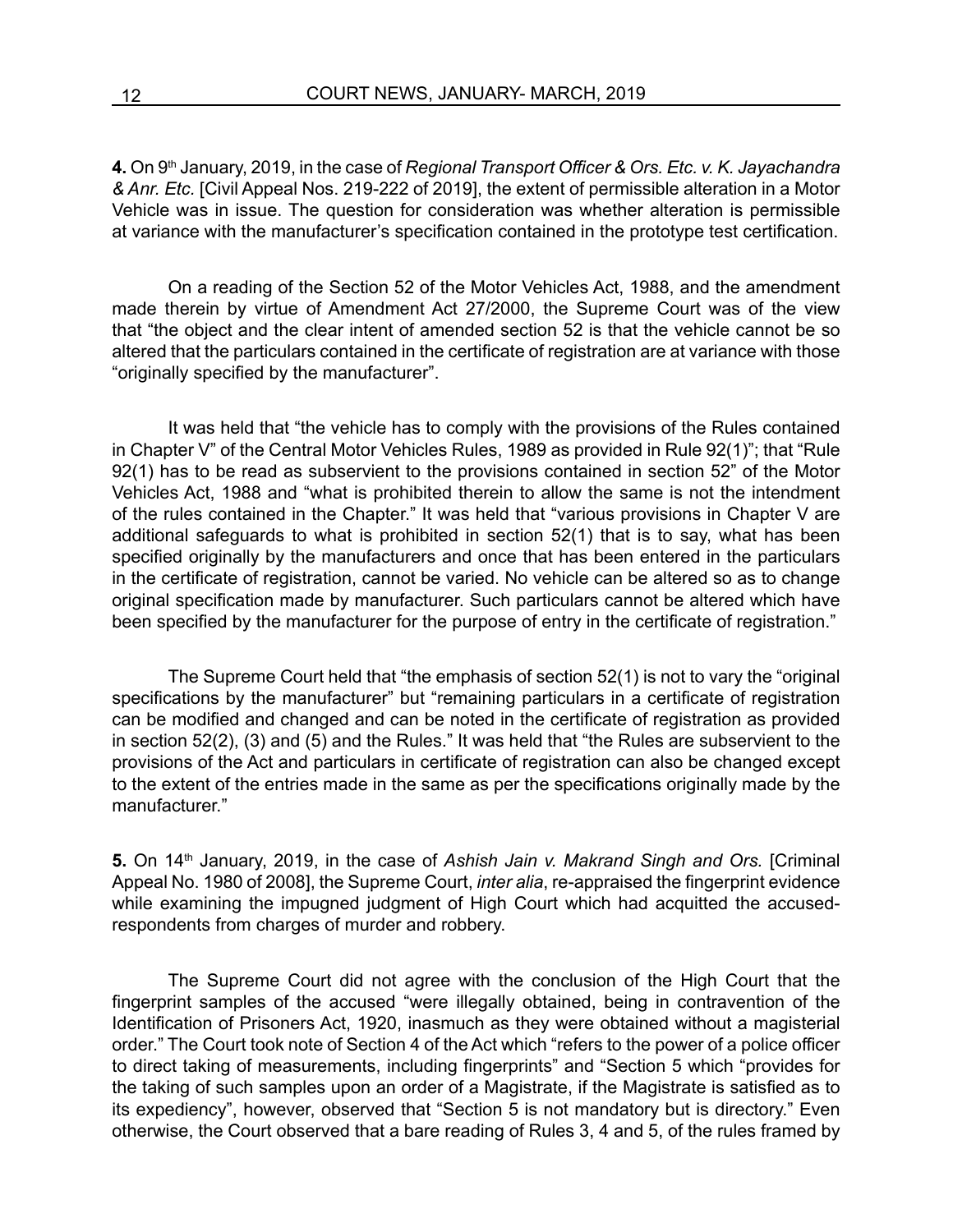**4.** On 9th January, 2019, in the case of *Regional Transport Officer & Ors. Etc. v. K. Jayachandra & Anr. Etc.* [Civil Appeal Nos. 219-222 of 2019], the extent of permissible alteration in a Motor Vehicle was in issue. The question for consideration was whether alteration is permissible at variance with the manufacturer's specification contained in the prototype test certification.

On a reading of the Section 52 of the Motor Vehicles Act, 1988, and the amendment made therein by virtue of Amendment Act 27/2000, the Supreme Court was of the view that "the object and the clear intent of amended section 52 is that the vehicle cannot be so altered that the particulars contained in the certificate of registration are at variance with those "originally specified by the manufacturer".

It was held that "the vehicle has to comply with the provisions of the Rules contained in Chapter V" of the Central Motor Vehicles Rules, 1989 as provided in Rule 92(1)"; that "Rule 92(1) has to be read as subservient to the provisions contained in section 52" of the Motor Vehicles Act, 1988 and "what is prohibited therein to allow the same is not the intendment of the rules contained in the Chapter." It was held that "various provisions in Chapter V are additional safeguards to what is prohibited in section 52(1) that is to say, what has been specified originally by the manufacturers and once that has been entered in the particulars in the certificate of registration, cannot be varied. No vehicle can be altered so as to change original specification made by manufacturer. Such particulars cannot be altered which have been specified by the manufacturer for the purpose of entry in the certificate of registration."

The Supreme Court held that "the emphasis of section 52(1) is not to vary the "original specifications by the manufacturer" but "remaining particulars in a certificate of registration can be modified and changed and can be noted in the certificate of registration as provided in section 52(2), (3) and (5) and the Rules." It was held that "the Rules are subservient to the provisions of the Act and particulars in certificate of registration can also be changed except to the extent of the entries made in the same as per the specifications originally made by the manufacturer."

**5.** On 14th January, 2019, in the case of *Ashish Jain v. Makrand Singh and Ors.* [Criminal Appeal No. 1980 of 2008], the Supreme Court, *inter alia*, re-appraised the fingerprint evidence while examining the impugned judgment of High Court which had acquitted the accusedrespondents from charges of murder and robbery.

The Supreme Court did not agree with the conclusion of the High Court that the fingerprint samples of the accused "were illegally obtained, being in contravention of the Identification of Prisoners Act, 1920, inasmuch as they were obtained without a magisterial order." The Court took note of Section 4 of the Act which "refers to the power of a police officer to direct taking of measurements, including fingerprints" and "Section 5 which "provides for the taking of such samples upon an order of a Magistrate, if the Magistrate is satisfied as to its expediency", however, observed that "Section 5 is not mandatory but is directory." Even otherwise, the Court observed that a bare reading of Rules 3, 4 and 5, of the rules framed by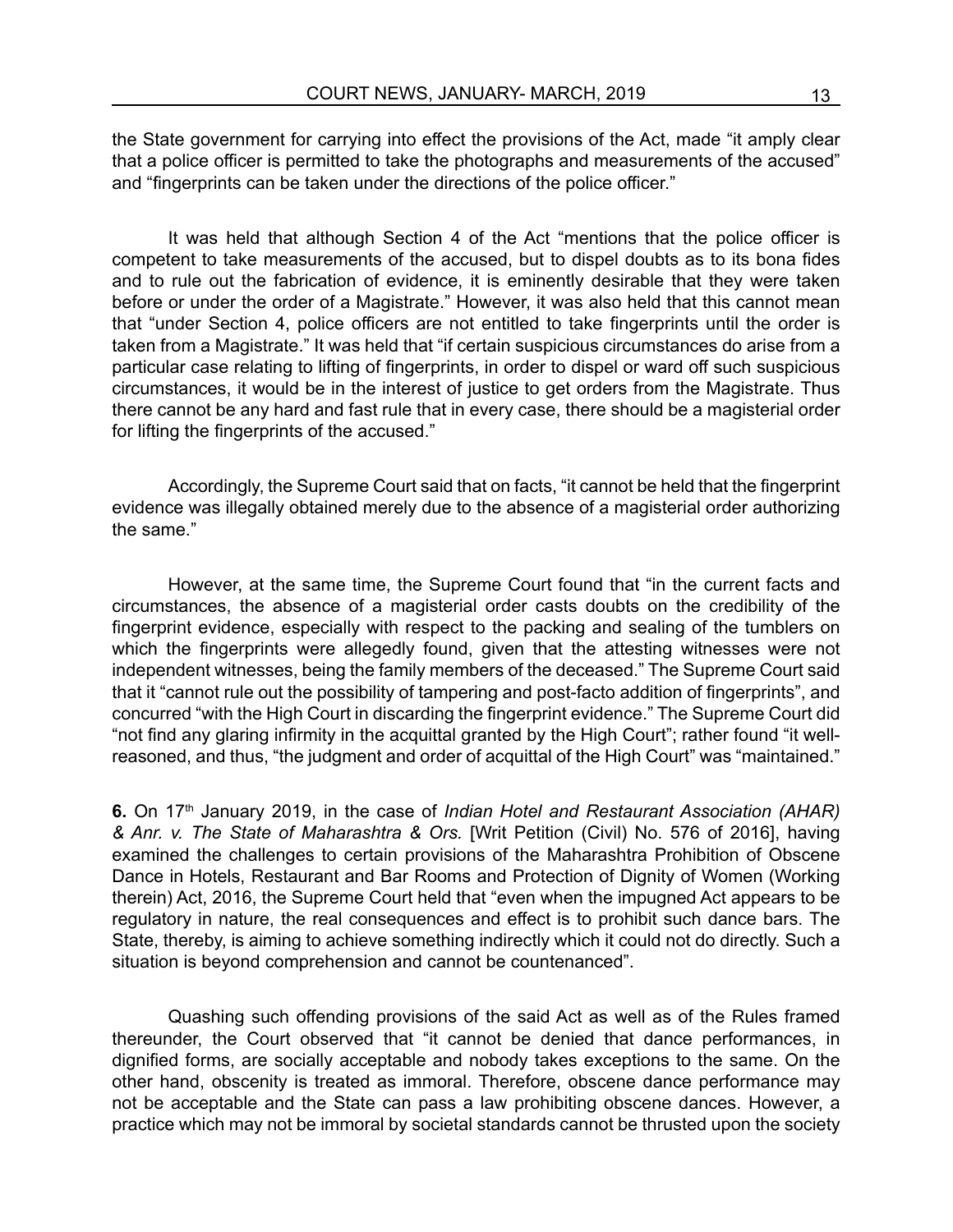the State government for carrying into effect the provisions of the Act, made "it amply clear that a police officer is permitted to take the photographs and measurements of the accused" and "fingerprints can be taken under the directions of the police officer."

It was held that although Section 4 of the Act "mentions that the police officer is competent to take measurements of the accused, but to dispel doubts as to its bona fides and to rule out the fabrication of evidence, it is eminently desirable that they were taken before or under the order of a Magistrate." However, it was also held that this cannot mean that "under Section 4, police officers are not entitled to take fingerprints until the order is taken from a Magistrate." It was held that "if certain suspicious circumstances do arise from a particular case relating to lifting of fingerprints, in order to dispel or ward off such suspicious circumstances, it would be in the interest of justice to get orders from the Magistrate. Thus there cannot be any hard and fast rule that in every case, there should be a magisterial order for lifting the fingerprints of the accused."

Accordingly, the Supreme Court said that on facts, "it cannot be held that the fingerprint evidence was illegally obtained merely due to the absence of a magisterial order authorizing the same."

However, at the same time, the Supreme Court found that "in the current facts and circumstances, the absence of a magisterial order casts doubts on the credibility of the fingerprint evidence, especially with respect to the packing and sealing of the tumblers on which the fingerprints were allegedly found, given that the attesting witnesses were not independent witnesses, being the family members of the deceased." The Supreme Court said that it "cannot rule out the possibility of tampering and post-facto addition of fingerprints", and concurred "with the High Court in discarding the fingerprint evidence." The Supreme Court did "not find any glaring infirmity in the acquittal granted by the High Court"; rather found "it wellreasoned, and thus, "the judgment and order of acquittal of the High Court" was "maintained."

**6.** On 17th January 2019, in the case of *Indian Hotel and Restaurant Association (AHAR) & Anr. v. The State of Maharashtra & Ors.* [Writ Petition (Civil) No. 576 of 2016], having examined the challenges to certain provisions of the Maharashtra Prohibition of Obscene Dance in Hotels, Restaurant and Bar Rooms and Protection of Dignity of Women (Working therein) Act, 2016, the Supreme Court held that "even when the impugned Act appears to be regulatory in nature, the real consequences and effect is to prohibit such dance bars. The State, thereby, is aiming to achieve something indirectly which it could not do directly. Such a situation is beyond comprehension and cannot be countenanced".

Quashing such offending provisions of the said Act as well as of the Rules framed thereunder, the Court observed that "it cannot be denied that dance performances, in dignified forms, are socially acceptable and nobody takes exceptions to the same. On the other hand, obscenity is treated as immoral. Therefore, obscene dance performance may not be acceptable and the State can pass a law prohibiting obscene dances. However, a practice which may not be immoral by societal standards cannot be thrusted upon the society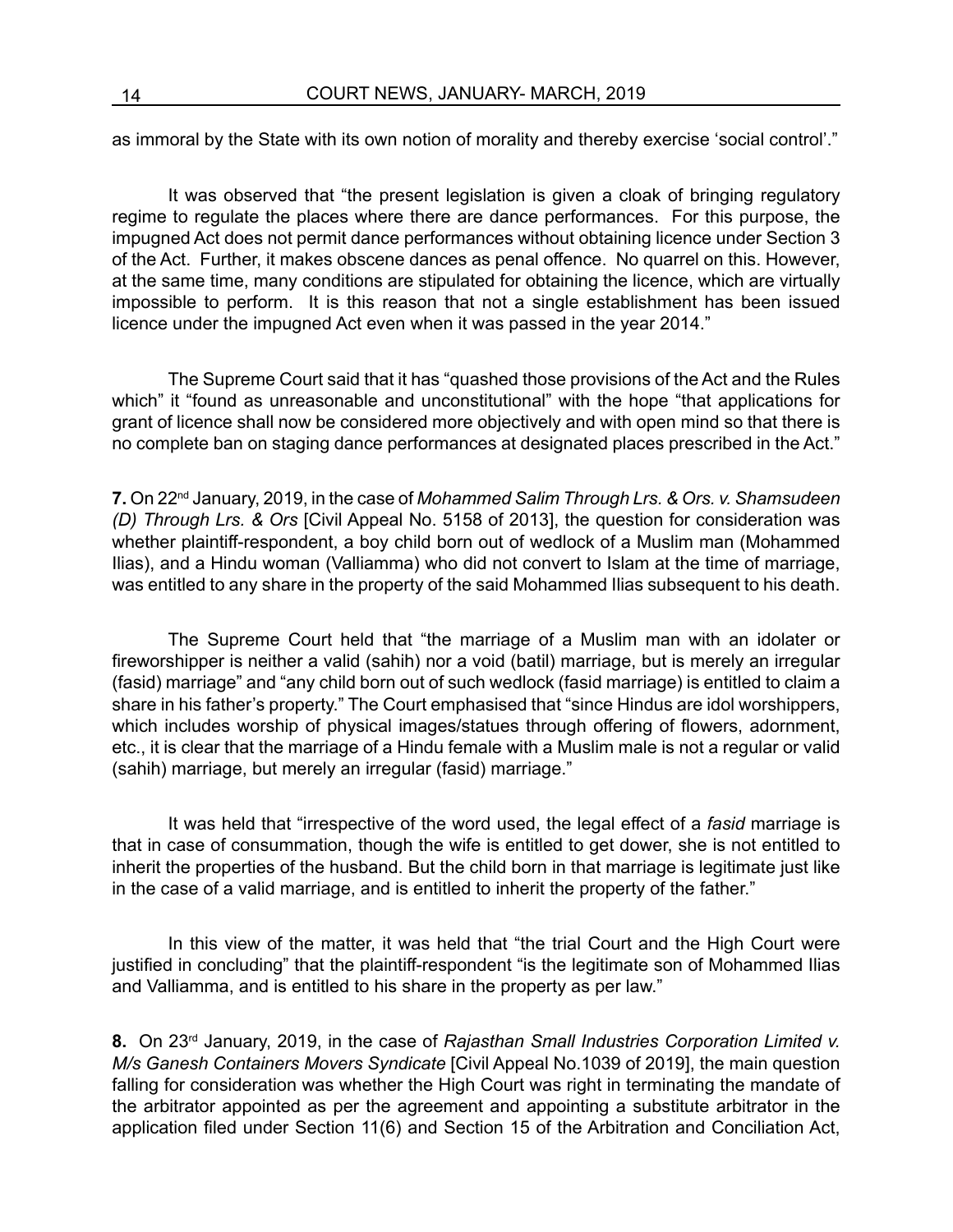as immoral by the State with its own notion of morality and thereby exercise 'social control'."

It was observed that "the present legislation is given a cloak of bringing regulatory regime to regulate the places where there are dance performances. For this purpose, the impugned Act does not permit dance performances without obtaining licence under Section 3 of the Act. Further, it makes obscene dances as penal offence. No quarrel on this. However, at the same time, many conditions are stipulated for obtaining the licence, which are virtually impossible to perform. It is this reason that not a single establishment has been issued licence under the impugned Act even when it was passed in the year 2014."

The Supreme Court said that it has "quashed those provisions of the Act and the Rules which" it "found as unreasonable and unconstitutional" with the hope "that applications for grant of licence shall now be considered more objectively and with open mind so that there is no complete ban on staging dance performances at designated places prescribed in the Act."

**7.** On 22nd January, 2019, in the case of *Mohammed Salim Through Lrs. & Ors. v. Shamsudeen (D) Through Lrs. & Ors* [Civil Appeal No. 5158 of 2013], the question for consideration was whether plaintiff-respondent, a boy child born out of wedlock of a Muslim man (Mohammed Ilias), and a Hindu woman (Valliamma) who did not convert to Islam at the time of marriage, was entitled to any share in the property of the said Mohammed Ilias subsequent to his death.

The Supreme Court held that "the marriage of a Muslim man with an idolater or fireworshipper is neither a valid (sahih) nor a void (batil) marriage, but is merely an irregular (fasid) marriage" and "any child born out of such wedlock (fasid marriage) is entitled to claim a share in his father's property." The Court emphasised that "since Hindus are idol worshippers, which includes worship of physical images/statues through offering of flowers, adornment, etc., it is clear that the marriage of a Hindu female with a Muslim male is not a regular or valid (sahih) marriage, but merely an irregular (fasid) marriage."

It was held that "irrespective of the word used, the legal effect of a *fasid* marriage is that in case of consummation, though the wife is entitled to get dower, she is not entitled to inherit the properties of the husband. But the child born in that marriage is legitimate just like in the case of a valid marriage, and is entitled to inherit the property of the father."

In this view of the matter, it was held that "the trial Court and the High Court were justified in concluding" that the plaintiff-respondent "is the legitimate son of Mohammed Ilias and Valliamma, and is entitled to his share in the property as per law."

8. On 23<sup>rd</sup> January, 2019, in the case of *Rajasthan Small Industries Corporation Limited v. M/s Ganesh Containers Movers Syndicate* [Civil Appeal No.1039 of 2019], the main question falling for consideration was whether the High Court was right in terminating the mandate of the arbitrator appointed as per the agreement and appointing a substitute arbitrator in the application filed under Section 11(6) and Section 15 of the Arbitration and Conciliation Act,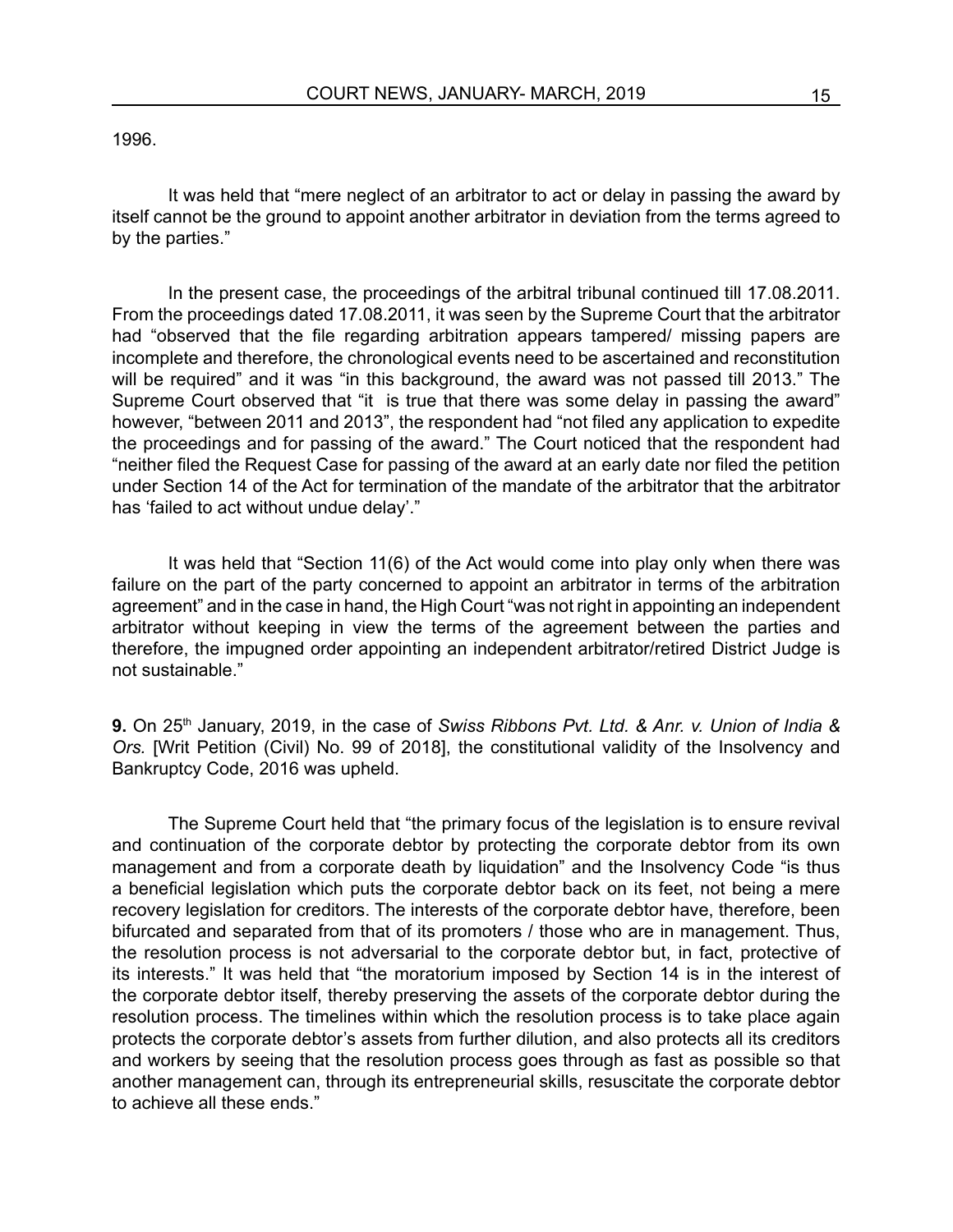#### 1996.

It was held that "mere neglect of an arbitrator to act or delay in passing the award by itself cannot be the ground to appoint another arbitrator in deviation from the terms agreed to by the parties."

In the present case, the proceedings of the arbitral tribunal continued till 17.08.2011. From the proceedings dated 17.08.2011, it was seen by the Supreme Court that the arbitrator had "observed that the file regarding arbitration appears tampered/ missing papers are incomplete and therefore, the chronological events need to be ascertained and reconstitution will be required" and it was "in this background, the award was not passed till 2013." The Supreme Court observed that "it is true that there was some delay in passing the award" however, "between 2011 and 2013", the respondent had "not filed any application to expedite the proceedings and for passing of the award." The Court noticed that the respondent had "neither filed the Request Case for passing of the award at an early date nor filed the petition under Section 14 of the Act for termination of the mandate of the arbitrator that the arbitrator has 'failed to act without undue delay'."

It was held that "Section 11(6) of the Act would come into play only when there was failure on the part of the party concerned to appoint an arbitrator in terms of the arbitration agreement" and in the case in hand, the High Court "was not right in appointing an independent arbitrator without keeping in view the terms of the agreement between the parties and therefore, the impugned order appointing an independent arbitrator/retired District Judge is not sustainable."

**9.** On 25th January, 2019, in the case of *Swiss Ribbons Pvt. Ltd. & Anr. v. Union of India & Ors.* [Writ Petition (Civil) No. 99 of 2018], the constitutional validity of the Insolvency and Bankruptcy Code, 2016 was upheld.

The Supreme Court held that "the primary focus of the legislation is to ensure revival and continuation of the corporate debtor by protecting the corporate debtor from its own management and from a corporate death by liquidation" and the Insolvency Code "is thus a beneficial legislation which puts the corporate debtor back on its feet, not being a mere recovery legislation for creditors. The interests of the corporate debtor have, therefore, been bifurcated and separated from that of its promoters / those who are in management. Thus, the resolution process is not adversarial to the corporate debtor but, in fact, protective of its interests." It was held that "the moratorium imposed by Section 14 is in the interest of the corporate debtor itself, thereby preserving the assets of the corporate debtor during the resolution process. The timelines within which the resolution process is to take place again protects the corporate debtor's assets from further dilution, and also protects all its creditors and workers by seeing that the resolution process goes through as fast as possible so that another management can, through its entrepreneurial skills, resuscitate the corporate debtor to achieve all these ends."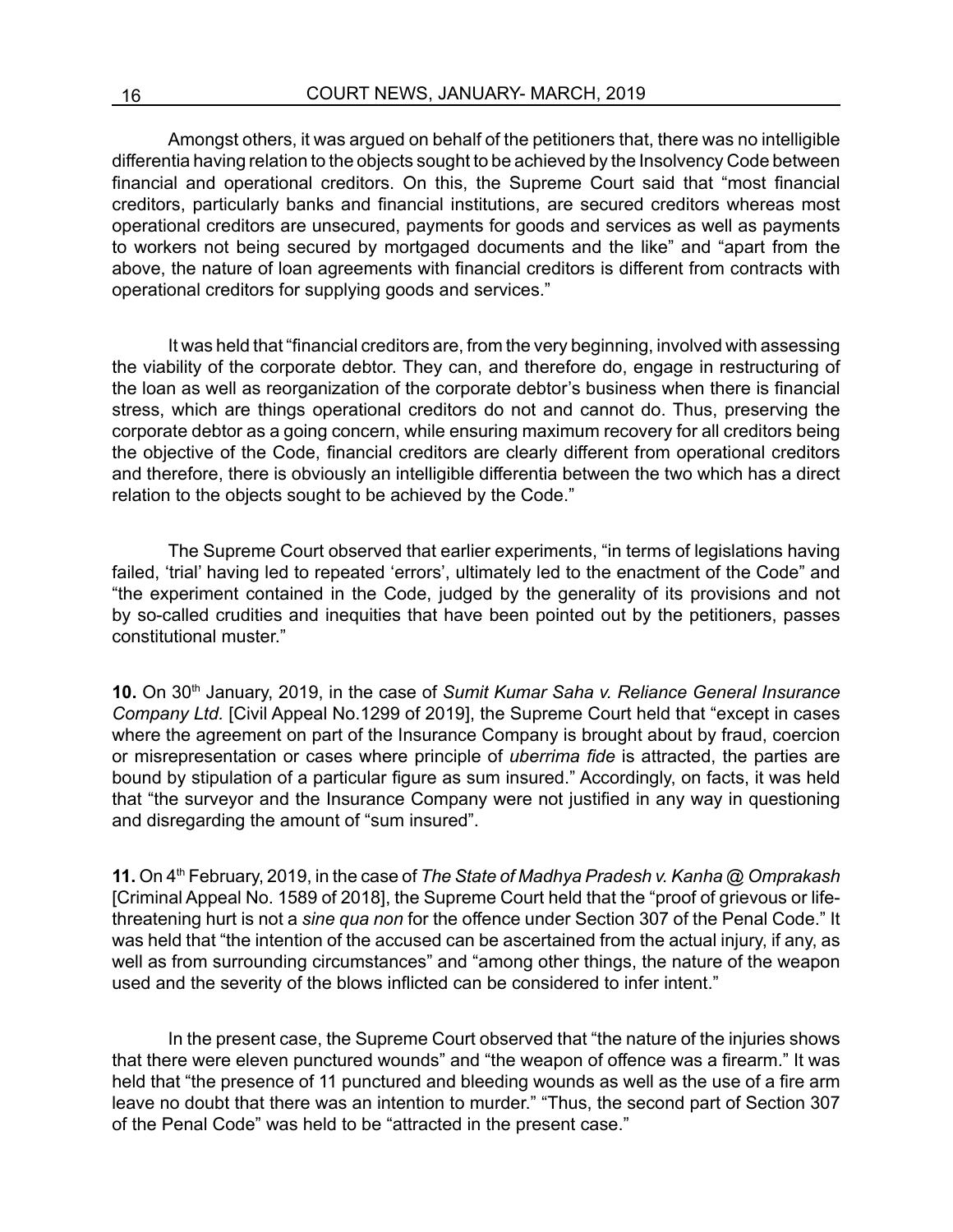Amongst others, it was argued on behalf of the petitioners that, there was no intelligible differentia having relation to the objects sought to be achieved by the Insolvency Code between financial and operational creditors. On this, the Supreme Court said that "most financial creditors, particularly banks and financial institutions, are secured creditors whereas most operational creditors are unsecured, payments for goods and services as well as payments to workers not being secured by mortgaged documents and the like" and "apart from the above, the nature of loan agreements with financial creditors is different from contracts with operational creditors for supplying goods and services."

It was held that "financial creditors are, from the very beginning, involved with assessing the viability of the corporate debtor. They can, and therefore do, engage in restructuring of the loan as well as reorganization of the corporate debtor's business when there is financial stress, which are things operational creditors do not and cannot do. Thus, preserving the corporate debtor as a going concern, while ensuring maximum recovery for all creditors being the objective of the Code, financial creditors are clearly different from operational creditors and therefore, there is obviously an intelligible differentia between the two which has a direct relation to the objects sought to be achieved by the Code."

The Supreme Court observed that earlier experiments, "in terms of legislations having failed, 'trial' having led to repeated 'errors', ultimately led to the enactment of the Code" and "the experiment contained in the Code, judged by the generality of its provisions and not by so-called crudities and inequities that have been pointed out by the petitioners, passes constitutional muster."

**10.** On 30th January, 2019, in the case of *Sumit Kumar Saha v. Reliance General Insurance Company Ltd.* [Civil Appeal No.1299 of 2019], the Supreme Court held that "except in cases where the agreement on part of the Insurance Company is brought about by fraud, coercion or misrepresentation or cases where principle of *uberrima fide* is attracted, the parties are bound by stipulation of a particular figure as sum insured." Accordingly, on facts, it was held that "the surveyor and the Insurance Company were not justified in any way in questioning and disregarding the amount of "sum insured".

**11.** On 4th February, 2019, in the case of *The State of Madhya Pradesh v. Kanha @ Omprakash* [Criminal Appeal No. 1589 of 2018], the Supreme Court held that the "proof of grievous or lifethreatening hurt is not a *sine qua non* for the offence under Section 307 of the Penal Code." It was held that "the intention of the accused can be ascertained from the actual injury, if any, as well as from surrounding circumstances" and "among other things, the nature of the weapon used and the severity of the blows inflicted can be considered to infer intent."

In the present case, the Supreme Court observed that "the nature of the injuries shows that there were eleven punctured wounds" and "the weapon of offence was a firearm." It was held that "the presence of 11 punctured and bleeding wounds as well as the use of a fire arm leave no doubt that there was an intention to murder." "Thus, the second part of Section 307 of the Penal Code" was held to be "attracted in the present case."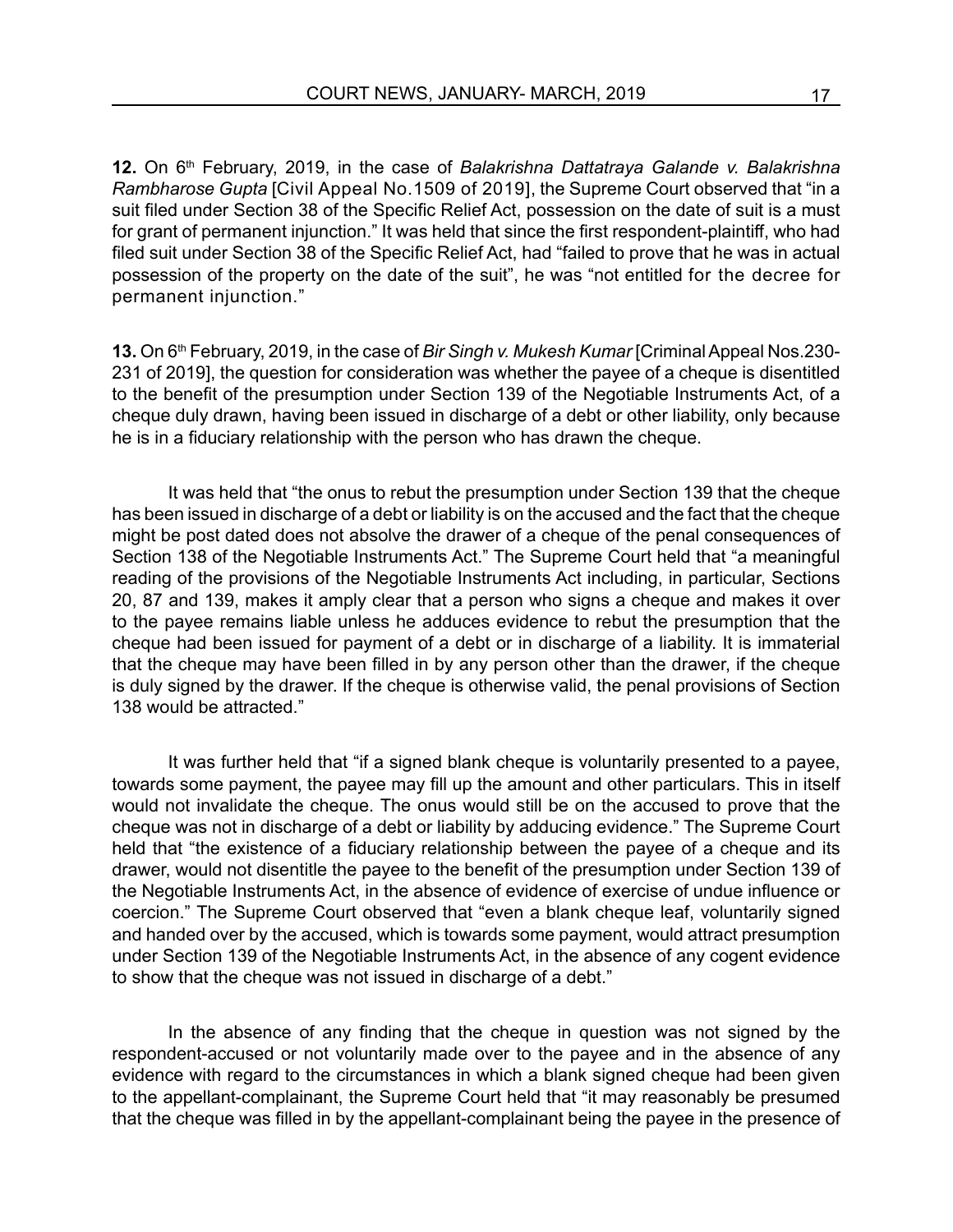**12.** On 6th February, 2019, in the case of *Balakrishna Dattatraya Galande v. Balakrishna Rambharose Gupta* [Civil Appeal No.1509 of 2019], the Supreme Court observed that "in a suit filed under Section 38 of the Specific Relief Act, possession on the date of suit is a must for grant of permanent injunction." It was held that since the first respondent-plaintiff, who had filed suit under Section 38 of the Specific Relief Act, had "failed to prove that he was in actual possession of the property on the date of the suit", he was "not entitled for the decree for permanent injunction."

**13.** On 6th February, 2019, in the case of *Bir Singh v. Mukesh Kumar* [Criminal Appeal Nos.230- 231 of 2019], the question for consideration was whether the payee of a cheque is disentitled to the benefit of the presumption under Section 139 of the Negotiable Instruments Act, of a cheque duly drawn, having been issued in discharge of a debt or other liability, only because he is in a fiduciary relationship with the person who has drawn the cheque.

It was held that "the onus to rebut the presumption under Section 139 that the cheque has been issued in discharge of a debt or liability is on the accused and the fact that the cheque might be post dated does not absolve the drawer of a cheque of the penal consequences of Section 138 of the Negotiable Instruments Act." The Supreme Court held that "a meaningful reading of the provisions of the Negotiable Instruments Act including, in particular, Sections 20, 87 and 139, makes it amply clear that a person who signs a cheque and makes it over to the payee remains liable unless he adduces evidence to rebut the presumption that the cheque had been issued for payment of a debt or in discharge of a liability. It is immaterial that the cheque may have been filled in by any person other than the drawer, if the cheque is duly signed by the drawer. If the cheque is otherwise valid, the penal provisions of Section 138 would be attracted."

It was further held that "if a signed blank cheque is voluntarily presented to a payee, towards some payment, the payee may fill up the amount and other particulars. This in itself would not invalidate the cheque. The onus would still be on the accused to prove that the cheque was not in discharge of a debt or liability by adducing evidence." The Supreme Court held that "the existence of a fiduciary relationship between the payee of a cheque and its drawer, would not disentitle the payee to the benefit of the presumption under Section 139 of the Negotiable Instruments Act, in the absence of evidence of exercise of undue influence or coercion." The Supreme Court observed that "even a blank cheque leaf, voluntarily signed and handed over by the accused, which is towards some payment, would attract presumption under Section 139 of the Negotiable Instruments Act, in the absence of any cogent evidence to show that the cheque was not issued in discharge of a debt."

In the absence of any finding that the cheque in question was not signed by the respondent-accused or not voluntarily made over to the payee and in the absence of any evidence with regard to the circumstances in which a blank signed cheque had been given to the appellant-complainant, the Supreme Court held that "it may reasonably be presumed that the cheque was filled in by the appellant-complainant being the payee in the presence of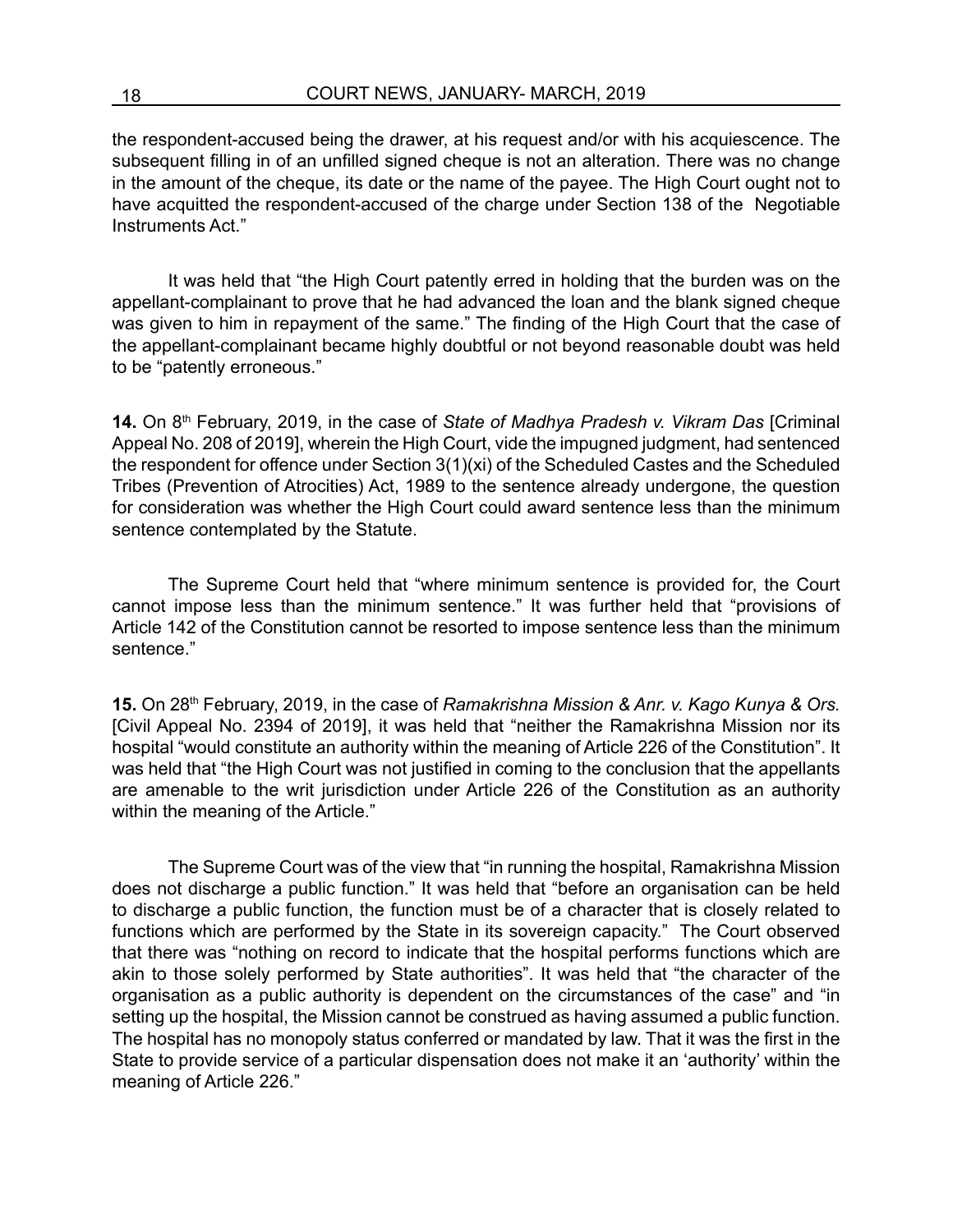the respondent-accused being the drawer, at his request and/or with his acquiescence. The subsequent filling in of an unfilled signed cheque is not an alteration. There was no change in the amount of the cheque, its date or the name of the payee. The High Court ought not to have acquitted the respondent-accused of the charge under Section 138 of the Negotiable Instruments Act."

It was held that "the High Court patently erred in holding that the burden was on the appellant-complainant to prove that he had advanced the loan and the blank signed cheque was given to him in repayment of the same." The finding of the High Court that the case of the appellant-complainant became highly doubtful or not beyond reasonable doubt was held to be "patently erroneous."

14. On 8<sup>th</sup> February, 2019, in the case of *State of Madhya Pradesh v. Vikram Das* [Criminal Appeal No. 208 of 2019], wherein the High Court, vide the impugned judgment, had sentenced the respondent for offence under Section 3(1)(xi) of the Scheduled Castes and the Scheduled Tribes (Prevention of Atrocities) Act, 1989 to the sentence already undergone, the question for consideration was whether the High Court could award sentence less than the minimum sentence contemplated by the Statute.

The Supreme Court held that "where minimum sentence is provided for, the Court cannot impose less than the minimum sentence." It was further held that "provisions of Article 142 of the Constitution cannot be resorted to impose sentence less than the minimum sentence."

**15.** On 28th February, 2019, in the case of *Ramakrishna Mission & Anr. v. Kago Kunya & Ors.* [Civil Appeal No. 2394 of 2019], it was held that "neither the Ramakrishna Mission nor its hospital "would constitute an authority within the meaning of Article 226 of the Constitution". It was held that "the High Court was not justified in coming to the conclusion that the appellants are amenable to the writ jurisdiction under Article 226 of the Constitution as an authority within the meaning of the Article."

The Supreme Court was of the view that "in running the hospital, Ramakrishna Mission does not discharge a public function." It was held that "before an organisation can be held to discharge a public function, the function must be of a character that is closely related to functions which are performed by the State in its sovereign capacity." The Court observed that there was "nothing on record to indicate that the hospital performs functions which are akin to those solely performed by State authorities". It was held that "the character of the organisation as a public authority is dependent on the circumstances of the case" and "in setting up the hospital, the Mission cannot be construed as having assumed a public function. The hospital has no monopoly status conferred or mandated by law. That it was the first in the State to provide service of a particular dispensation does not make it an 'authority' within the meaning of Article 226."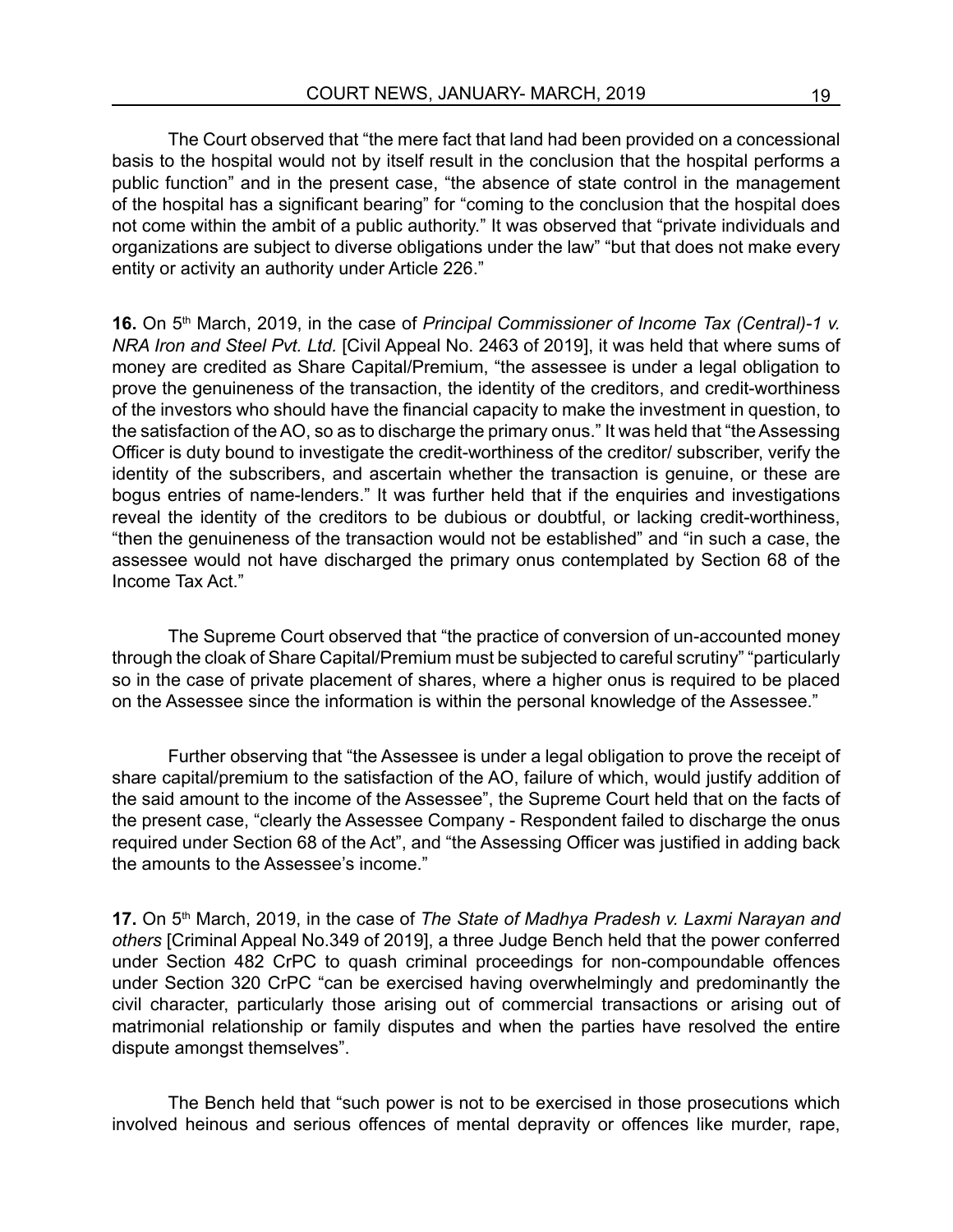The Court observed that "the mere fact that land had been provided on a concessional basis to the hospital would not by itself result in the conclusion that the hospital performs a public function" and in the present case, "the absence of state control in the management of the hospital has a significant bearing" for "coming to the conclusion that the hospital does not come within the ambit of a public authority." It was observed that "private individuals and organizations are subject to diverse obligations under the law" "but that does not make every entity or activity an authority under Article 226."

**16.** On 5<sup>th</sup> March, 2019, in the case of *Principal Commissioner of Income Tax (Central)-1 v. NRA Iron and Steel Pvt. Ltd.* [Civil Appeal No. 2463 of 2019], it was held that where sums of money are credited as Share Capital/Premium, "the assessee is under a legal obligation to prove the genuineness of the transaction, the identity of the creditors, and credit-worthiness of the investors who should have the financial capacity to make the investment in question, to the satisfaction of the AO, so as to discharge the primary onus." It was held that "the Assessing Officer is duty bound to investigate the credit-worthiness of the creditor/ subscriber, verify the identity of the subscribers, and ascertain whether the transaction is genuine, or these are bogus entries of name-lenders." It was further held that if the enquiries and investigations reveal the identity of the creditors to be dubious or doubtful, or lacking credit-worthiness, "then the genuineness of the transaction would not be established" and "in such a case, the assessee would not have discharged the primary onus contemplated by Section 68 of the Income Tax Act."

The Supreme Court observed that "the practice of conversion of un-accounted money through the cloak of Share Capital/Premium must be subjected to careful scrutiny" "particularly so in the case of private placement of shares, where a higher onus is required to be placed on the Assessee since the information is within the personal knowledge of the Assessee."

Further observing that "the Assessee is under a legal obligation to prove the receipt of share capital/premium to the satisfaction of the AO, failure of which, would justify addition of the said amount to the income of the Assessee", the Supreme Court held that on the facts of the present case, "clearly the Assessee Company - Respondent failed to discharge the onus required under Section 68 of the Act", and "the Assessing Officer was justified in adding back the amounts to the Assessee's income."

17. On 5<sup>th</sup> March, 2019, in the case of *The State of Madhya Pradesh v. Laxmi Narayan and others* [Criminal Appeal No.349 of 2019], a three Judge Bench held that the power conferred under Section 482 CrPC to quash criminal proceedings for non-compoundable offences under Section 320 CrPC "can be exercised having overwhelmingly and predominantly the civil character, particularly those arising out of commercial transactions or arising out of matrimonial relationship or family disputes and when the parties have resolved the entire dispute amongst themselves".

The Bench held that "such power is not to be exercised in those prosecutions which involved heinous and serious offences of mental depravity or offences like murder, rape,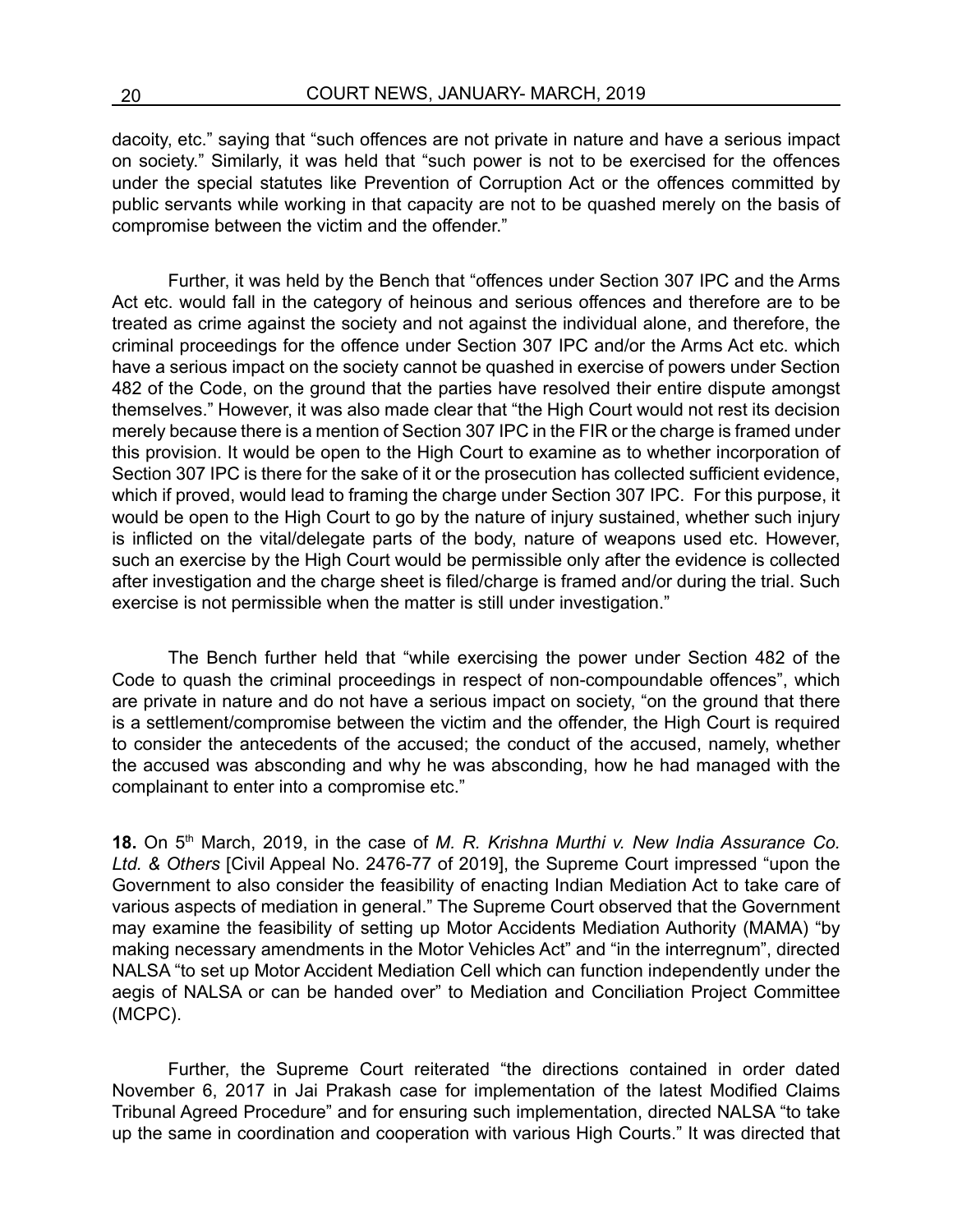dacoity, etc." saying that "such offences are not private in nature and have a serious impact on society." Similarly, it was held that "such power is not to be exercised for the offences under the special statutes like Prevention of Corruption Act or the offences committed by public servants while working in that capacity are not to be quashed merely on the basis of compromise between the victim and the offender."

Further, it was held by the Bench that "offences under Section 307 IPC and the Arms Act etc. would fall in the category of heinous and serious offences and therefore are to be treated as crime against the society and not against the individual alone, and therefore, the criminal proceedings for the offence under Section 307 IPC and/or the Arms Act etc. which have a serious impact on the society cannot be quashed in exercise of powers under Section 482 of the Code, on the ground that the parties have resolved their entire dispute amongst themselves." However, it was also made clear that "the High Court would not rest its decision merely because there is a mention of Section 307 IPC in the FIR or the charge is framed under this provision. It would be open to the High Court to examine as to whether incorporation of Section 307 IPC is there for the sake of it or the prosecution has collected sufficient evidence, which if proved, would lead to framing the charge under Section 307 IPC. For this purpose, it would be open to the High Court to go by the nature of injury sustained, whether such injury is inflicted on the vital/delegate parts of the body, nature of weapons used etc. However, such an exercise by the High Court would be permissible only after the evidence is collected after investigation and the charge sheet is filed/charge is framed and/or during the trial. Such exercise is not permissible when the matter is still under investigation."

The Bench further held that "while exercising the power under Section 482 of the Code to quash the criminal proceedings in respect of non-compoundable offences", which are private in nature and do not have a serious impact on society, "on the ground that there is a settlement/compromise between the victim and the offender, the High Court is required to consider the antecedents of the accused; the conduct of the accused, namely, whether the accused was absconding and why he was absconding, how he had managed with the complainant to enter into a compromise etc."

**18.** On 5th March, 2019, in the case of *M. R. Krishna Murthi v. New India Assurance Co. Ltd. & Others* [Civil Appeal No. 2476-77 of 2019], the Supreme Court impressed "upon the Government to also consider the feasibility of enacting Indian Mediation Act to take care of various aspects of mediation in general." The Supreme Court observed that the Government may examine the feasibility of setting up Motor Accidents Mediation Authority (MAMA) "by making necessary amendments in the Motor Vehicles Act" and "in the interregnum", directed NALSA "to set up Motor Accident Mediation Cell which can function independently under the aegis of NALSA or can be handed over" to Mediation and Conciliation Project Committee (MCPC).

Further, the Supreme Court reiterated "the directions contained in order dated November 6, 2017 in Jai Prakash case for implementation of the latest Modified Claims Tribunal Agreed Procedure" and for ensuring such implementation, directed NALSA "to take up the same in coordination and cooperation with various High Courts." It was directed that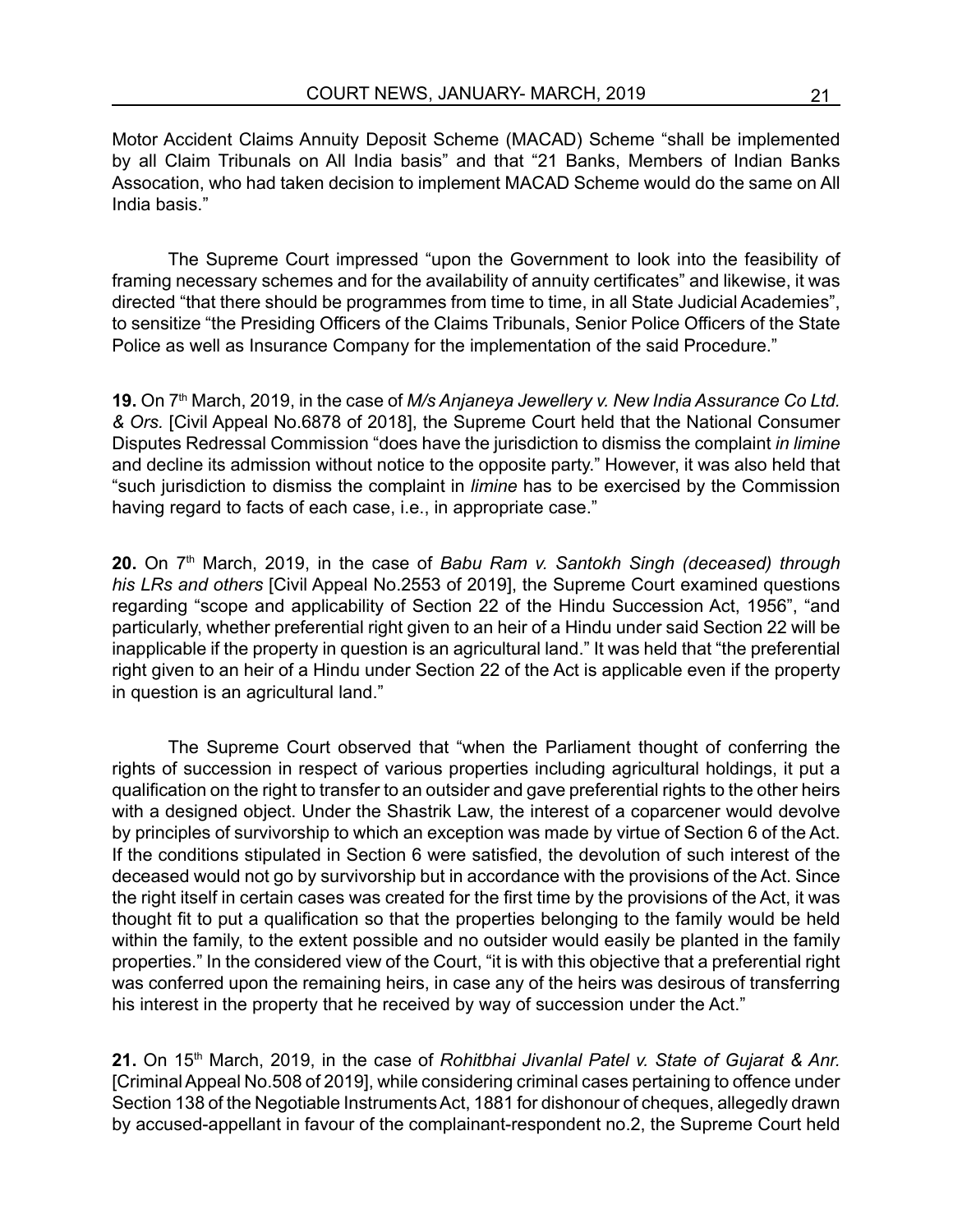Motor Accident Claims Annuity Deposit Scheme (MACAD) Scheme "shall be implemented by all Claim Tribunals on All India basis" and that "21 Banks, Members of Indian Banks Assocation, who had taken decision to implement MACAD Scheme would do the same on All India basis."

The Supreme Court impressed "upon the Government to look into the feasibility of framing necessary schemes and for the availability of annuity certificates" and likewise, it was directed "that there should be programmes from time to time, in all State Judicial Academies", to sensitize "the Presiding Officers of the Claims Tribunals, Senior Police Officers of the State Police as well as Insurance Company for the implementation of the said Procedure."

**19.** On 7th March, 2019, in the case of *M/s Anjaneya Jewellery v. New India Assurance Co Ltd. & Ors.* [Civil Appeal No.6878 of 2018], the Supreme Court held that the National Consumer Disputes Redressal Commission "does have the jurisdiction to dismiss the complaint *in limine* and decline its admission without notice to the opposite party." However, it was also held that "such jurisdiction to dismiss the complaint in *limine* has to be exercised by the Commission having regard to facts of each case, i.e., in appropriate case."

**20.** On 7<sup>th</sup> March, 2019, in the case of *Babu Ram v. Santokh Singh (deceased) through his LRs and others* [Civil Appeal No.2553 of 2019], the Supreme Court examined questions regarding "scope and applicability of Section 22 of the Hindu Succession Act, 1956", "and particularly, whether preferential right given to an heir of a Hindu under said Section 22 will be inapplicable if the property in question is an agricultural land." It was held that "the preferential right given to an heir of a Hindu under Section 22 of the Act is applicable even if the property in question is an agricultural land."

The Supreme Court observed that "when the Parliament thought of conferring the rights of succession in respect of various properties including agricultural holdings, it put a qualification on the right to transfer to an outsider and gave preferential rights to the other heirs with a designed object. Under the Shastrik Law, the interest of a coparcener would devolve by principles of survivorship to which an exception was made by virtue of Section 6 of the Act. If the conditions stipulated in Section 6 were satisfied, the devolution of such interest of the deceased would not go by survivorship but in accordance with the provisions of the Act. Since the right itself in certain cases was created for the first time by the provisions of the Act, it was thought fit to put a qualification so that the properties belonging to the family would be held within the family, to the extent possible and no outsider would easily be planted in the family properties." In the considered view of the Court, "it is with this objective that a preferential right was conferred upon the remaining heirs, in case any of the heirs was desirous of transferring his interest in the property that he received by way of succession under the Act."

21. On 15<sup>th</sup> March, 2019, in the case of *Rohitbhai Jivanlal Patel v. State of Gujarat & Anr.* [Criminal Appeal No.508 of 2019], while considering criminal cases pertaining to offence under Section 138 of the Negotiable Instruments Act, 1881 for dishonour of cheques, allegedly drawn by accused-appellant in favour of the complainant-respondent no.2, the Supreme Court held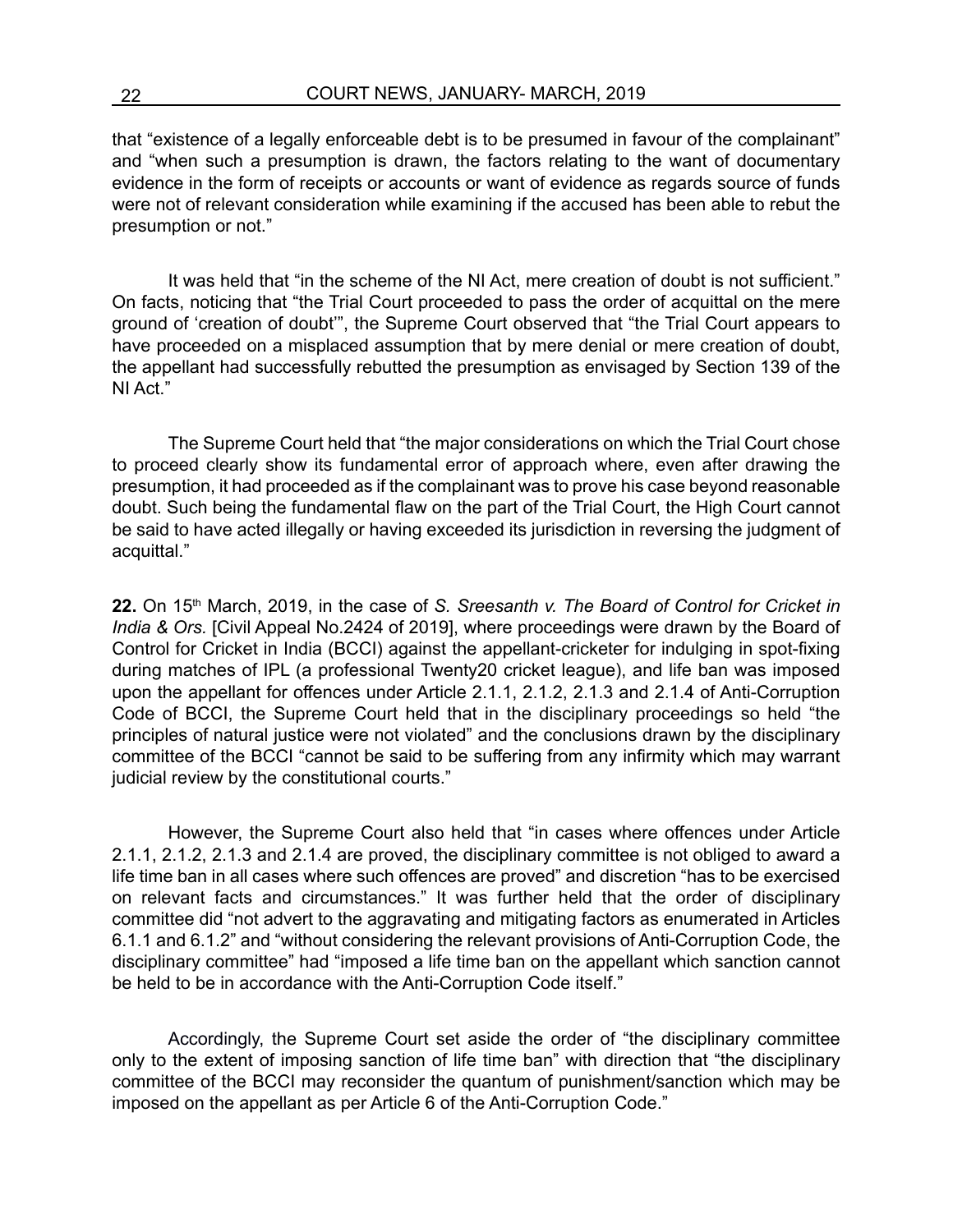that "existence of a legally enforceable debt is to be presumed in favour of the complainant" and "when such a presumption is drawn, the factors relating to the want of documentary evidence in the form of receipts or accounts or want of evidence as regards source of funds were not of relevant consideration while examining if the accused has been able to rebut the presumption or not."

It was held that "in the scheme of the NI Act, mere creation of doubt is not sufficient." On facts, noticing that "the Trial Court proceeded to pass the order of acquittal on the mere ground of 'creation of doubt'", the Supreme Court observed that "the Trial Court appears to have proceeded on a misplaced assumption that by mere denial or mere creation of doubt, the appellant had successfully rebutted the presumption as envisaged by Section 139 of the NI Act."

The Supreme Court held that "the major considerations on which the Trial Court chose to proceed clearly show its fundamental error of approach where, even after drawing the presumption, it had proceeded as if the complainant was to prove his case beyond reasonable doubt. Such being the fundamental flaw on the part of the Trial Court, the High Court cannot be said to have acted illegally or having exceeded its jurisdiction in reversing the judgment of acquittal."

**22.** On 15th March, 2019, in the case of *S. Sreesanth v. The Board of Control for Cricket in India & Ors.* [Civil Appeal No.2424 of 2019], where proceedings were drawn by the Board of Control for Cricket in India (BCCI) against the appellant-cricketer for indulging in spot-fixing during matches of IPL (a professional Twenty20 cricket league), and life ban was imposed upon the appellant for offences under Article 2.1.1, 2.1.2, 2.1.3 and 2.1.4 of Anti-Corruption Code of BCCI, the Supreme Court held that in the disciplinary proceedings so held "the principles of natural justice were not violated" and the conclusions drawn by the disciplinary committee of the BCCI "cannot be said to be suffering from any infirmity which may warrant judicial review by the constitutional courts."

However, the Supreme Court also held that "in cases where offences under Article 2.1.1, 2.1.2, 2.1.3 and 2.1.4 are proved, the disciplinary committee is not obliged to award a life time ban in all cases where such offences are proved" and discretion "has to be exercised on relevant facts and circumstances." It was further held that the order of disciplinary committee did "not advert to the aggravating and mitigating factors as enumerated in Articles 6.1.1 and 6.1.2" and "without considering the relevant provisions of Anti-Corruption Code, the disciplinary committee" had "imposed a life time ban on the appellant which sanction cannot be held to be in accordance with the Anti-Corruption Code itself."

Accordingly, the Supreme Court set aside the order of "the disciplinary committee only to the extent of imposing sanction of life time ban" with direction that "the disciplinary committee of the BCCI may reconsider the quantum of punishment/sanction which may be imposed on the appellant as per Article 6 of the Anti-Corruption Code."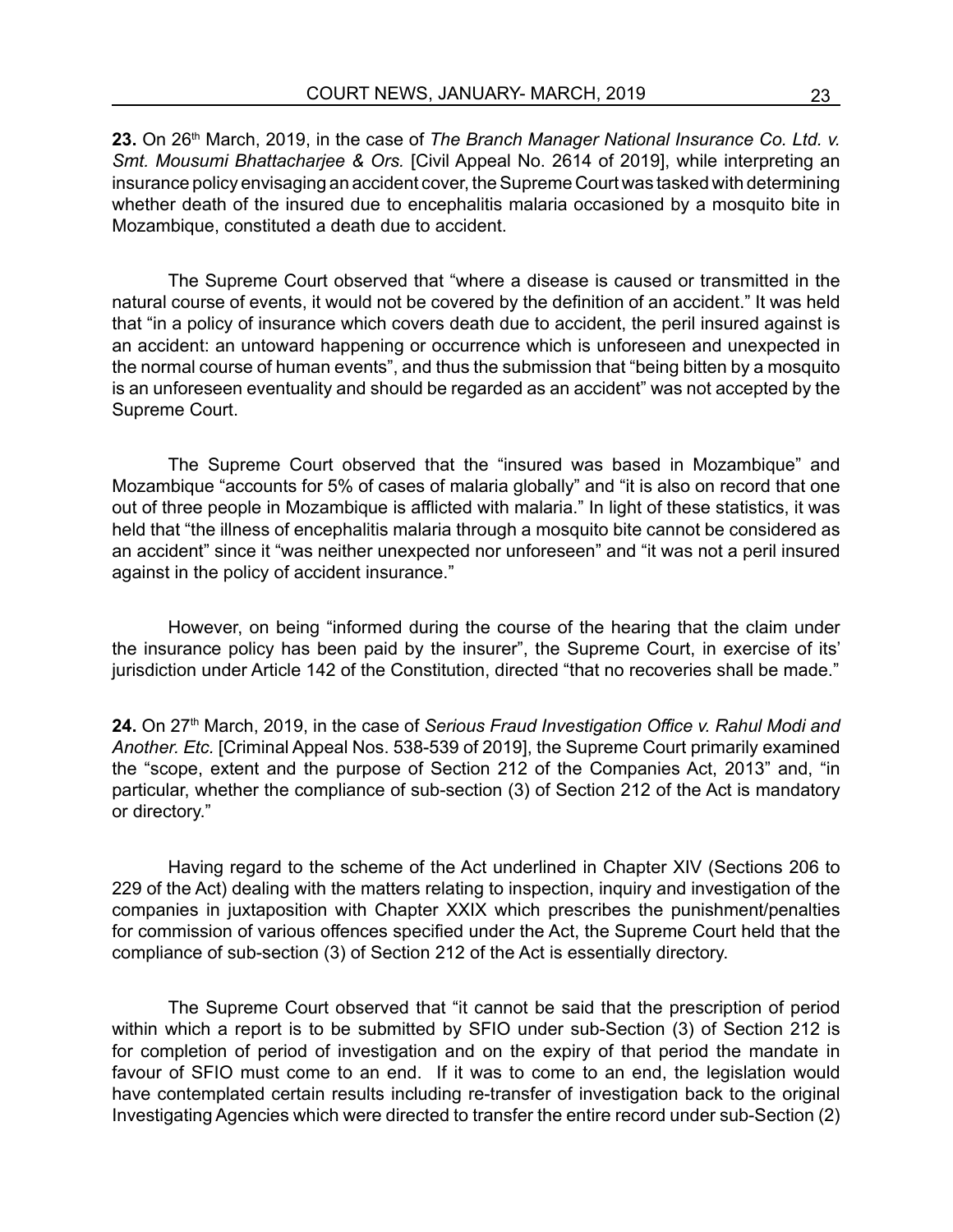**23.** On 26th March, 2019, in the case of *The Branch Manager National Insurance Co. Ltd. v. Smt. Mousumi Bhattacharjee & Ors.* [Civil Appeal No. 2614 of 2019], while interpreting an insurance policy envisaging an accident cover, the Supreme Court was tasked with determining whether death of the insured due to encephalitis malaria occasioned by a mosquito bite in Mozambique, constituted a death due to accident.

The Supreme Court observed that "where a disease is caused or transmitted in the natural course of events, it would not be covered by the definition of an accident." It was held that "in a policy of insurance which covers death due to accident, the peril insured against is an accident: an untoward happening or occurrence which is unforeseen and unexpected in the normal course of human events", and thus the submission that "being bitten by a mosquito is an unforeseen eventuality and should be regarded as an accident" was not accepted by the Supreme Court.

The Supreme Court observed that the "insured was based in Mozambique" and Mozambique "accounts for 5% of cases of malaria globally" and "it is also on record that one out of three people in Mozambique is afflicted with malaria." In light of these statistics, it was held that "the illness of encephalitis malaria through a mosquito bite cannot be considered as an accident" since it "was neither unexpected nor unforeseen" and "it was not a peril insured against in the policy of accident insurance."

However, on being "informed during the course of the hearing that the claim under the insurance policy has been paid by the insurer", the Supreme Court, in exercise of its' jurisdiction under Article 142 of the Constitution, directed "that no recoveries shall be made."

24. On 27<sup>th</sup> March, 2019, in the case of *Serious Fraud Investigation Office v. Rahul Modi and Another. Etc.* [Criminal Appeal Nos. 538-539 of 2019], the Supreme Court primarily examined the "scope, extent and the purpose of Section 212 of the Companies Act, 2013" and, "in particular, whether the compliance of sub-section (3) of Section 212 of the Act is mandatory or directory."

Having regard to the scheme of the Act underlined in Chapter XIV (Sections 206 to 229 of the Act) dealing with the matters relating to inspection, inquiry and investigation of the companies in juxtaposition with Chapter XXIX which prescribes the punishment/penalties for commission of various offences specified under the Act, the Supreme Court held that the compliance of sub-section (3) of Section 212 of the Act is essentially directory.

The Supreme Court observed that "it cannot be said that the prescription of period within which a report is to be submitted by SFIO under sub-Section (3) of Section 212 is for completion of period of investigation and on the expiry of that period the mandate in favour of SFIO must come to an end. If it was to come to an end, the legislation would have contemplated certain results including re-transfer of investigation back to the original Investigating Agencies which were directed to transfer the entire record under sub-Section (2)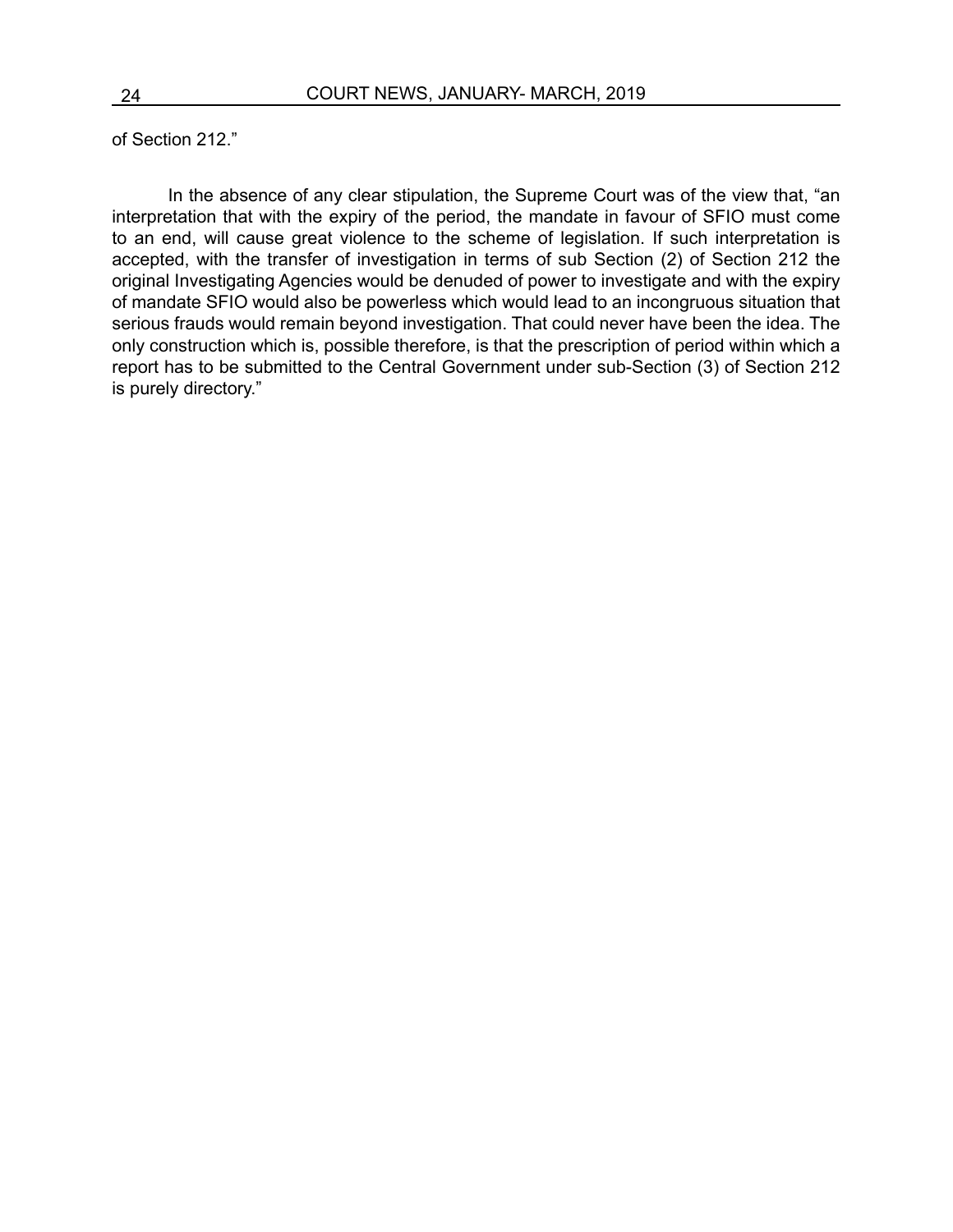of Section 212."

In the absence of any clear stipulation, the Supreme Court was of the view that, "an interpretation that with the expiry of the period, the mandate in favour of SFIO must come to an end, will cause great violence to the scheme of legislation. If such interpretation is accepted, with the transfer of investigation in terms of sub Section (2) of Section 212 the original Investigating Agencies would be denuded of power to investigate and with the expiry of mandate SFIO would also be powerless which would lead to an incongruous situation that serious frauds would remain beyond investigation. That could never have been the idea. The only construction which is, possible therefore, is that the prescription of period within which a report has to be submitted to the Central Government under sub-Section (3) of Section 212 is purely directory."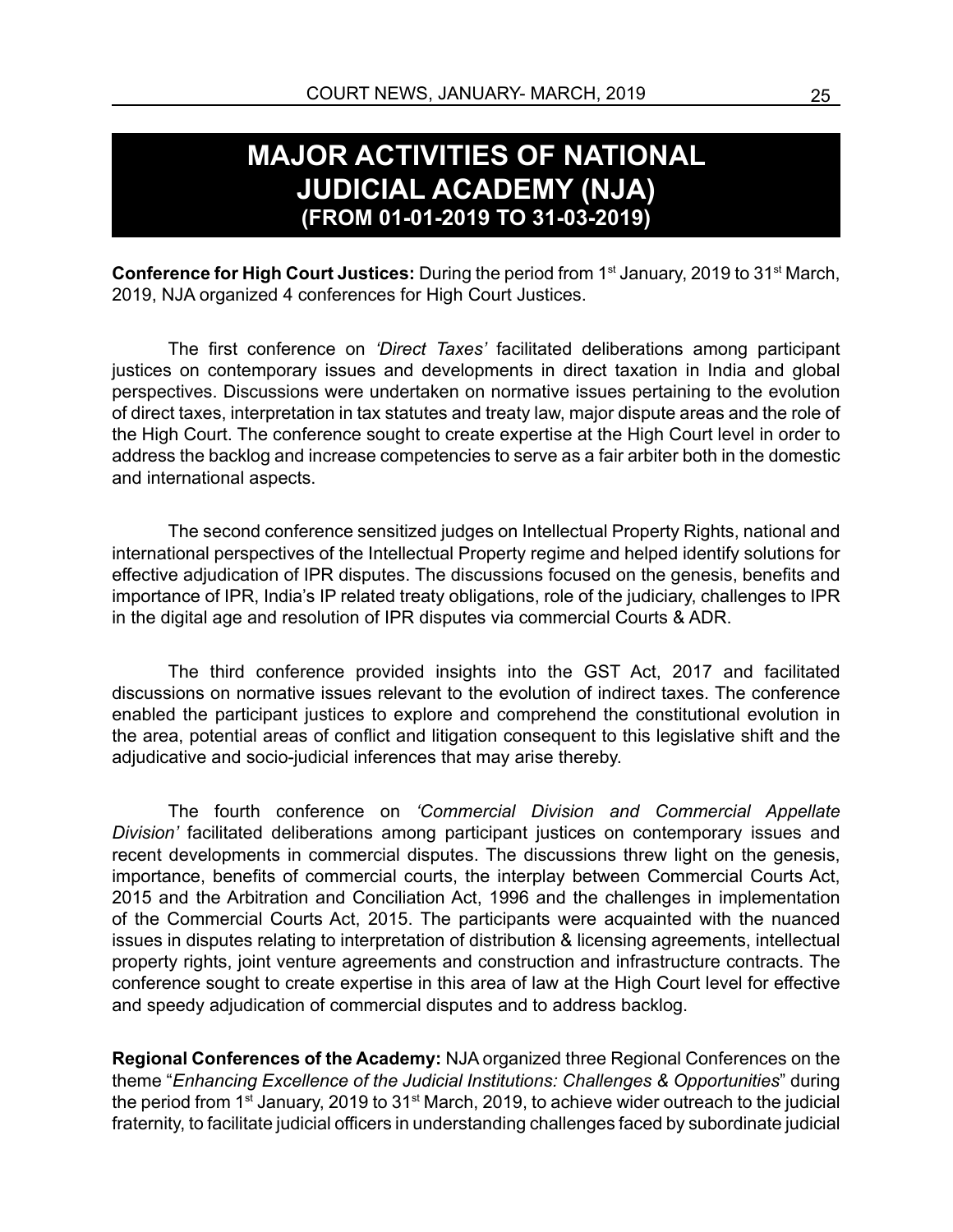#### **MAJOR ACTIVITIES OF NATIONAL JUDICIAL ACADEMY (NJA) (FROM 01-01-2019 TO 31-03-2019)**

**Conference for High Court Justices:** During the period from 1<sup>st</sup> January, 2019 to 31<sup>st</sup> March, 2019, NJA organized 4 conferences for High Court Justices.

The first conference on *'Direct Taxes'* facilitated deliberations among participant justices on contemporary issues and developments in direct taxation in India and global perspectives. Discussions were undertaken on normative issues pertaining to the evolution of direct taxes, interpretation in tax statutes and treaty law, major dispute areas and the role of the High Court. The conference sought to create expertise at the High Court level in order to address the backlog and increase competencies to serve as a fair arbiter both in the domestic and international aspects.

The second conference sensitized judges on Intellectual Property Rights, national and international perspectives of the Intellectual Property regime and helped identify solutions for effective adjudication of IPR disputes. The discussions focused on the genesis, benefits and importance of IPR, India's IP related treaty obligations, role of the judiciary, challenges to IPR in the digital age and resolution of IPR disputes via commercial Courts & ADR.

The third conference provided insights into the GST Act, 2017 and facilitated discussions on normative issues relevant to the evolution of indirect taxes. The conference enabled the participant justices to explore and comprehend the constitutional evolution in the area, potential areas of conflict and litigation consequent to this legislative shift and the adjudicative and socio-judicial inferences that may arise thereby.

The fourth conference on *'Commercial Division and Commercial Appellate Division'* facilitated deliberations among participant justices on contemporary issues and recent developments in commercial disputes. The discussions threw light on the genesis, importance, benefits of commercial courts, the interplay between Commercial Courts Act, 2015 and the Arbitration and Conciliation Act, 1996 and the challenges in implementation of the Commercial Courts Act, 2015. The participants were acquainted with the nuanced issues in disputes relating to interpretation of distribution & licensing agreements, intellectual property rights, joint venture agreements and construction and infrastructure contracts. The conference sought to create expertise in this area of law at the High Court level for effective and speedy adjudication of commercial disputes and to address backlog.

**Regional Conferences of the Academy:** NJA organized three Regional Conferences on the theme "*Enhancing Excellence of the Judicial Institutions: Challenges & Opportunities*" during the period from 1<sup>st</sup> January, 2019 to 31<sup>st</sup> March, 2019, to achieve wider outreach to the judicial fraternity, to facilitate judicial officers in understanding challenges faced by subordinate judicial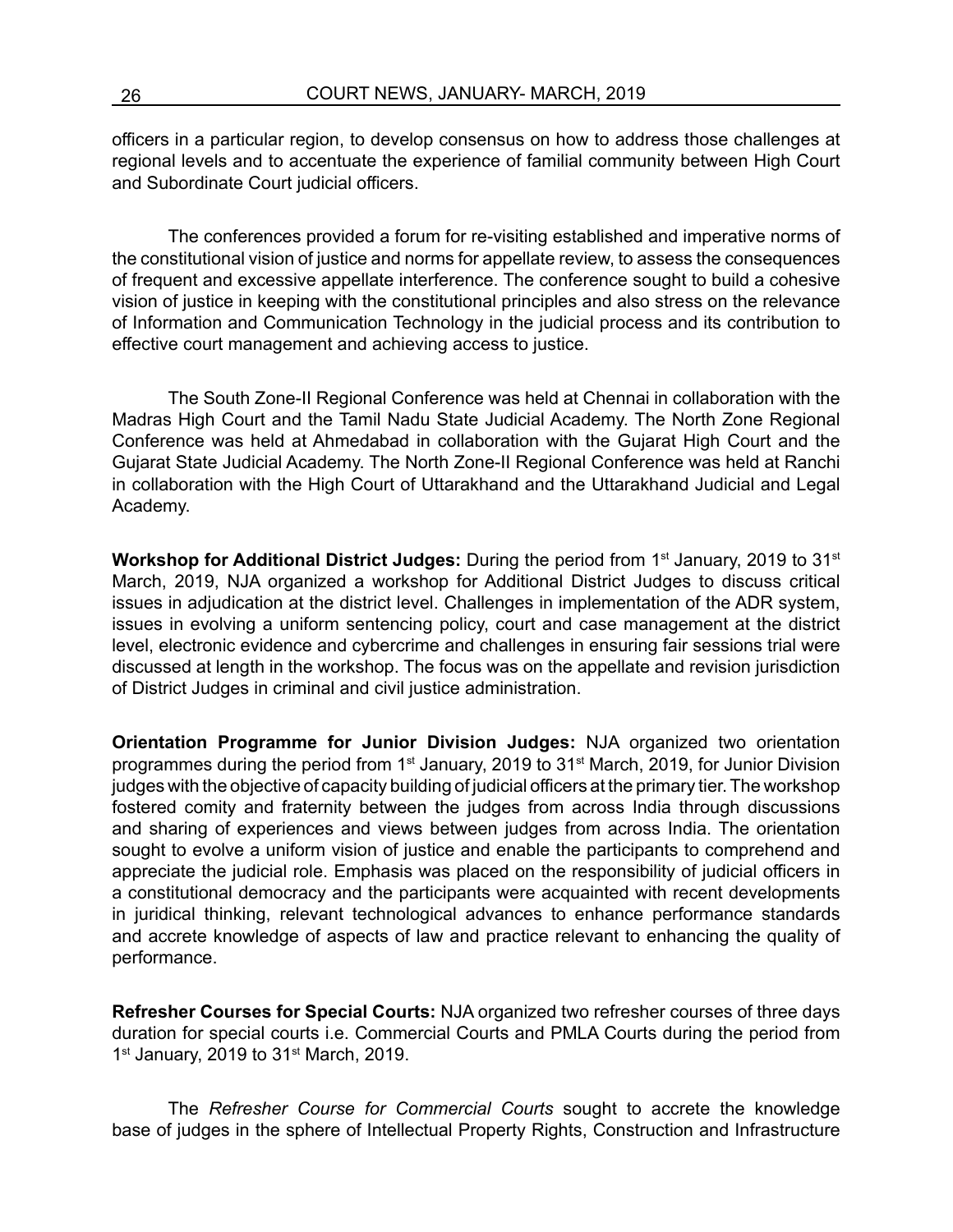officers in a particular region, to develop consensus on how to address those challenges at regional levels and to accentuate the experience of familial community between High Court and Subordinate Court judicial officers.

The conferences provided a forum for re-visiting established and imperative norms of the constitutional vision of justice and norms for appellate review, to assess the consequences of frequent and excessive appellate interference. The conference sought to build a cohesive vision of justice in keeping with the constitutional principles and also stress on the relevance of Information and Communication Technology in the judicial process and its contribution to effective court management and achieving access to justice.

The South Zone-II Regional Conference was held at Chennai in collaboration with the Madras High Court and the Tamil Nadu State Judicial Academy. The North Zone Regional Conference was held at Ahmedabad in collaboration with the Gujarat High Court and the Gujarat State Judicial Academy. The North Zone-II Regional Conference was held at Ranchi in collaboration with the High Court of Uttarakhand and the Uttarakhand Judicial and Legal Academy.

**Workshop for Additional District Judges:** During the period from 1<sup>st</sup> January, 2019 to 31<sup>st</sup> March, 2019, NJA organized a workshop for Additional District Judges to discuss critical issues in adjudication at the district level. Challenges in implementation of the ADR system, issues in evolving a uniform sentencing policy, court and case management at the district level, electronic evidence and cybercrime and challenges in ensuring fair sessions trial were discussed at length in the workshop. The focus was on the appellate and revision jurisdiction of District Judges in criminal and civil justice administration.

**Orientation Programme for Junior Division Judges:** NJA organized two orientation programmes during the period from 1st January, 2019 to 31st March, 2019, for Junior Division judges with the objective of capacity building of judicial officers at the primary tier. The workshop fostered comity and fraternity between the judges from across India through discussions and sharing of experiences and views between judges from across India. The orientation sought to evolve a uniform vision of justice and enable the participants to comprehend and appreciate the judicial role. Emphasis was placed on the responsibility of judicial officers in a constitutional democracy and the participants were acquainted with recent developments in juridical thinking, relevant technological advances to enhance performance standards and accrete knowledge of aspects of law and practice relevant to enhancing the quality of performance.

**Refresher Courses for Special Courts:** NJA organized two refresher courses of three days duration for special courts i.e. Commercial Courts and PMLA Courts during the period from  $1<sup>st</sup>$  January, 2019 to  $31<sup>st</sup>$  March, 2019.

The *Refresher Course for Commercial Courts* sought to accrete the knowledge base of judges in the sphere of Intellectual Property Rights, Construction and Infrastructure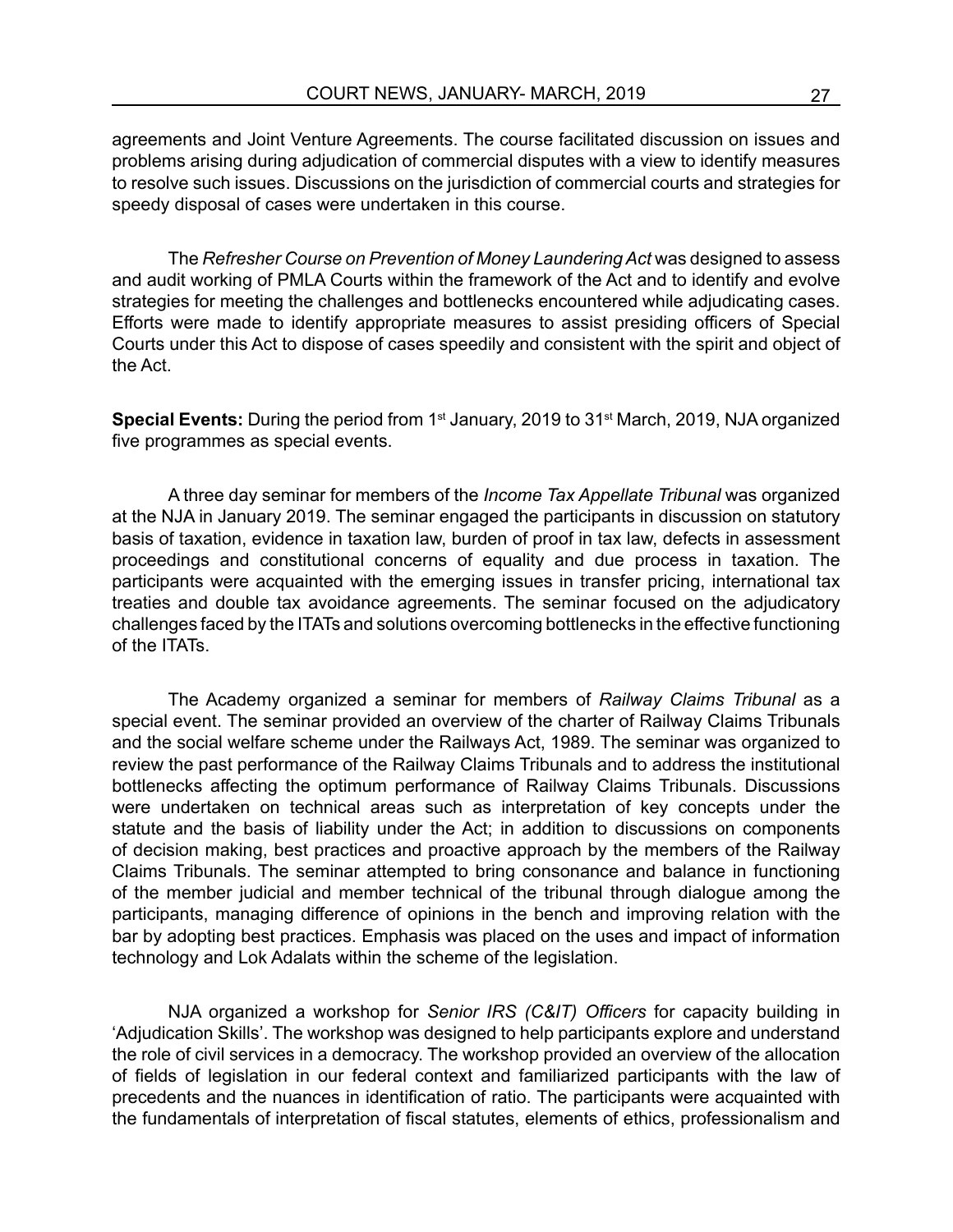agreements and Joint Venture Agreements. The course facilitated discussion on issues and problems arising during adjudication of commercial disputes with a view to identify measures to resolve such issues. Discussions on the jurisdiction of commercial courts and strategies for speedy disposal of cases were undertaken in this course.

The *Refresher Course on Prevention of Money Laundering Act* was designed to assess and audit working of PMLA Courts within the framework of the Act and to identify and evolve strategies for meeting the challenges and bottlenecks encountered while adjudicating cases. Efforts were made to identify appropriate measures to assist presiding officers of Special Courts under this Act to dispose of cases speedily and consistent with the spirit and object of the Act.

**Special Events:** During the period from 1<sup>st</sup> January, 2019 to 31<sup>st</sup> March, 2019, NJA organized five programmes as special events.

A three day seminar for members of the *Income Tax Appellate Tribunal* was organized at the NJA in January 2019. The seminar engaged the participants in discussion on statutory basis of taxation, evidence in taxation law, burden of proof in tax law, defects in assessment proceedings and constitutional concerns of equality and due process in taxation. The participants were acquainted with the emerging issues in transfer pricing, international tax treaties and double tax avoidance agreements. The seminar focused on the adjudicatory challenges faced by the ITATs and solutions overcoming bottlenecks in the effective functioning of the ITATs.

The Academy organized a seminar for members of *Railway Claims Tribunal* as a special event. The seminar provided an overview of the charter of Railway Claims Tribunals and the social welfare scheme under the Railways Act, 1989. The seminar was organized to review the past performance of the Railway Claims Tribunals and to address the institutional bottlenecks affecting the optimum performance of Railway Claims Tribunals. Discussions were undertaken on technical areas such as interpretation of key concepts under the statute and the basis of liability under the Act; in addition to discussions on components of decision making, best practices and proactive approach by the members of the Railway Claims Tribunals. The seminar attempted to bring consonance and balance in functioning of the member judicial and member technical of the tribunal through dialogue among the participants, managing difference of opinions in the bench and improving relation with the bar by adopting best practices. Emphasis was placed on the uses and impact of information technology and Lok Adalats within the scheme of the legislation.

NJA organized a workshop for *Senior IRS (C&IT) Officers* for capacity building in 'Adjudication Skills'. The workshop was designed to help participants explore and understand the role of civil services in a democracy. The workshop provided an overview of the allocation of fields of legislation in our federal context and familiarized participants with the law of precedents and the nuances in identification of ratio. The participants were acquainted with the fundamentals of interpretation of fiscal statutes, elements of ethics, professionalism and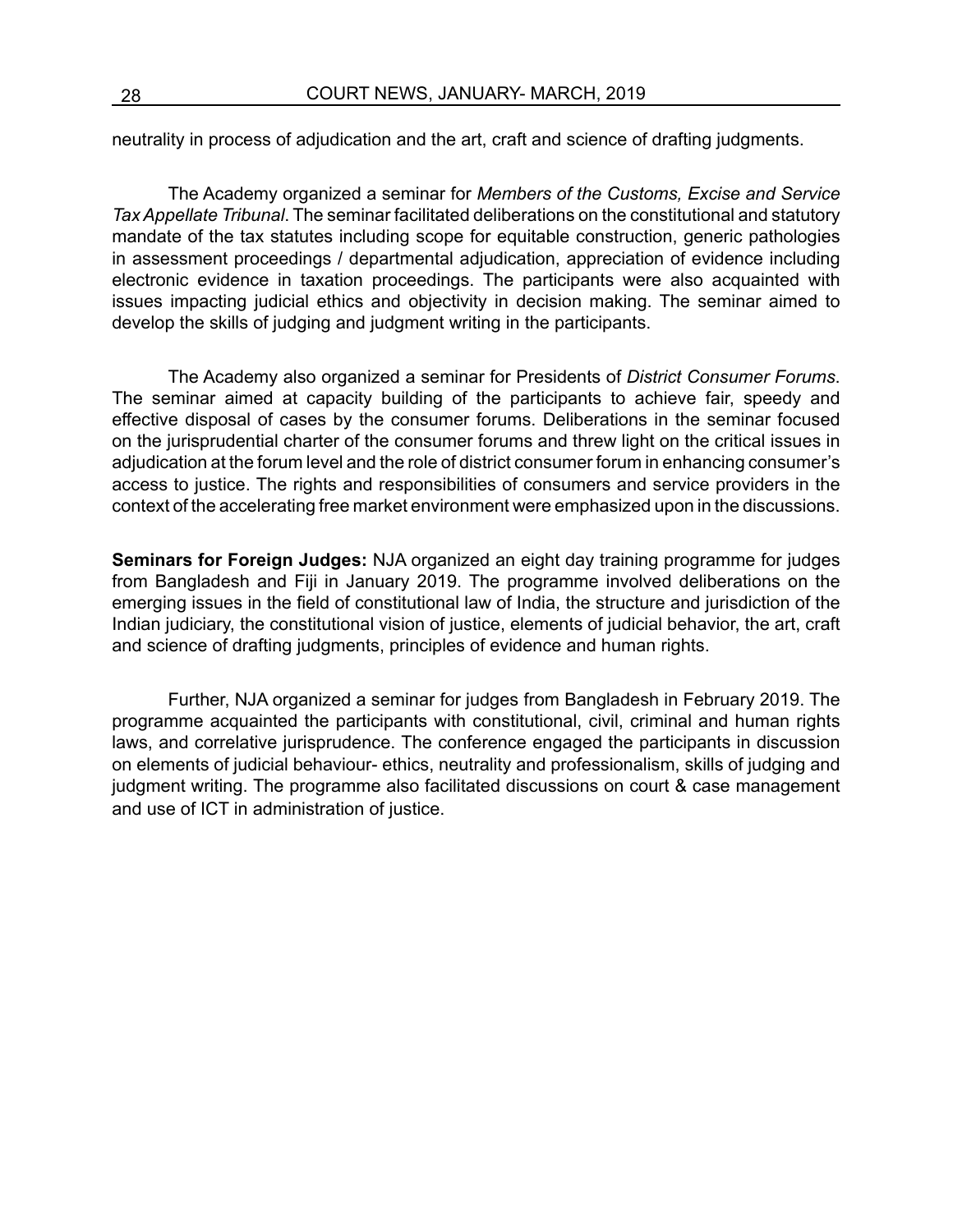neutrality in process of adjudication and the art, craft and science of drafting judgments.

The Academy organized a seminar for *Members of the Customs, Excise and Service Tax Appellate Tribunal*. The seminar facilitated deliberations on the constitutional and statutory mandate of the tax statutes including scope for equitable construction, generic pathologies in assessment proceedings / departmental adjudication, appreciation of evidence including electronic evidence in taxation proceedings. The participants were also acquainted with issues impacting judicial ethics and objectivity in decision making. The seminar aimed to develop the skills of judging and judgment writing in the participants.

The Academy also organized a seminar for Presidents of *District Consumer Forums*. The seminar aimed at capacity building of the participants to achieve fair, speedy and effective disposal of cases by the consumer forums. Deliberations in the seminar focused on the jurisprudential charter of the consumer forums and threw light on the critical issues in adjudication at the forum level and the role of district consumer forum in enhancing consumer's access to justice. The rights and responsibilities of consumers and service providers in the context of the accelerating free market environment were emphasized upon in the discussions.

**Seminars for Foreign Judges:** NJA organized an eight day training programme for judges from Bangladesh and Fiji in January 2019. The programme involved deliberations on the emerging issues in the field of constitutional law of India, the structure and jurisdiction of the Indian judiciary, the constitutional vision of justice, elements of judicial behavior, the art, craft and science of drafting judgments, principles of evidence and human rights.

Further, NJA organized a seminar for judges from Bangladesh in February 2019. The programme acquainted the participants with constitutional, civil, criminal and human rights laws, and correlative jurisprudence. The conference engaged the participants in discussion on elements of judicial behaviour- ethics, neutrality and professionalism, skills of judging and judgment writing. The programme also facilitated discussions on court & case management and use of ICT in administration of justice.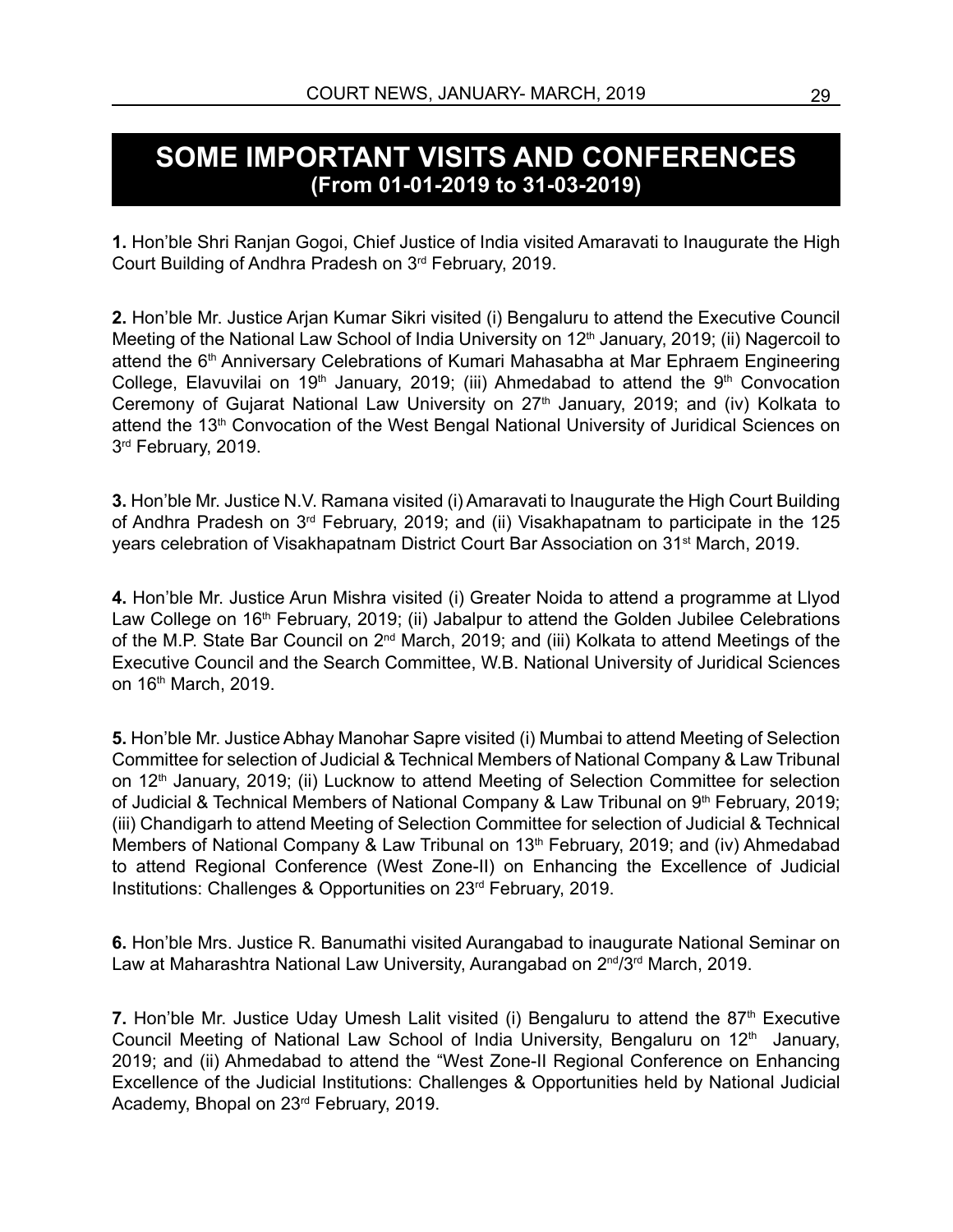#### **SOME IMPORTANT VISITS AND CONFERENCES (From 01-01-2019 to 31-03-2019)**

**1.** Hon'ble Shri Ranjan Gogoi, Chief Justice of India visited Amaravati to Inaugurate the High Court Building of Andhra Pradesh on 3rd February, 2019.

**2.** Hon'ble Mr. Justice Arjan Kumar Sikri visited (i) Bengaluru to attend the Executive Council Meeting of the National Law School of India University on 12<sup>th</sup> January, 2019; (ii) Nagercoil to attend the 6<sup>th</sup> Anniversary Celebrations of Kumari Mahasabha at Mar Ephraem Engineering College, Elavuvilai on 19<sup>th</sup> January, 2019; (iii) Ahmedabad to attend the 9<sup>th</sup> Convocation Ceremony of Gujarat National Law University on 27<sup>th</sup> January, 2019; and (iv) Kolkata to attend the 13<sup>th</sup> Convocation of the West Bengal National University of Juridical Sciences on 3rd February, 2019.

**3.** Hon'ble Mr. Justice N.V. Ramana visited (i) Amaravati to Inaugurate the High Court Building of Andhra Pradesh on 3rd February, 2019; and (ii) Visakhapatnam to participate in the 125 years celebration of Visakhapatnam District Court Bar Association on 31st March, 2019.

**4.** Hon'ble Mr. Justice Arun Mishra visited (i) Greater Noida to attend a programme at Llyod Law College on 16<sup>th</sup> February, 2019; (ii) Jabalpur to attend the Golden Jubilee Celebrations of the M.P. State Bar Council on 2<sup>nd</sup> March, 2019; and (iii) Kolkata to attend Meetings of the Executive Council and the Search Committee, W.B. National University of Juridical Sciences on 16th March, 2019.

**5.** Hon'ble Mr. Justice Abhay Manohar Sapre visited (i) Mumbai to attend Meeting of Selection Committee for selection of Judicial & Technical Members of National Company & Law Tribunal on 12<sup>th</sup> January, 2019; (ii) Lucknow to attend Meeting of Selection Committee for selection of Judicial & Technical Members of National Company & Law Tribunal on 9th February, 2019; (iii) Chandigarh to attend Meeting of Selection Committee for selection of Judicial & Technical Members of National Company & Law Tribunal on 13<sup>th</sup> February, 2019; and (iv) Ahmedabad to attend Regional Conference (West Zone-II) on Enhancing the Excellence of Judicial Institutions: Challenges & Opportunities on 23rd February, 2019.

**6.** Hon'ble Mrs. Justice R. Banumathi visited Aurangabad to inaugurate National Seminar on Law at Maharashtra National Law University, Aurangabad on 2<sup>nd</sup>/3<sup>rd</sup> March, 2019.

**7.** Hon'ble Mr. Justice Uday Umesh Lalit visited (i) Bengaluru to attend the 87<sup>th</sup> Executive Council Meeting of National Law School of India University, Bengaluru on 12<sup>th</sup> January, 2019; and (ii) Ahmedabad to attend the "West Zone-II Regional Conference on Enhancing Excellence of the Judicial Institutions: Challenges & Opportunities held by National Judicial Academy, Bhopal on 23rd February, 2019.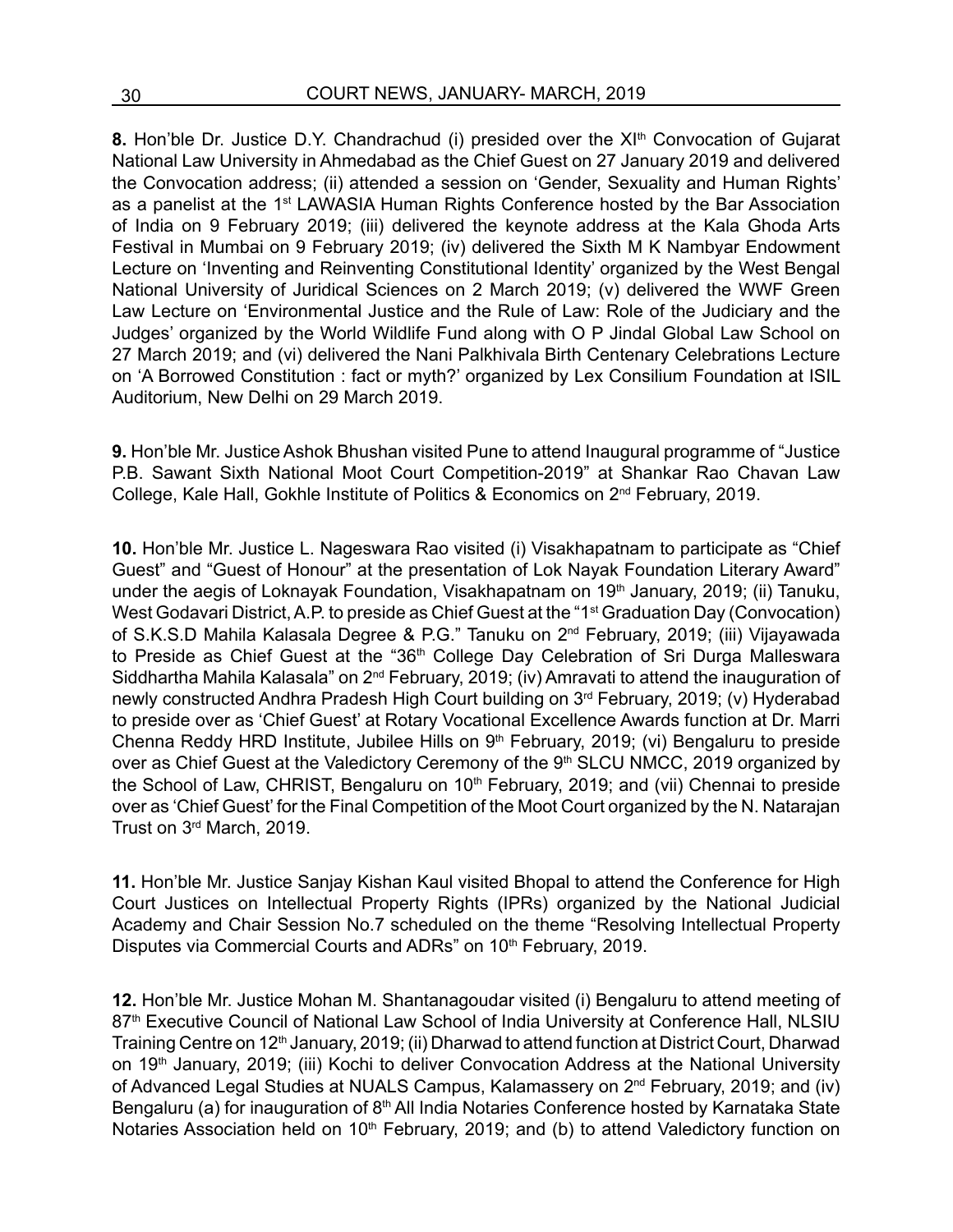8. Hon'ble Dr. Justice D.Y. Chandrachud (i) presided over the XI<sup>th</sup> Convocation of Gujarat National Law University in Ahmedabad as the Chief Guest on 27 January 2019 and delivered the Convocation address; (ii) attended a session on 'Gender, Sexuality and Human Rights' as a panelist at the 1<sup>st</sup> LAWASIA Human Rights Conference hosted by the Bar Association of India on 9 February 2019; (iii) delivered the keynote address at the Kala Ghoda Arts Festival in Mumbai on 9 February 2019; (iv) delivered the Sixth M K Nambyar Endowment Lecture on 'Inventing and Reinventing Constitutional Identity' organized by the West Bengal National University of Juridical Sciences on 2 March 2019; (v) delivered the WWF Green Law Lecture on 'Environmental Justice and the Rule of Law: Role of the Judiciary and the Judges' organized by the World Wildlife Fund along with O P Jindal Global Law School on 27 March 2019; and (vi) delivered the Nani Palkhivala Birth Centenary Celebrations Lecture on 'A Borrowed Constitution : fact or myth?' organized by Lex Consilium Foundation at ISIL Auditorium, New Delhi on 29 March 2019.

**9.** Hon'ble Mr. Justice Ashok Bhushan visited Pune to attend Inaugural programme of "Justice P.B. Sawant Sixth National Moot Court Competition-2019" at Shankar Rao Chavan Law College, Kale Hall, Gokhle Institute of Politics & Economics on 2nd February, 2019.

**10.** Hon'ble Mr. Justice L. Nageswara Rao visited (i) Visakhapatnam to participate as "Chief Guest" and "Guest of Honour" at the presentation of Lok Nayak Foundation Literary Award" under the aegis of Loknayak Foundation, Visakhapatnam on 19th January, 2019; (ii) Tanuku, West Godavari District, A.P. to preside as Chief Guest at the "1st Graduation Day (Convocation) of S.K.S.D Mahila Kalasala Degree & P.G." Tanuku on 2nd February, 2019; (iii) Vijayawada to Preside as Chief Guest at the "36<sup>th</sup> College Day Celebration of Sri Durga Malleswara Siddhartha Mahila Kalasala" on 2<sup>nd</sup> February, 2019; (iv) Amravati to attend the inauguration of newly constructed Andhra Pradesh High Court building on 3rd February, 2019; (v) Hyderabad to preside over as 'Chief Guest' at Rotary Vocational Excellence Awards function at Dr. Marri Chenna Reddy HRD Institute, Jubilee Hills on 9th February, 2019; (vi) Bengaluru to preside over as Chief Guest at the Valedictory Ceremony of the 9<sup>th</sup> SLCU NMCC, 2019 organized by the School of Law, CHRIST, Bengaluru on 10<sup>th</sup> February, 2019; and (vii) Chennai to preside over as 'Chief Guest' for the Final Competition of the Moot Court organized by the N. Natarajan Trust on 3rd March, 2019.

**11.** Hon'ble Mr. Justice Sanjay Kishan Kaul visited Bhopal to attend the Conference for High Court Justices on Intellectual Property Rights (IPRs) organized by the National Judicial Academy and Chair Session No.7 scheduled on the theme "Resolving Intellectual Property Disputes via Commercial Courts and ADRs" on 10<sup>th</sup> February, 2019.

**12.** Hon'ble Mr. Justice Mohan M. Shantanagoudar visited (i) Bengaluru to attend meeting of 87<sup>th</sup> Executive Council of National Law School of India University at Conference Hall, NLSIU Training Centre on 12<sup>th</sup> January, 2019; (ii) Dharwad to attend function at District Court, Dharwad on 19<sup>th</sup> January, 2019; (iii) Kochi to deliver Convocation Address at the National University of Advanced Legal Studies at NUALS Campus, Kalamassery on 2<sup>nd</sup> February, 2019; and (iv) Bengaluru (a) for inauguration of 8<sup>th</sup> All India Notaries Conference hosted by Karnataka State Notaries Association held on 10<sup>th</sup> February, 2019; and (b) to attend Valedictory function on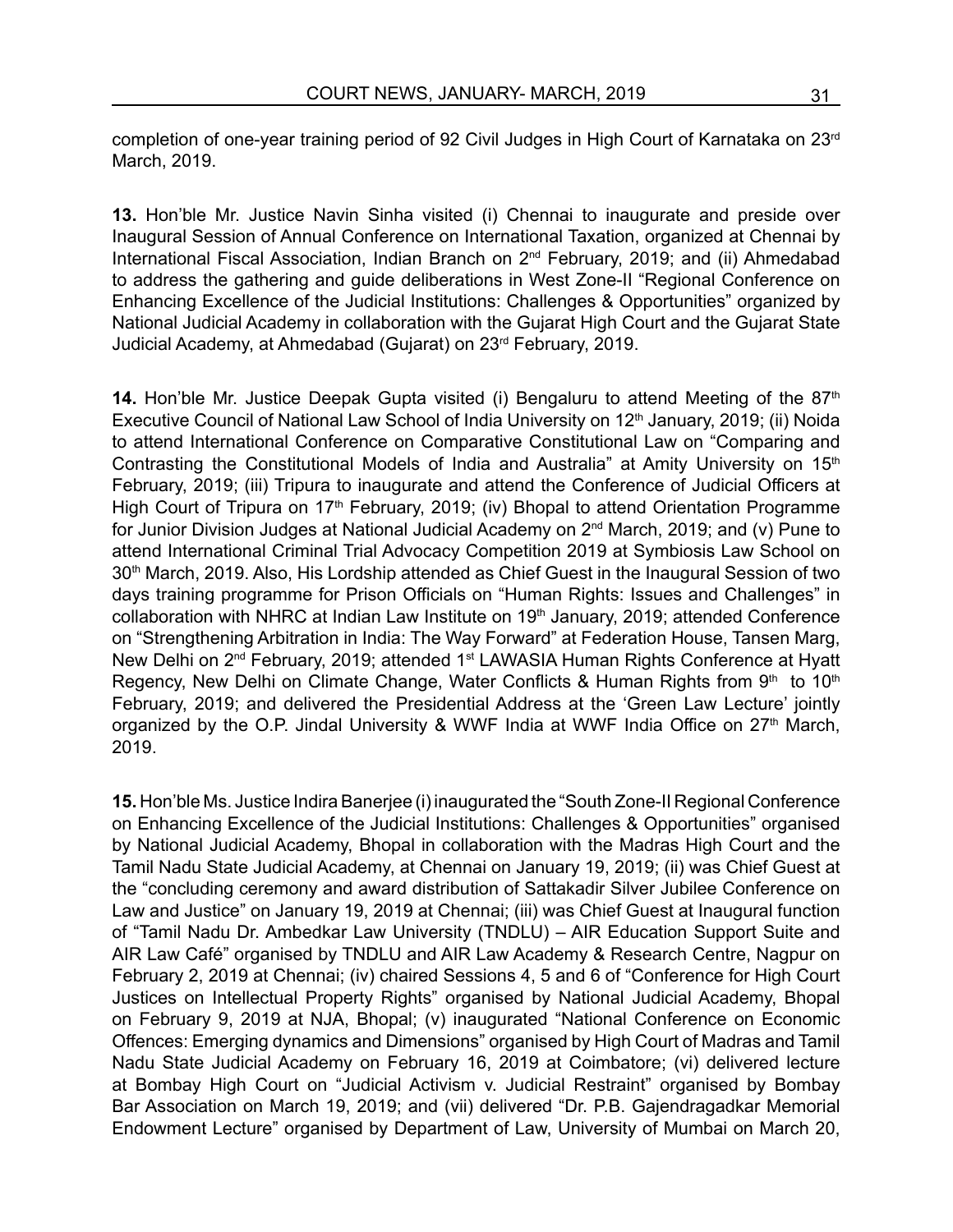completion of one-year training period of 92 Civil Judges in High Court of Karnataka on 23rd March, 2019.

**13.** Hon'ble Mr. Justice Navin Sinha visited (i) Chennai to inaugurate and preside over Inaugural Session of Annual Conference on International Taxation, organized at Chennai by International Fiscal Association, Indian Branch on 2<sup>nd</sup> February, 2019; and (ii) Ahmedabad to address the gathering and guide deliberations in West Zone-II "Regional Conference on Enhancing Excellence of the Judicial Institutions: Challenges & Opportunities" organized by National Judicial Academy in collaboration with the Gujarat High Court and the Gujarat State Judicial Academy, at Ahmedabad (Gujarat) on 23rd February, 2019.

**14.** Hon'ble Mr. Justice Deepak Gupta visited (i) Bengaluru to attend Meeting of the 87<sup>th</sup> Executive Council of National Law School of India University on 12<sup>th</sup> January, 2019; (ii) Noida to attend International Conference on Comparative Constitutional Law on "Comparing and Contrasting the Constitutional Models of India and Australia" at Amity University on 15<sup>th</sup> February, 2019; (iii) Tripura to inaugurate and attend the Conference of Judicial Officers at High Court of Tripura on 17<sup>th</sup> February, 2019; (iv) Bhopal to attend Orientation Programme for Junior Division Judges at National Judicial Academy on 2nd March, 2019; and (v) Pune to attend International Criminal Trial Advocacy Competition 2019 at Symbiosis Law School on 30<sup>th</sup> March, 2019. Also, His Lordship attended as Chief Guest in the Inaugural Session of two days training programme for Prison Officials on "Human Rights: Issues and Challenges" in collaboration with NHRC at Indian Law Institute on 19<sup>th</sup> January, 2019; attended Conference on "Strengthening Arbitration in India: The Way Forward" at Federation House, Tansen Marg, New Delhi on 2<sup>nd</sup> February, 2019; attended 1<sup>st</sup> LAWASIA Human Rights Conference at Hyatt Regency, New Delhi on Climate Change, Water Conflicts & Human Rights from 9th to 10th February, 2019; and delivered the Presidential Address at the 'Green Law Lecture' jointly organized by the O.P. Jindal University & WWF India at WWF India Office on 27<sup>th</sup> March, 2019.

**15.** Hon'ble Ms. Justice Indira Banerjee (i) inaugurated the "South Zone-II Regional Conference on Enhancing Excellence of the Judicial Institutions: Challenges & Opportunities" organised by National Judicial Academy, Bhopal in collaboration with the Madras High Court and the Tamil Nadu State Judicial Academy, at Chennai on January 19, 2019; (ii) was Chief Guest at the "concluding ceremony and award distribution of Sattakadir Silver Jubilee Conference on Law and Justice" on January 19, 2019 at Chennai; (iii) was Chief Guest at Inaugural function of "Tamil Nadu Dr. Ambedkar Law University (TNDLU) – AIR Education Support Suite and AIR Law Café" organised by TNDLU and AIR Law Academy & Research Centre, Nagpur on February 2, 2019 at Chennai; (iv) chaired Sessions 4, 5 and 6 of "Conference for High Court Justices on Intellectual Property Rights" organised by National Judicial Academy, Bhopal on February 9, 2019 at NJA, Bhopal; (v) inaugurated "National Conference on Economic Offences: Emerging dynamics and Dimensions" organised by High Court of Madras and Tamil Nadu State Judicial Academy on February 16, 2019 at Coimbatore; (vi) delivered lecture at Bombay High Court on "Judicial Activism v. Judicial Restraint" organised by Bombay Bar Association on March 19, 2019; and (vii) delivered "Dr. P.B. Gajendragadkar Memorial Endowment Lecture" organised by Department of Law, University of Mumbai on March 20,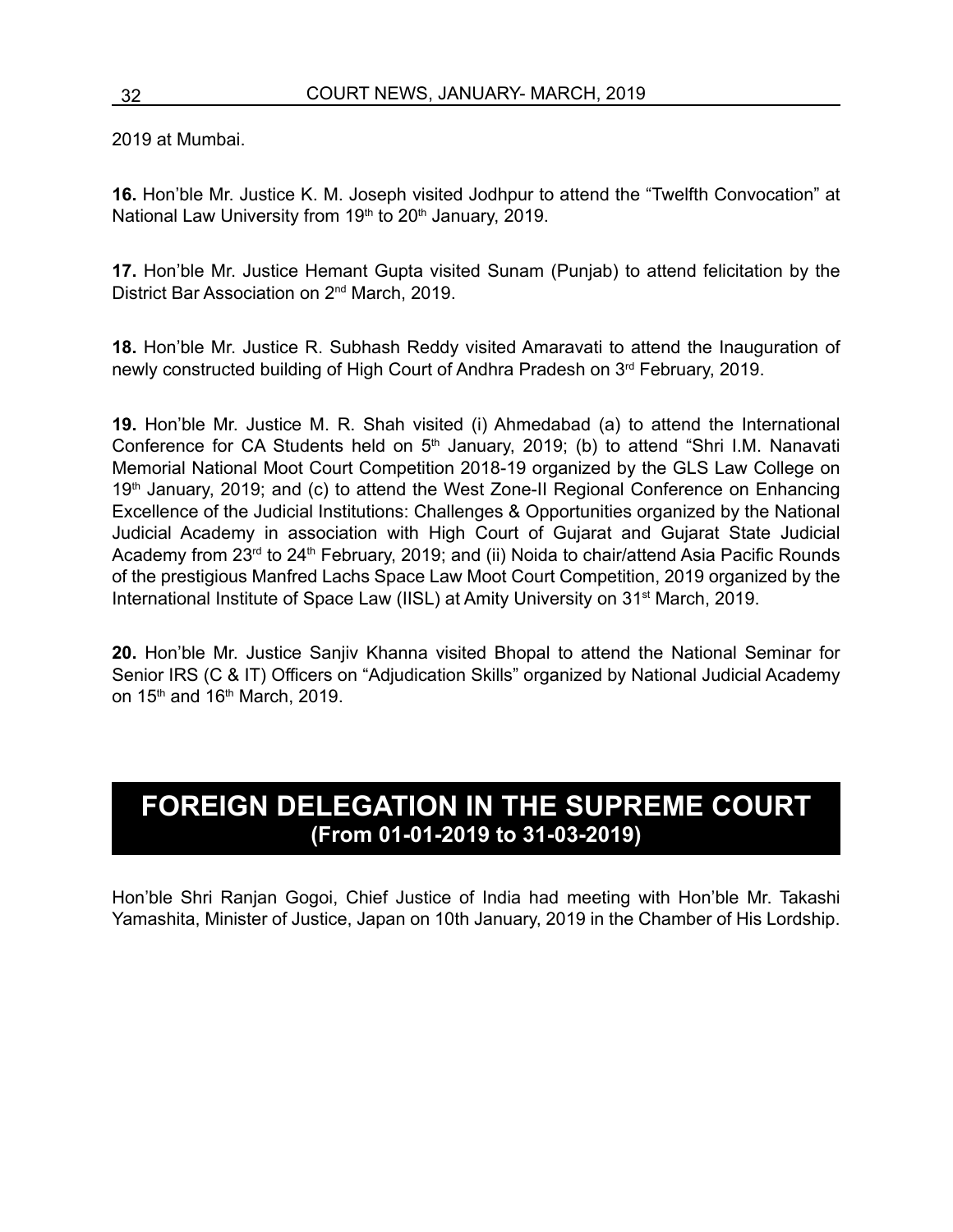2019 at Mumbai.

**16.** Hon'ble Mr. Justice K. M. Joseph visited Jodhpur to attend the "Twelfth Convocation" at National Law University from 19<sup>th</sup> to 20<sup>th</sup> January, 2019.

**17.** Hon'ble Mr. Justice Hemant Gupta visited Sunam (Punjab) to attend felicitation by the District Bar Association on 2nd March, 2019.

**18.** Hon'ble Mr. Justice R. Subhash Reddy visited Amaravati to attend the Inauguration of newly constructed building of High Court of Andhra Pradesh on 3rd February, 2019.

**19.** Hon'ble Mr. Justice M. R. Shah visited (i) Ahmedabad (a) to attend the International Conference for CA Students held on  $5<sup>th</sup>$  January, 2019; (b) to attend "Shri I.M. Nanavati Memorial National Moot Court Competition 2018-19 organized by the GLS Law College on 19<sup>th</sup> January, 2019; and (c) to attend the West Zone-II Regional Conference on Enhancing Excellence of the Judicial Institutions: Challenges & Opportunities organized by the National Judicial Academy in association with High Court of Gujarat and Gujarat State Judicial Academy from 23<sup>rd</sup> to 24<sup>th</sup> February, 2019; and (ii) Noida to chair/attend Asia Pacific Rounds of the prestigious Manfred Lachs Space Law Moot Court Competition, 2019 organized by the International Institute of Space Law (IISL) at Amity University on 31st March, 2019.

**20.** Hon'ble Mr. Justice Sanjiv Khanna visited Bhopal to attend the National Seminar for Senior IRS (C & IT) Officers on "Adjudication Skills" organized by National Judicial Academy on  $15<sup>th</sup>$  and  $16<sup>th</sup>$  March, 2019.

#### **FOREIGN DELEGATION IN THE SUPREME COURT (From 01-01-2019 to 31-03-2019)**

Hon'ble Shri Ranjan Gogoi, Chief Justice of India had meeting with Hon'ble Mr. Takashi Yamashita, Minister of Justice, Japan on 10th January, 2019 in the Chamber of His Lordship.